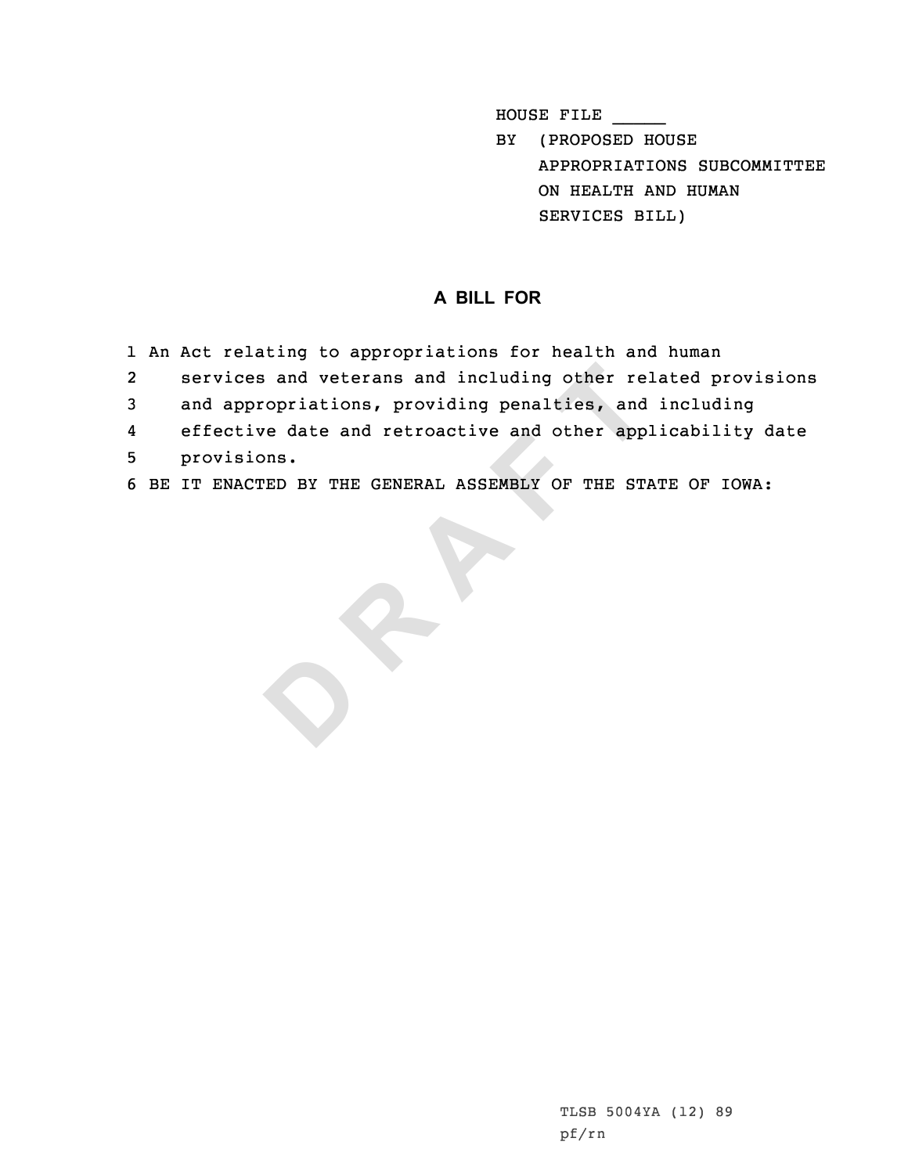HOUSE FILE \_\_\_\_\_

BY (PROPOSED HOUSE APPROPRIATIONS SUBCOMMITTEE ON HEALTH AND HUMAN SERVICES BILL)

## **A BILL FOR**

- 1 An Act relating to appropriations for health and human
- 2services and veterans and including other related provisions
- 3 and appropriations, providing penalties, and including
- ces and veterans and including other repropriations, providing penalties, and<br>tive date and retroactive and other app<br>sions.<br>ACTED BY THE GENERAL ASSEMBLY OF THE ST. 4effective date and retroactive and other applicability date
- 5 provisions.

**D**

6 BE IT ENACTED BY THE GENERAL ASSEMBLY OF THE STATE OF IOWA:

TLSB 5004YA (12) 89 pf/rn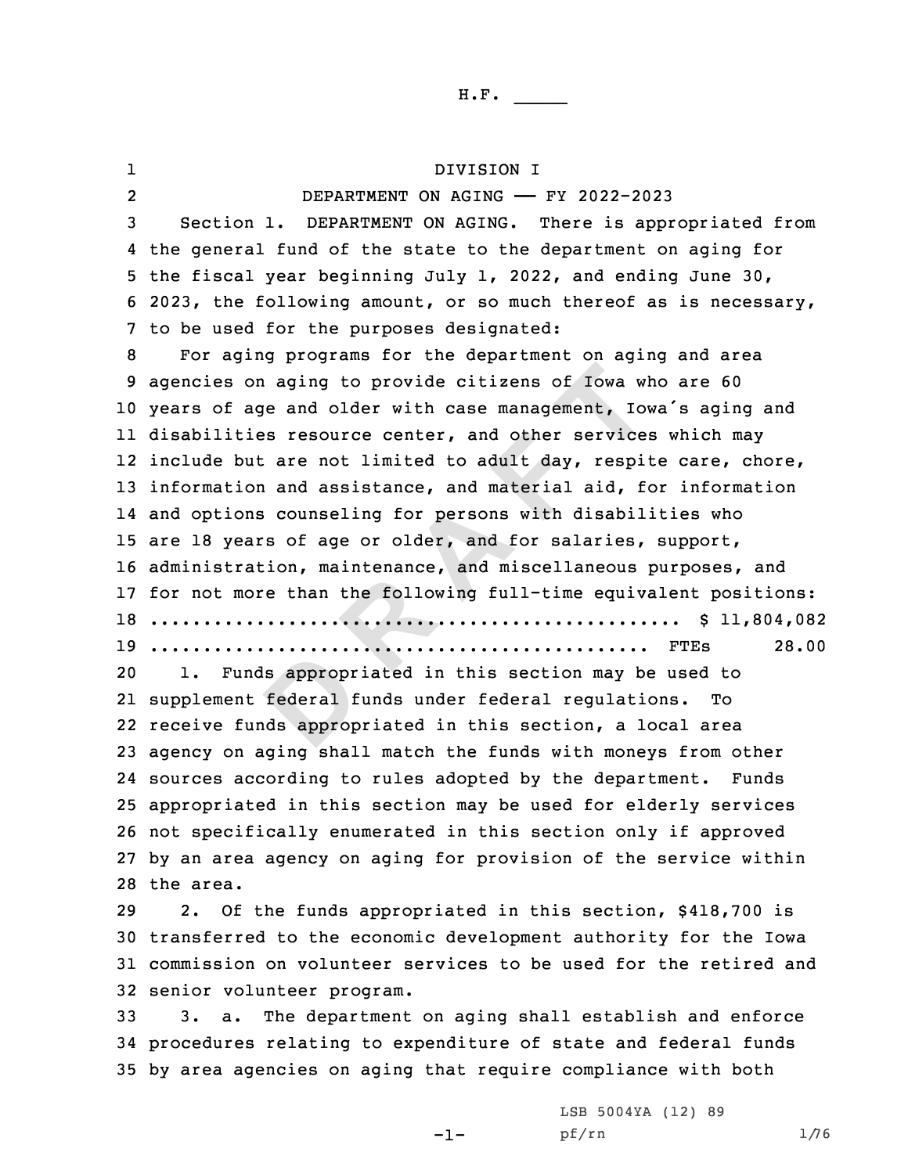ls appropr<br>
federal f<br>
nds approp on aging to provide citizens of Iowa wh<br>age and older with case management, Iou<br>ties resource center, and other service<br>but are not limited to adult day, respi<br>ion and assistance, and material aid, f<br>ons counseling for per 1 DIVISION I 2 DEPARTMENT ON AGING —— FY 2022-2023 Section 1. DEPARTMENT ON AGING. There is appropriated from the general fund of the state to the department on aging for the fiscal year beginning July 1, 2022, and ending June 30, 2023, the following amount, or so much thereof as is necessary, to be used for the purposes designated: For aging programs for the department on aging and area agencies on aging to provide citizens of Iowa who are 60 years of age and older with case management, Iowa's aging and disabilities resource center, and other services which may include but are not limited to adult day, respite care, chore, information and assistance, and material aid, for information and options counseling for persons with disabilities who are 18 years of age or older, and for salaries, support, administration, maintenance, and miscellaneous purposes, and for not more than the following full-time equivalent positions: .................................................. \$ 11,804,082 ............................................... FTEs 28.00 1. Funds appropriated in this section may be used to supplement federal funds under federal regulations. To receive funds appropriated in this section, <sup>a</sup> local area agency on aging shall match the funds with moneys from other sources according to rules adopted by the department. Funds appropriated in this section may be used for elderly services not specifically enumerated in this section only if approved by an area agency on aging for provision of the service within the area. 2. Of the funds appropriated in this section, \$418,700 is transferred to the economic development authority for the Iowa commission on volunteer services to be used for the retired and senior volunteer program.

33 3. a. The department on aging shall establish and enforce 34 procedures relating to expenditure of state and federal funds 35 by area agencies on aging that require compliance with both

 $-1-$ 

LSB 5004YA (12) 89 pf/rn 1/76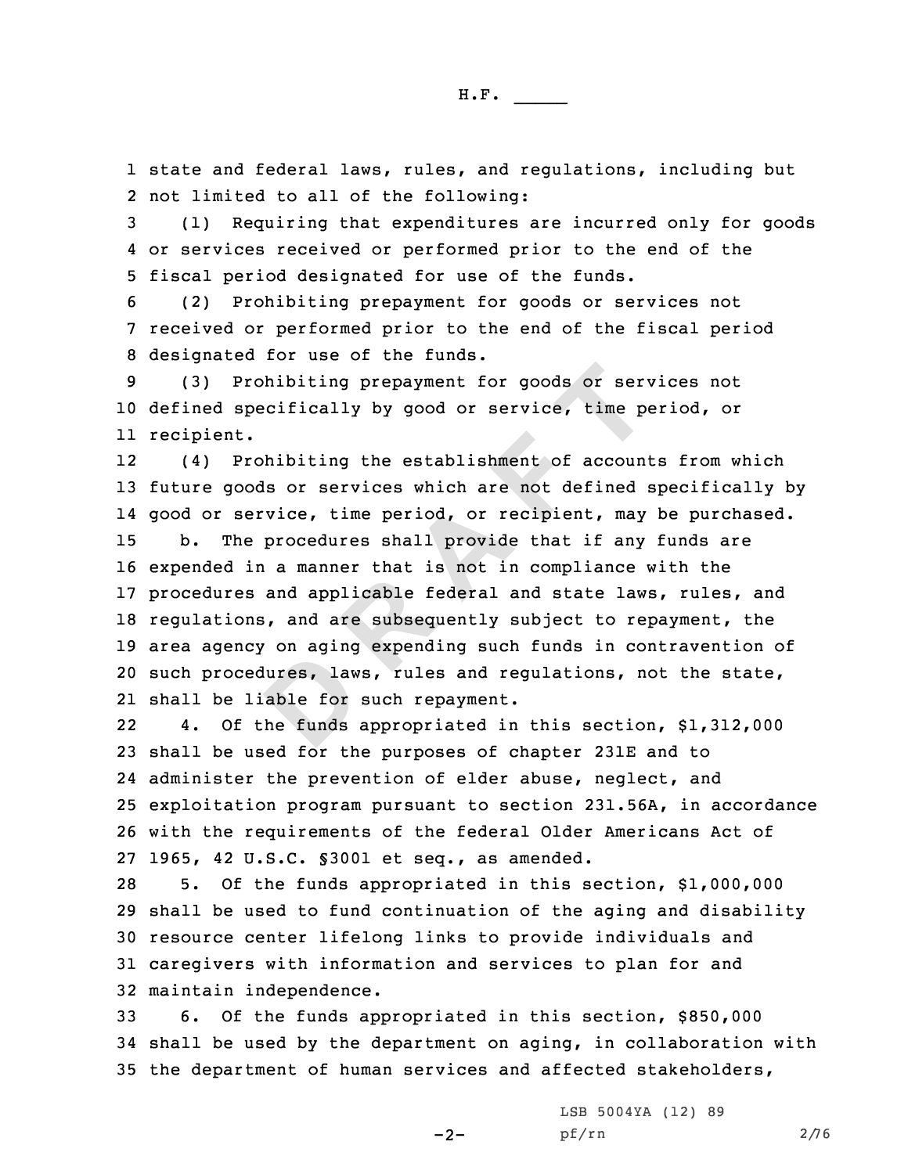1 state and federal laws, rules, and regulations, including but 2 not limited to all of the following:

3 (1) Requiring that expenditures are incurred only for goods 4 or services received or performed prior to the end of the 5 fiscal period designated for use of the funds.

6 (2) Prohibiting prepayment for goods or services not 7 received or performed prior to the end of the fiscal period 8 designated for use of the funds.

9 (3) Prohibiting prepayment for goods or services not 10 defined specifically by good or service, time period, or 11 recipient.

dures, law<br>able for<br>he funds **Prohibiting prepayment for goods or servalue of specifically by good or service, time potentially by good or service, time prohibiting the establishment of accound oods or services which are not defined service, time peri** 12 (4) Prohibiting the establishment of accounts from which future goods or services which are not defined specifically by good or service, time period, or recipient, may be purchased. b. The procedures shall provide that if any funds are expended in <sup>a</sup> manner that is not in compliance with the procedures and applicable federal and state laws, rules, and regulations, and are subsequently subject to repayment, the area agency on aging expending such funds in contravention of such procedures, laws, rules and regulations, not the state, shall be liable for such repayment.

22 4. Of the funds appropriated in this section, \$1,312,000 shall be used for the purposes of chapter 231E and to administer the prevention of elder abuse, neglect, and exploitation program pursuant to section 231.56A, in accordance with the requirements of the federal Older Americans Act of 1965, 42 U.S.C. §3001 et seq., as amended.

 5. Of the funds appropriated in this section, \$1,000,000 shall be used to fund continuation of the aging and disability resource center lifelong links to provide individuals and caregivers with information and services to plan for and maintain independence.

33 6. Of the funds appropriated in this section, \$850,000 34 shall be used by the department on aging, in collaboration with 35 the department of human services and affected stakeholders,

 $-2-$ 

LSB 5004YA (12) 89 pf/rn 2/76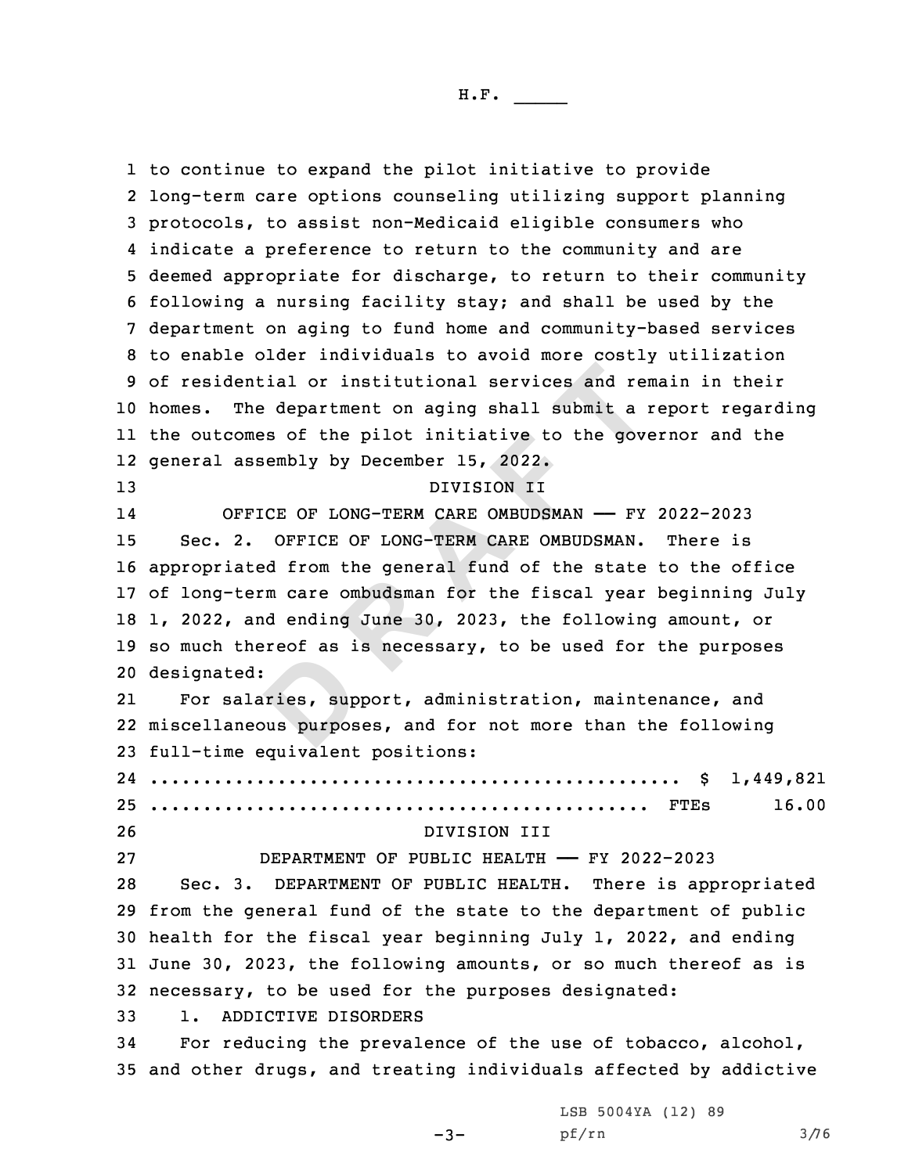external rate:<br> **Prices, sup**<br> **Prices EXECUTE:**<br> **RANAGE APPENDING THE CONCILENCE CONCILENCE AND THE CONFIDENTIC CONCILENCE OF LONG-TERM CARE OMBUDSMAN - FY<br>
<b>REFICE OF LONG-TERM CARE OMBUDSMAN - FY**<br> **REFICE OF LONG-TERM CARE OMBUDSMAN - FY**<br> **REFICE OF LONG**  to continue to expand the pilot initiative to provide long-term care options counseling utilizing support planning protocols, to assist non-Medicaid eligible consumers who indicate <sup>a</sup> preference to return to the community and are deemed appropriate for discharge, to return to their community following <sup>a</sup> nursing facility stay; and shall be used by the department on aging to fund home and community-based services to enable older individuals to avoid more costly utilization of residential or institutional services and remain in their homes. The department on aging shall submit <sup>a</sup> report regarding the outcomes of the pilot initiative to the governor and the general assembly by December 15, 2022. DIVISION II 14 OFFICE OF LONG-TERM CARE OMBUDSMAN —— FY 2022-2023 Sec. 2. OFFICE OF LONG-TERM CARE OMBUDSMAN. There is appropriated from the general fund of the state to the office of long-term care ombudsman for the fiscal year beginning July 1, 2022, and ending June 30, 2023, the following amount, or so much thereof as is necessary, to be used for the purposes designated: 21 For salaries, support, administration, maintenance, and miscellaneous purposes, and for not more than the following full-time equivalent positions: .................................................. \$ 1,449,821 ............................................... FTEs 16.00 DIVISION III DEPARTMENT OF PUBLIC HEALTH —— FY 2022-2023 Sec. 3. DEPARTMENT OF PUBLIC HEALTH. There is appropriated from the general fund of the state to the department of public health for the fiscal year beginning July 1, 2022, and ending June 30, 2023, the following amounts, or so much thereof as is necessary, to be used for the purposes designated: 1. ADDICTIVE DISORDERS For reducing the prevalence of the use of tobacco, alcohol, and other drugs, and treating individuals affected by addictive

 $-3-$ 

LSB 5004YA (12) 89 pf/rn 3/76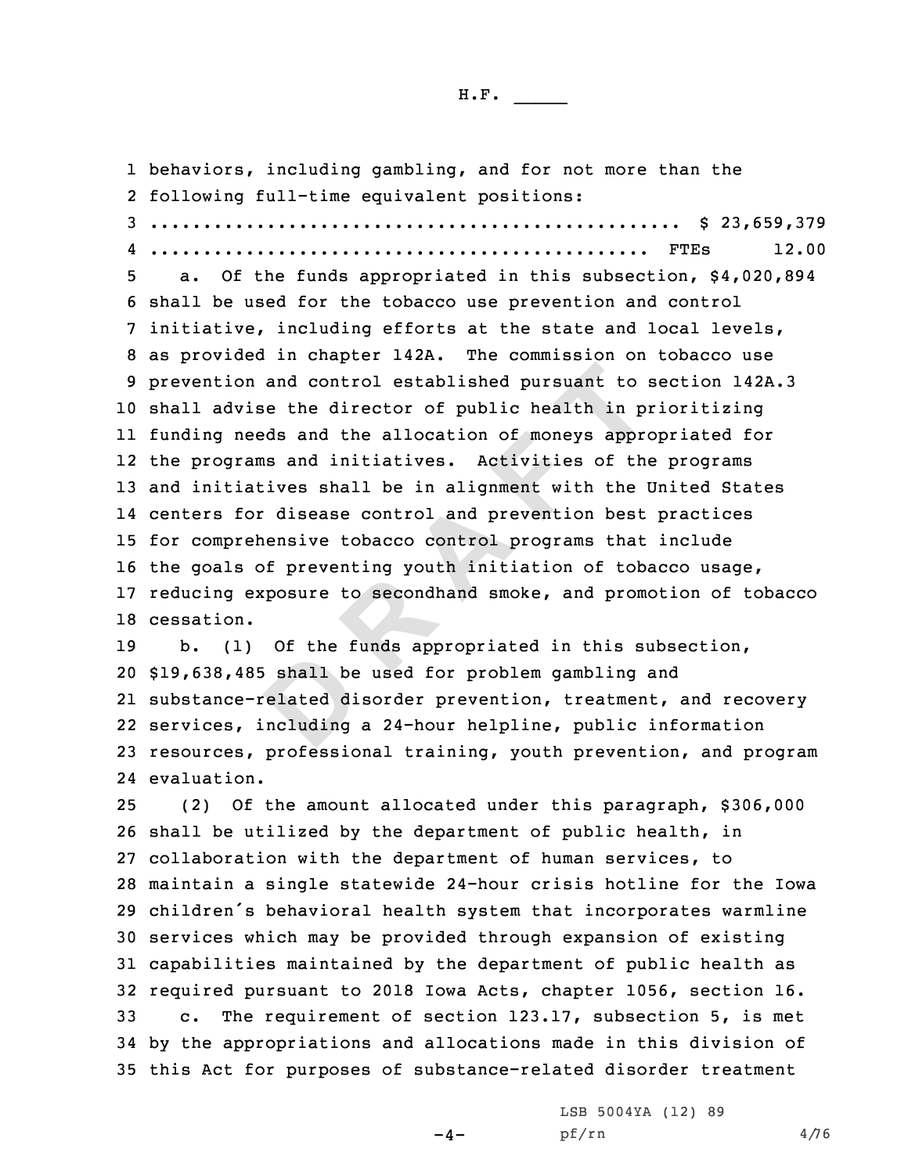1 behaviors, including gambling, and for not more than the

**D**on and control established pursuant to<br>vise the director of public health in p<br>needs and the allocation of moneys approx<br>rams and initiatives. Activities of the<br>iatives shall be in alignment with the l<br>for disease control following full-time equivalent positions: .................................................. \$ 23,659,379 ............................................... FTEs 12.00 a. Of the funds appropriated in this subsection, \$4,020,894 shall be used for the tobacco use prevention and control initiative, including efforts at the state and local levels, as provided in chapter 142A. The commission on tobacco use prevention and control established pursuant to section 142A.3 shall advise the director of public health in prioritizing funding needs and the allocation of moneys appropriated for the programs and initiatives. Activities of the programs and initiatives shall be in alignment with the United States centers for disease control and prevention best practices for comprehensive tobacco control programs that include the goals of preventing youth initiation of tobacco usage, reducing exposure to secondhand smoke, and promotion of tobacco cessation. b. (1) Of the funds appropriated in this subsection, \$19,638,485 shall be used for problem gambling and substance-related disorder prevention, treatment, and recovery services, including <sup>a</sup> 24-hour helpline, public information resources, professional training, youth prevention, and program evaluation. (2) Of the amount allocated under this paragraph, \$306,000 shall be utilized by the department of public health, in collaboration with the department of human services, to maintain <sup>a</sup> single statewide 24-hour crisis hotline for the Iowa children's behavioral health system that incorporates warmline services which may be provided through expansion of existing capabilities maintained by the department of public health as required pursuant to 2018 Iowa Acts, chapter 1056, section 16. c. The requirement of section 123.17, subsection 5, is met by the appropriations and allocations made in this division of this Act for purposes of substance-related disorder treatment

 $-4-$ 

LSB 5004YA (12) 89 pf/rn 4/76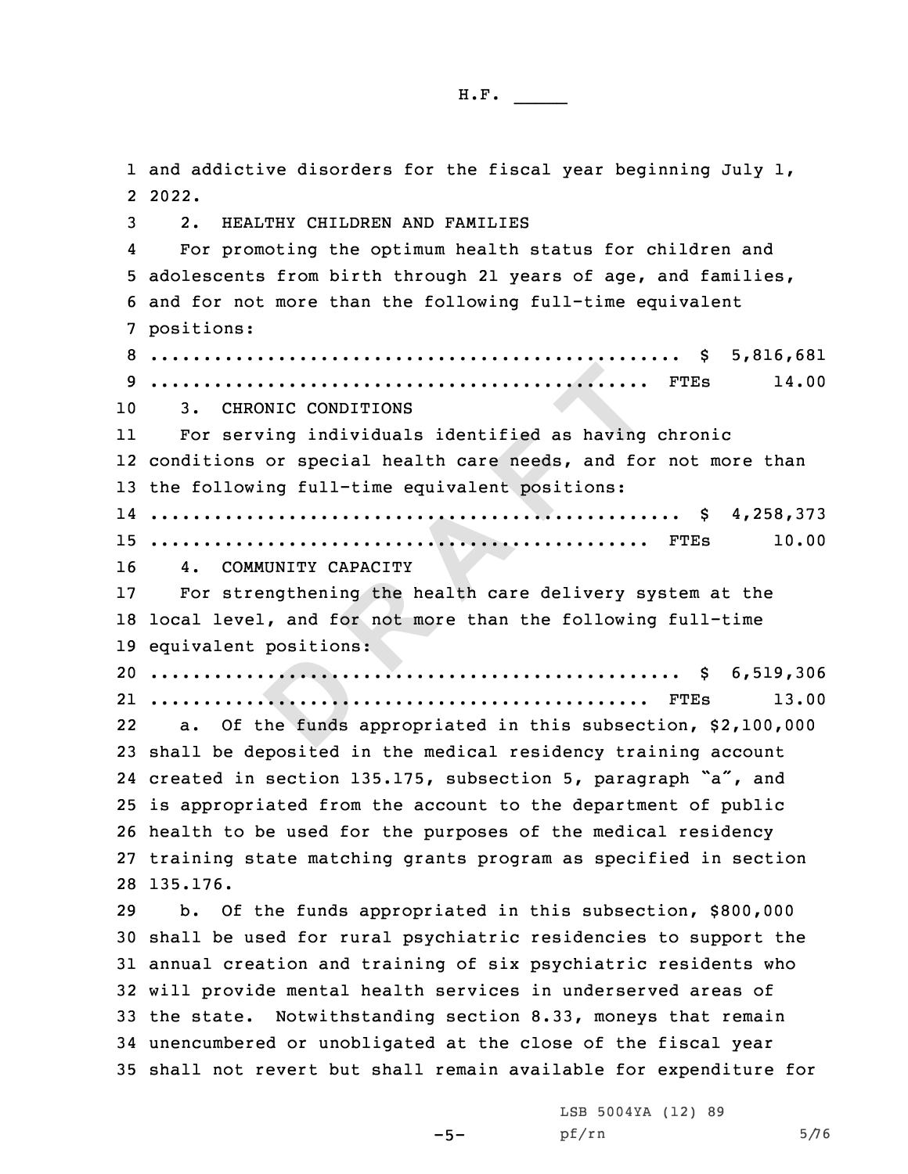**DESERVERS**<br> **DEPARTMENT CONTROL**<br> **DEPARTMENT EXECUTE:**<br> **RRONIC CONDITIONS**<br> **RRONIC CONDITIONS**<br> **RRONIC CONDITIONS**<br> **RRONIC CONDITIONS**<br> **RECONDITIONS**<br> **RECONDITIONS:**<br> **RECONDITIONS:**<br> **CONICITY**<br> **RECONDITIONS:**<br> **RECONDITY**<br> **RECONDITY**<br> **RECONDITY**<br> **RECONDI**  and addictive disorders for the fiscal year beginning July 1, 2 2022. 2. HEALTHY CHILDREN AND FAMILIES 4 For promoting the optimum health status for children and adolescents from birth through 21 years of age, and families, and for not more than the following full-time equivalent positions: .................................................. \$ 5,816,681 ............................................... FTEs 14.00 3. CHRONIC CONDITIONS 11 For serving individuals identified as having chronic conditions or special health care needs, and for not more than the following full-time equivalent positions: .................................................. \$ 4,258,373 ............................................... FTEs 10.00 4. COMMUNITY CAPACITY For strengthening the health care delivery system at the local level, and for not more than the following full-time equivalent positions: .................................................. \$ 6,519,306 ............................................... FTEs 13.00 22 a. Of the funds appropriated in this subsection, \$2,100,000 shall be deposited in the medical residency training account created in section 135.175, subsection 5, paragraph "a", and is appropriated from the account to the department of public health to be used for the purposes of the medical residency training state matching grants program as specified in section 28 135.176. b. Of the funds appropriated in this subsection, \$800,000 shall be used for rural psychiatric residencies to support the annual creation and training of six psychiatric residents who will provide mental health services in underserved areas of the state. Notwithstanding section 8.33, moneys that remain unencumbered or unobligated at the close of the fiscal year shall not revert but shall remain available for expenditure for

 $-5-$ 

LSB 5004YA (12) 89 pf/rn 5/76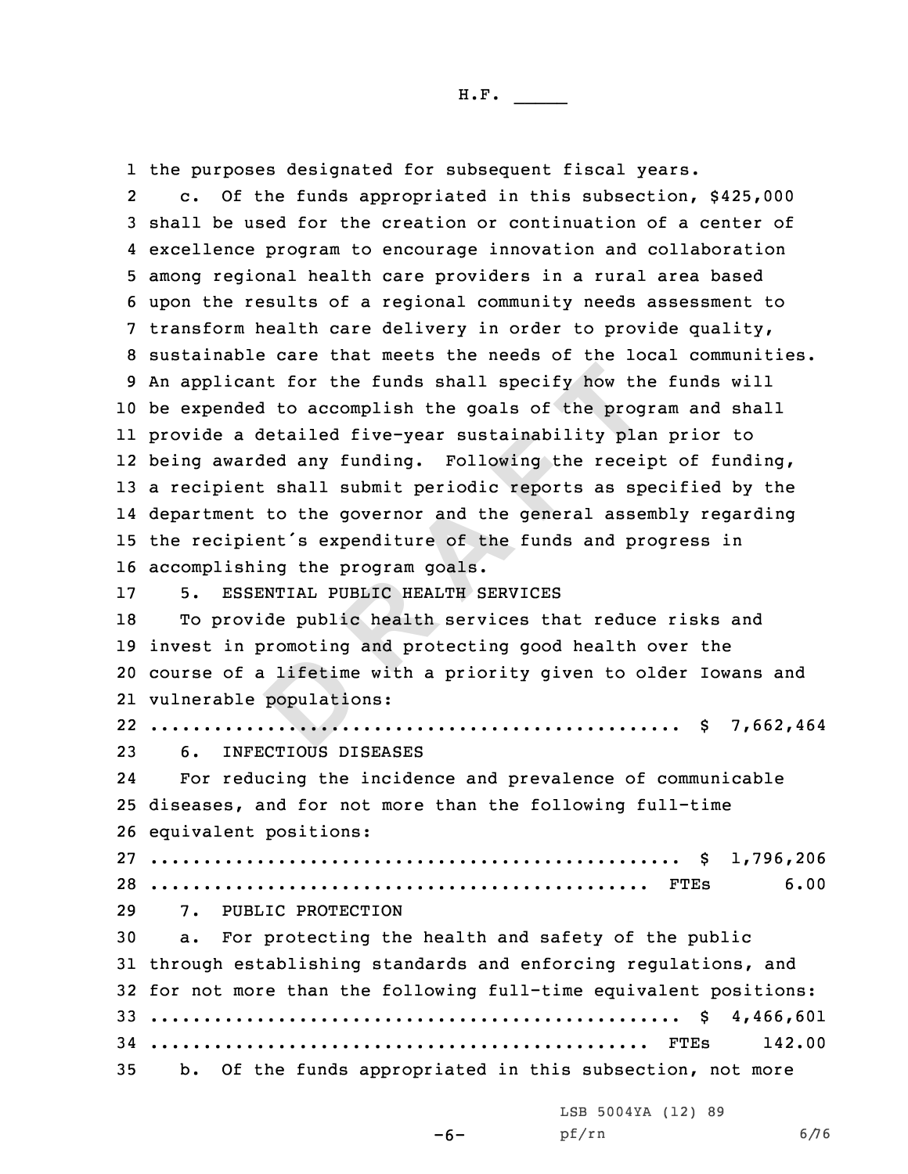1 the purposes designated for subsequent fiscal years.

**D**cant for the funds shall specify how tho<br>ded to accomplish the goals of the prog<br>a detailed five-year sustainability pla<br>arded any funding. Following the receip<br>ent shall submit periodic reports as sp<br>mt to the governor an 2 c. Of the funds appropriated in this subsection, \$425,000 shall be used for the creation or continuation of <sup>a</sup> center of excellence program to encourage innovation and collaboration among regional health care providers in <sup>a</sup> rural area based upon the results of <sup>a</sup> regional community needs assessment to transform health care delivery in order to provide quality, sustainable care that meets the needs of the local communities. An applicant for the funds shall specify how the funds will be expended to accomplish the goals of the program and shall provide <sup>a</sup> detailed five-year sustainability plan prior to being awarded any funding. Following the receipt of funding, <sup>a</sup> recipient shall submit periodic reports as specified by the department to the governor and the general assembly regarding the recipient's expenditure of the funds and progress in accomplishing the program goals. 5. ESSENTIAL PUBLIC HEALTH SERVICES To provide public health services that reduce risks and invest in promoting and protecting good health over the course of <sup>a</sup> lifetime with <sup>a</sup> priority given to older Iowans and vulnerable populations: .................................................. \$ 7,662,464 6. INFECTIOUS DISEASES 24 For reducing the incidence and prevalence of communicable diseases, and for not more than the following full-time equivalent positions: .................................................. \$ 1,796,206 ............................................... FTEs 6.00 7. PUBLIC PROTECTION a. For protecting the health and safety of the public through establishing standards and enforcing regulations, and for not more than the following full-time equivalent positions: .................................................. \$ 4,466,601 ............................................... FTEs 142.00 b. Of the funds appropriated in this subsection, not more

LSB 5004YA (12) 89

-6-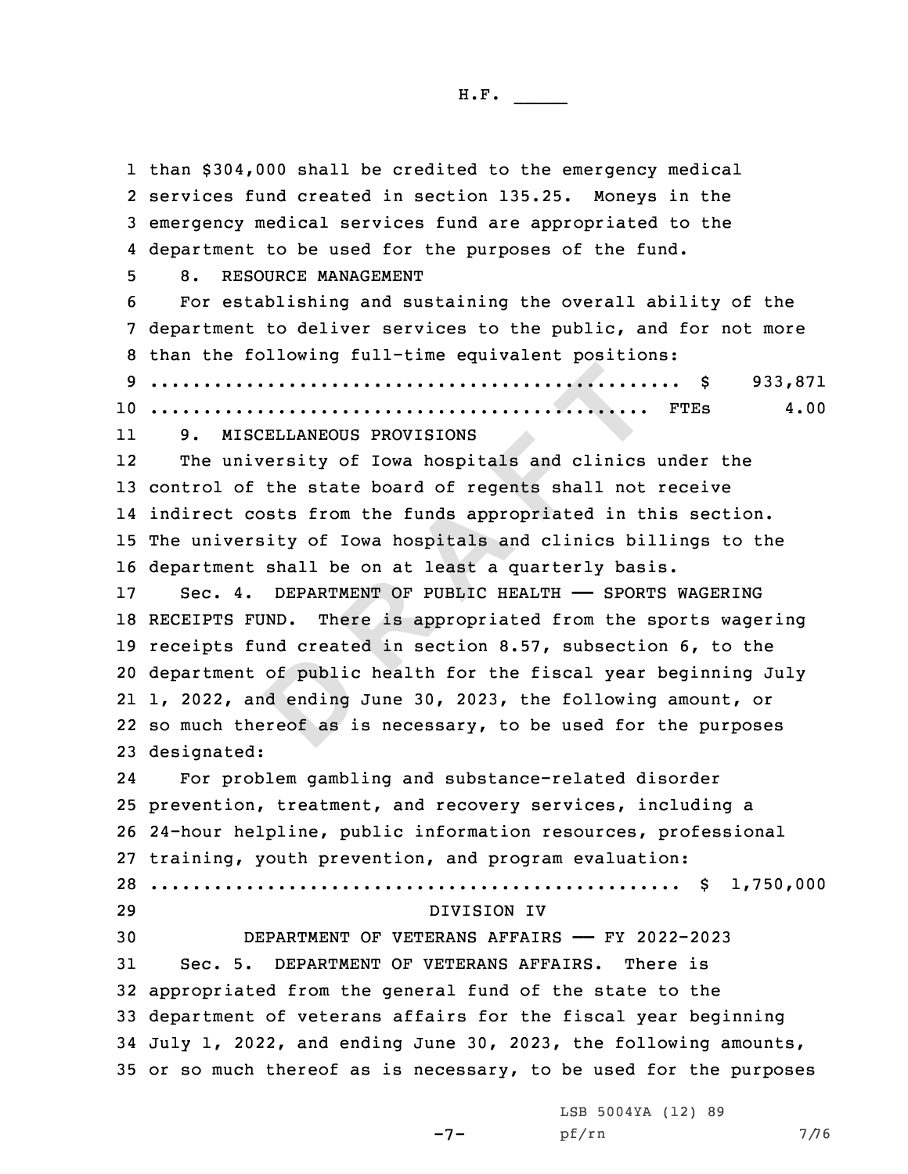of public<br>d ending<br>reof as i **EXECUTE THE TENT SECUTE AND SECUTE AND SECUTE ANEOUS PROVISIONS**<br>
miversity of Iowa hospitals and clinics<br>
of the state board of regents shall not<br>
costs from the funds appropriated in ti<br>
ersity of Iowa hospitals and cli than \$304,000 shall be credited to the emergency medical services fund created in section 135.25. Moneys in the emergency medical services fund are appropriated to the department to be used for the purposes of the fund. 8. RESOURCE MANAGEMENT For establishing and sustaining the overall ability of the department to deliver services to the public, and for not more than the following full-time equivalent positions: .................................................. \$ 933,871 ............................................... FTEs 4.00 11 9. MISCELLANEOUS PROVISIONS 12 The university of Iowa hospitals and clinics under the control of the state board of regents shall not receive indirect costs from the funds appropriated in this section. The university of Iowa hospitals and clinics billings to the department shall be on at least <sup>a</sup> quarterly basis. Sec. 4. DEPARTMENT OF PUBLIC HEALTH —— SPORTS WAGERING RECEIPTS FUND. There is appropriated from the sports wagering receipts fund created in section 8.57, subsection 6, to the department of public health for the fiscal year beginning July 1, 2022, and ending June 30, 2023, the following amount, or so much thereof as is necessary, to be used for the purposes designated: 24 For problem gambling and substance-related disorder prevention, treatment, and recovery services, including <sup>a</sup> 24-hour helpline, public information resources, professional training, youth prevention, and program evaluation: .................................................. \$ 1,750,000 DIVISION IV DEPARTMENT OF VETERANS AFFAIRS —— FY 2022-2023 Sec. 5. DEPARTMENT OF VETERANS AFFAIRS. There is appropriated from the general fund of the state to the department of veterans affairs for the fiscal year beginning July 1, 2022, and ending June 30, 2023, the following amounts, or so much thereof as is necessary, to be used for the purposes

-7-

LSB 5004YA (12) 89 pf/rn 7/76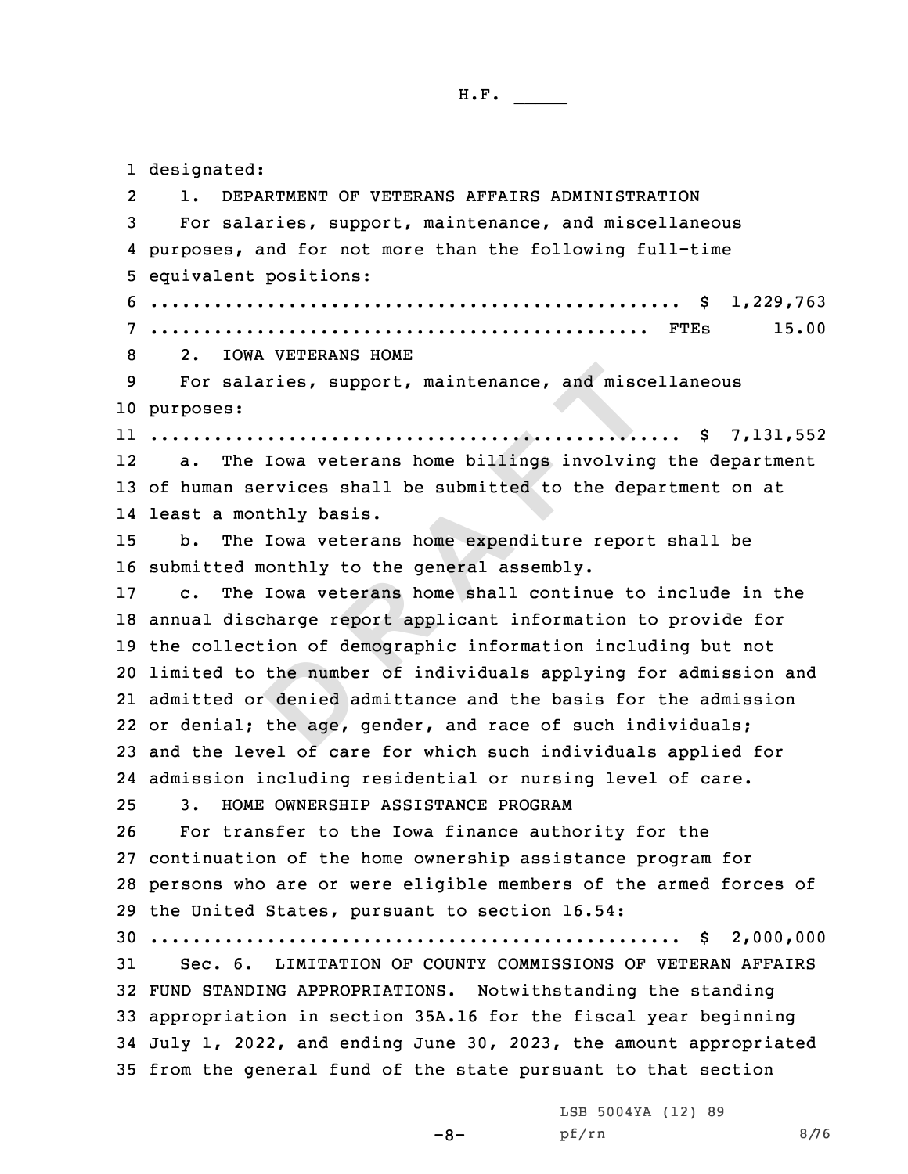1 designated:

the numbe<br>
denied a<br>
the age, alaries, support, maintenance, and misconductive and more interests:<br> **R EXECUTE:**<br> **R EXECUTE:**<br> **R EXECUTE:**<br> **R EXECUTE:**<br> **R EXECUTE:**<br> **R EXECUTE:**<br> **R EXECUTE:**<br> **R EXECUTE:**<br> **R EXECUTE:**<br> **R EXE** 2 1. DEPARTMENT OF VETERANS AFFAIRS ADMINISTRATION For salaries, support, maintenance, and miscellaneous purposes, and for not more than the following full-time equivalent positions: .................................................. \$ 1,229,763 ............................................... FTEs 15.00 2. IOWA VETERANS HOME For salaries, support, maintenance, and miscellaneous purposes: .................................................. \$ 7,131,552 12 a. The Iowa veterans home billings involving the department of human services shall be submitted to the department on at least <sup>a</sup> monthly basis. b. The Iowa veterans home expenditure report shall be submitted monthly to the general assembly. c. The Iowa veterans home shall continue to include in the annual discharge report applicant information to provide for the collection of demographic information including but not limited to the number of individuals applying for admission and admitted or denied admittance and the basis for the admission or denial; the age, gender, and race of such individuals; and the level of care for which such individuals applied for admission including residential or nursing level of care. 3. HOME OWNERSHIP ASSISTANCE PROGRAM For transfer to the Iowa finance authority for the continuation of the home ownership assistance program for persons who are or were eligible members of the armed forces of the United States, pursuant to section 16.54: .................................................. \$ 2,000,000 Sec. 6. LIMITATION OF COUNTY COMMISSIONS OF VETERAN AFFAIRS FUND STANDING APPROPRIATIONS. Notwithstanding the standing appropriation in section 35A.16 for the fiscal year beginning July 1, 2022, and ending June 30, 2023, the amount appropriated from the general fund of the state pursuant to that section

LSB 5004YA (12) 89

pf/rn 8/76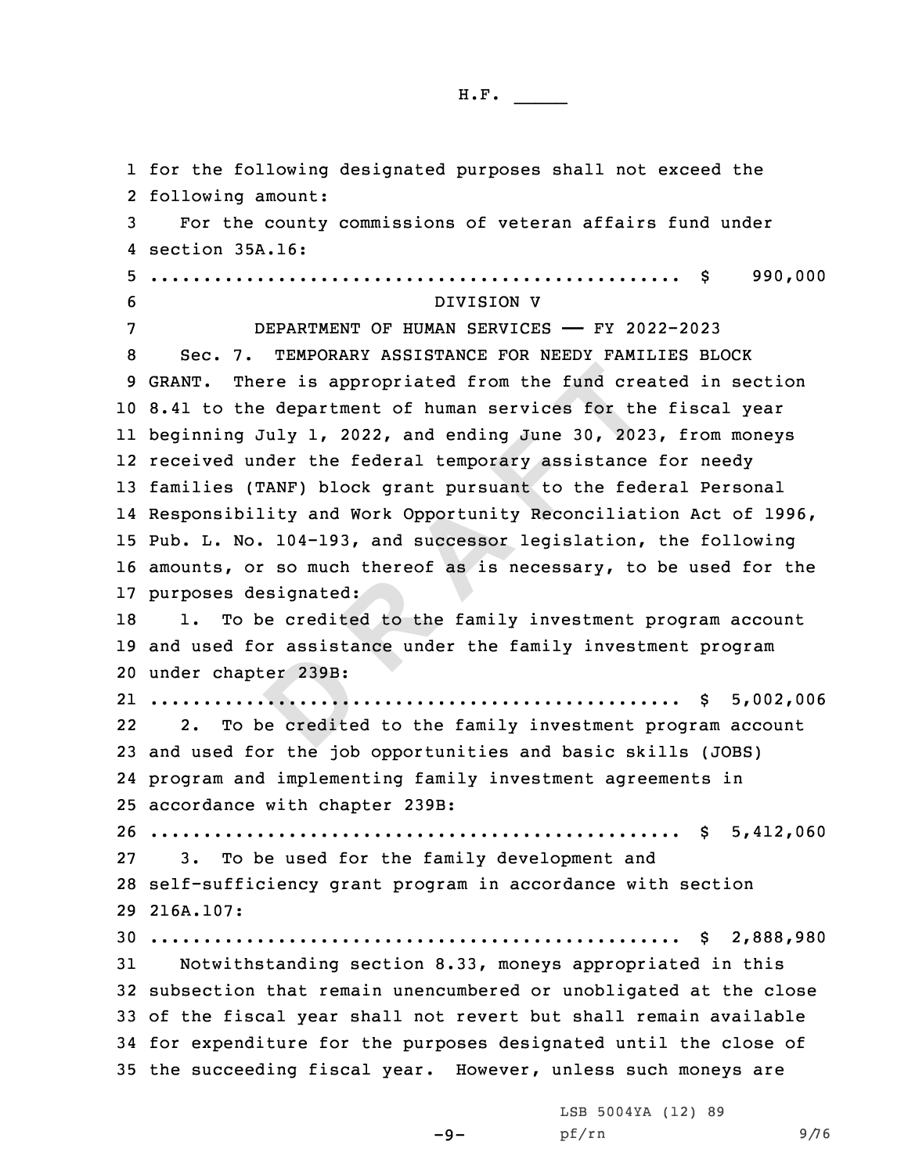er 239B:<br> **DEPERTMENT**<br>
Dependence<br>
Dependence There is appropriated from the fund creative department of human services for the department of human services for the g July 1, 2022, and ending June 30, 2021 under the federal temporary assistance (TANF) block grant purs for the following designated purposes shall not exceed the following amount: For the county commissions of veteran affairs fund under section 35A.16: .................................................. \$ 990,000 DIVISION V DEPARTMENT OF HUMAN SERVICES —— FY 2022-2023 Sec. 7. TEMPORARY ASSISTANCE FOR NEEDY FAMILIES BLOCK GRANT. There is appropriated from the fund created in section 8.41 to the department of human services for the fiscal year beginning July 1, 2022, and ending June 30, 2023, from moneys received under the federal temporary assistance for needy families (TANF) block grant pursuant to the federal Personal Responsibility and Work Opportunity Reconciliation Act of 1996, Pub. L. No. 104-193, and successor legislation, the following amounts, or so much thereof as is necessary, to be used for the purposes designated: 18 1. To be credited to the family investment program account and used for assistance under the family investment program under chapter 239B: .................................................. \$ 5,002,006 22 2. To be credited to the family investment program account and used for the job opportunities and basic skills (JOBS) program and implementing family investment agreements in accordance with chapter 239B: .................................................. \$ 5,412,060 3. To be used for the family development and self-sufficiency grant program in accordance with section 216A.107: .................................................. \$ 2,888,980 Notwithstanding section 8.33, moneys appropriated in this subsection that remain unencumbered or unobligated at the close of the fiscal year shall not revert but shall remain available for expenditure for the purposes designated until the close of the succeeding fiscal year. However, unless such moneys are

 $-9-$ 

LSB 5004YA (12) 89 pf/rn 9/76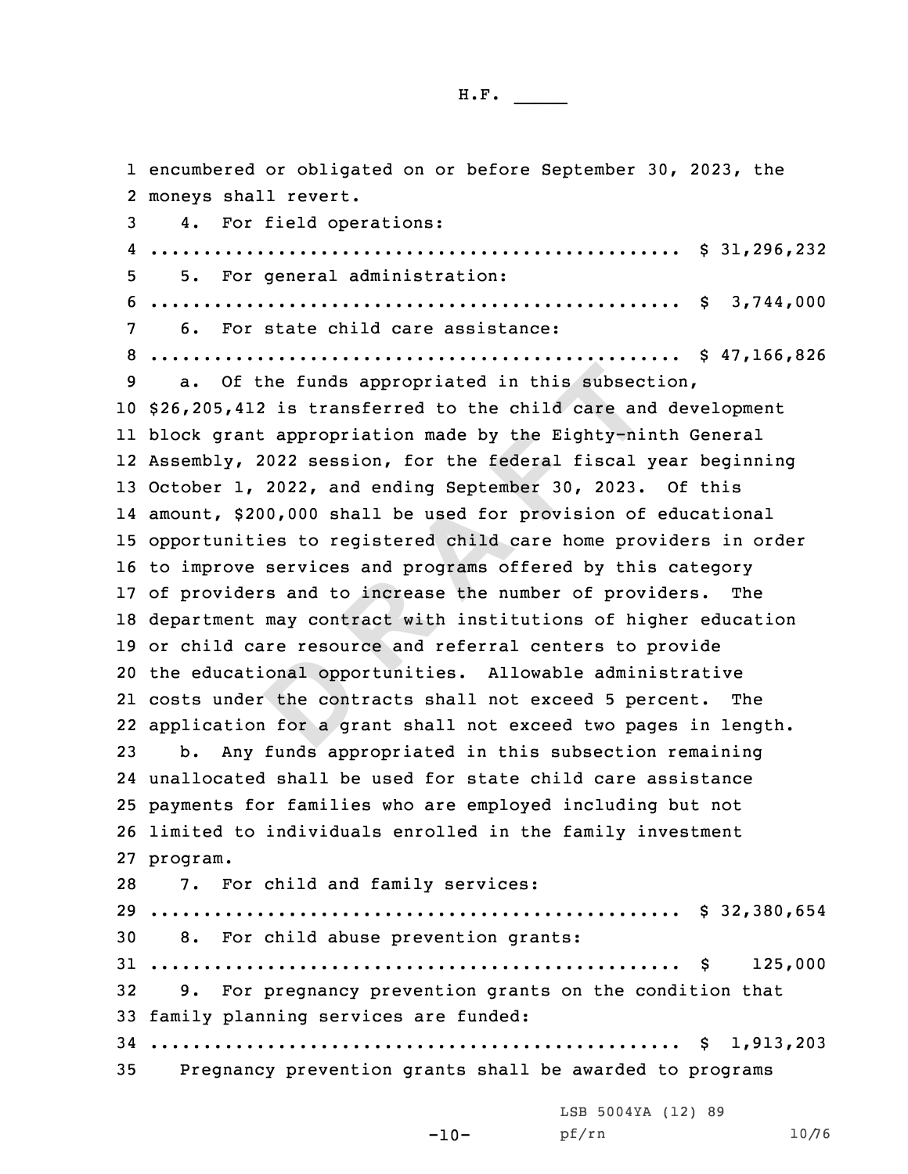onal oppo:<br>the cont:<br>the cont<br>of a gr f the funds appropriated in this subsect<br>412 is transferred to the child care and<br>ant appropriation made by the Eighty-ni<br>, 2022 session, for the federal fiscal<br>1, 2022, and ending September 30, 2023.<br>\$200,000 shall be use encumbered or obligated on or before September 30, 2023, the moneys shall revert. 4. For field operations: .................................................. \$ 31,296,232 5. For general administration: .................................................. \$ 3,744,000 6. For state child care assistance: .................................................. \$ 47,166,826 a. Of the funds appropriated in this subsection, \$26,205,412 is transferred to the child care and development block grant appropriation made by the Eighty-ninth General Assembly, 2022 session, for the federal fiscal year beginning October 1, 2022, and ending September 30, 2023. Of this amount, \$200,000 shall be used for provision of educational opportunities to registered child care home providers in order to improve services and programs offered by this category of providers and to increase the number of providers. The department may contract with institutions of higher education or child care resource and referral centers to provide the educational opportunities. Allowable administrative costs under the contracts shall not exceed 5 percent. The application for <sup>a</sup> grant shall not exceed two pages in length. b. Any funds appropriated in this subsection remaining unallocated shall be used for state child care assistance payments for families who are employed including but not limited to individuals enrolled in the family investment 27 program. 7. For child and family services: .................................................. \$ 32,380,654 8. For child abuse prevention grants: .................................................. \$ 125,000 9. For pregnancy prevention grants on the condition that family planning services are funded: .................................................. \$ 1,913,203 Pregnancy prevention grants shall be awarded to programs LSB 5004YA (12) 89

-10-

pf/rn 10/76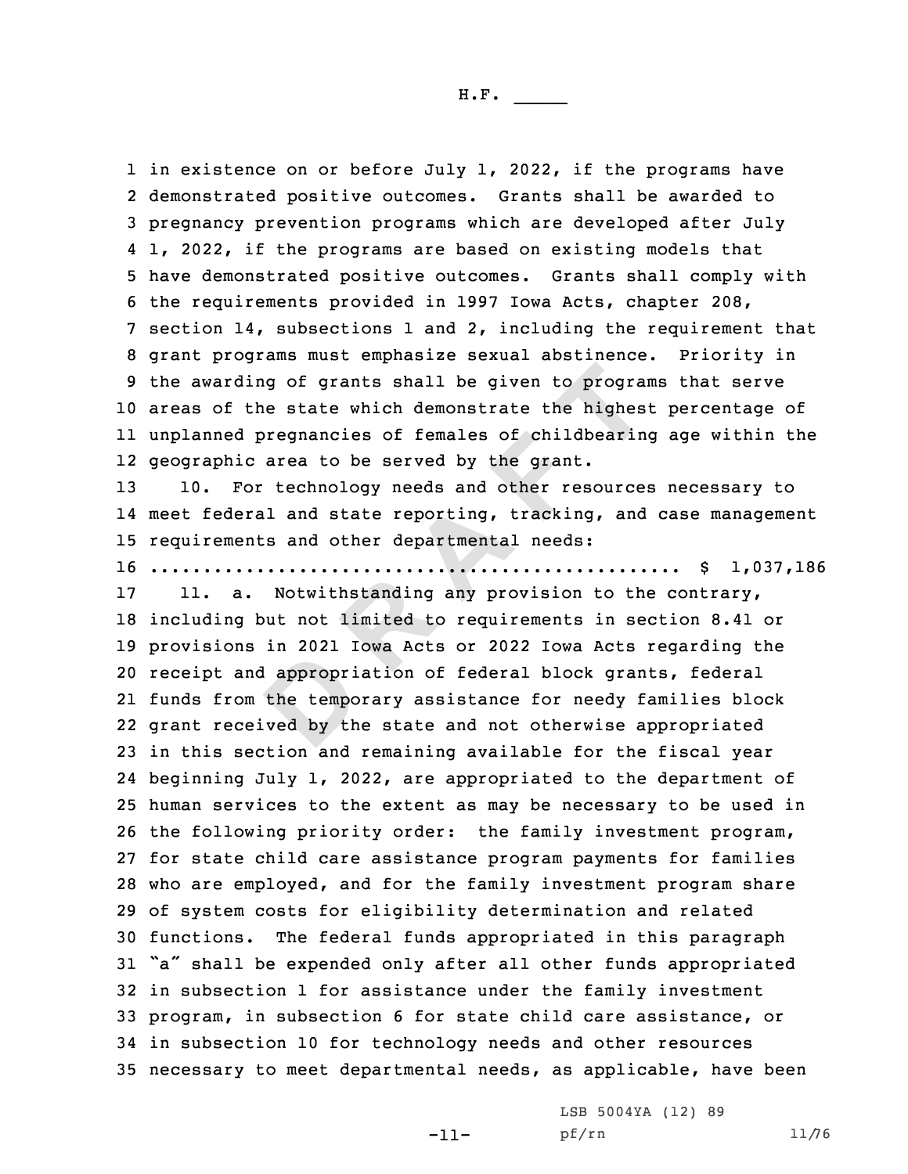1 in existence on or before July 1, 2022, if the programs have demonstrated positive outcomes. Grants shall be awarded to pregnancy prevention programs which are developed after July 1, 2022, if the programs are based on existing models that have demonstrated positive outcomes. Grants shall comply with the requirements provided in 1997 Iowa Acts, chapter 208, section 14, subsections 1 and 2, including the requirement that grant programs must emphasize sexual abstinence. Priority in the awarding of grants shall be given to programs that serve areas of the state which demonstrate the highest percentage of unplanned pregnancies of females of childbearing age within the geographic area to be served by the grant.

13 10. For technology needs and other resources necessary to 14 meet federal and state reporting, tracking, and case management 15 requirements and other departmental needs:

16 .................................................. \$ 1,037,186

d appropri<br>the tempo<br>ved by th ding of grants shall be given to program<br>the state which demonstrate the highes<br>d pregnancies of females of childbearin<br>ic area to be served by the grant.<br>For technology needs and other resource:<br>eral and state reporting, 11. a. Notwithstanding any provision to the contrary, including but not limited to requirements in section 8.41 or provisions in 2021 Iowa Acts or 2022 Iowa Acts regarding the receipt and appropriation of federal block grants, federal funds from the temporary assistance for needy families block grant received by the state and not otherwise appropriated in this section and remaining available for the fiscal year beginning July 1, 2022, are appropriated to the department of human services to the extent as may be necessary to be used in the following priority order: the family investment program, for state child care assistance program payments for families who are employed, and for the family investment program share of system costs for eligibility determination and related functions. The federal funds appropriated in this paragraph "a" shall be expended only after all other funds appropriated in subsection 1 for assistance under the family investment program, in subsection 6 for state child care assistance, or in subsection 10 for technology needs and other resources necessary to meet departmental needs, as applicable, have been

-11-

LSB 5004YA (12) 89 pf/rn 11/76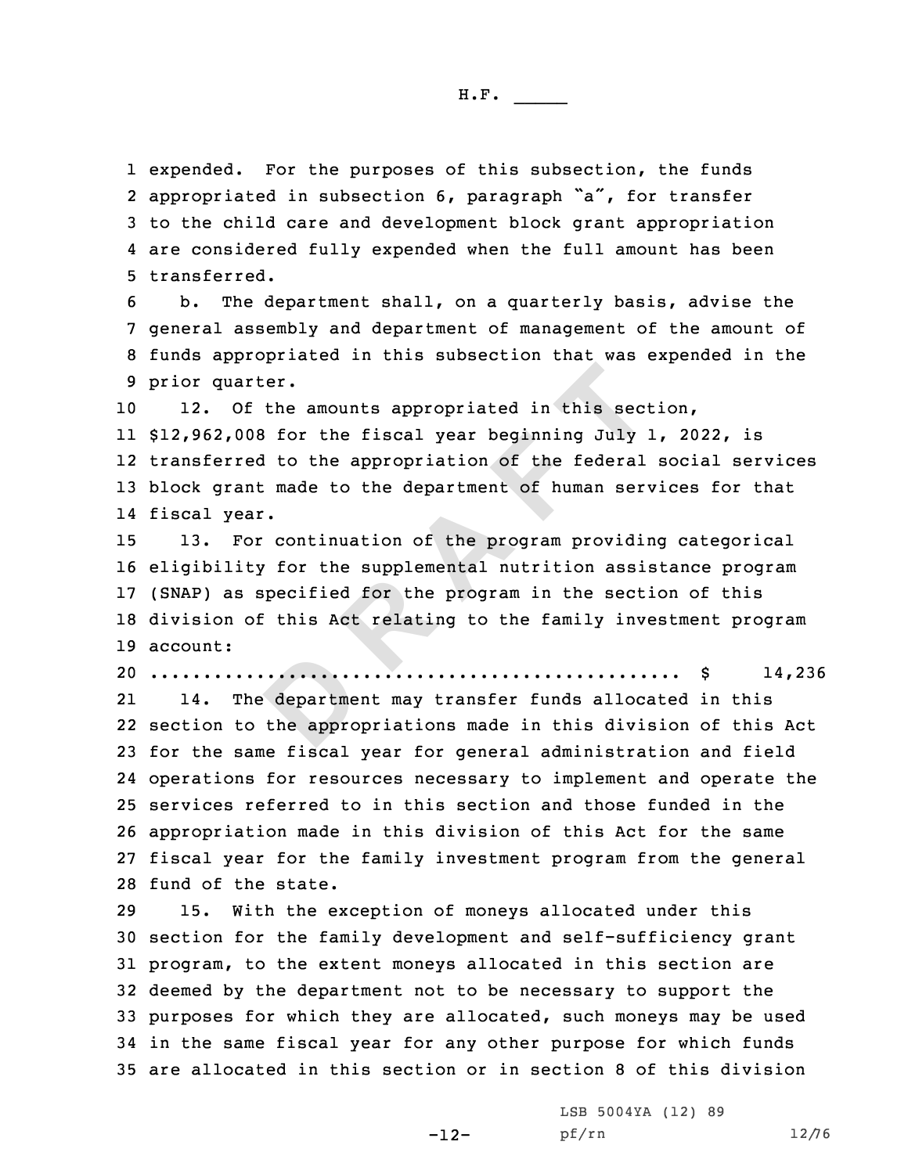expended. For the purposes of this subsection, the funds 2 appropriated in subsection 6, paragraph "a", for transfer to the child care and development block grant appropriation are considered fully expended when the full amount has been transferred.

 b. The department shall, on <sup>a</sup> quarterly basis, advise the general assembly and department of management of the amount of funds appropriated in this subsection that was expended in the prior quarter.

 12. Of the amounts appropriated in this section, \$12,962,008 for the fiscal year beginning July 1, 2022, is transferred to the appropriation of the federal social services block grant made to the department of human services for that fiscal year.

arter.<br>
Of the amounts appropriated in this sect<br>
008 for the fiscal year beginning July<br>
red to the appropriation of the federal<br>
ant made to the department of human ser<br>
ear.<br>
For continuation of the program providing<br>
i 13. For continuation of the program providing categorical eligibility for the supplemental nutrition assistance program (SNAP) as specified for the program in the section of this division of this Act relating to the family investment program 19 account:

20 .................................................. \$ 14,236

department<br>the appro 21 14. The department may transfer funds allocated in this section to the appropriations made in this division of this Act for the same fiscal year for general administration and field operations for resources necessary to implement and operate the services referred to in this section and those funded in the appropriation made in this division of this Act for the same fiscal year for the family investment program from the general fund of the state.

 15. With the exception of moneys allocated under this section for the family development and self-sufficiency grant program, to the extent moneys allocated in this section are deemed by the department not to be necessary to support the purposes for which they are allocated, such moneys may be used in the same fiscal year for any other purpose for which funds are allocated in this section or in section 8 of this division

-12-

LSB 5004YA (12) 89 pf/rn 12/76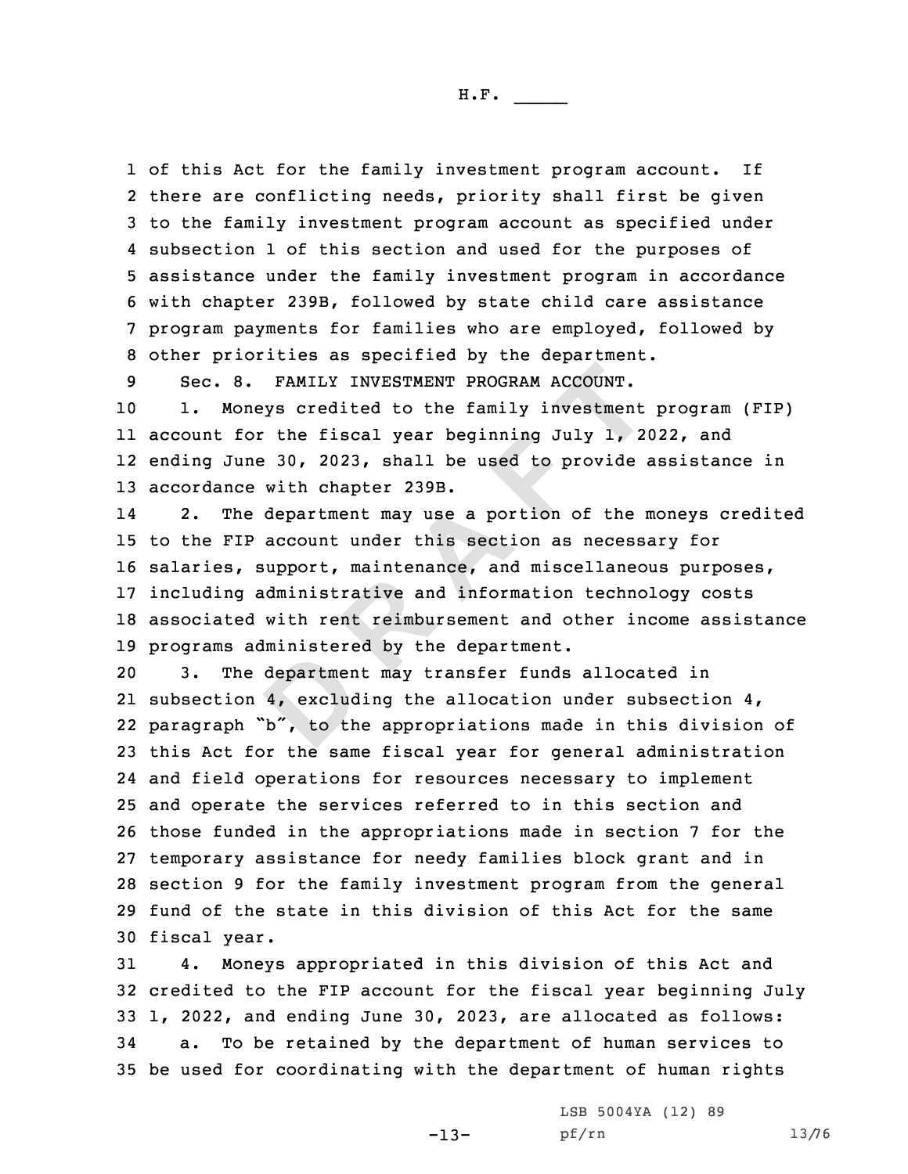of this Act for the family investment program account. If there are conflicting needs, priority shall first be given to the family investment program account as specified under subsection 1 of this section and used for the purposes of assistance under the family investment program in accordance with chapter 239B, followed by state child care assistance program payments for families who are employed, followed by other priorities as specified by the department.

9 Sec. 8. FAMILY INVESTMENT PROGRAM ACCOUNT.

 1. Moneys credited to the family investment program (FIP) account for the fiscal year beginning July 1, 2022, and ending June 30, 2023, shall be used to provide assistance in accordance with chapter 239B.

8. FAMILY INVESTMENT PROGRAM ACCOUNT.<br>
oneys credited to the family investment<br>
for the fiscal year beginning July 1, 2<br>
une 30, 2023, shall be used to provide<br>
ce with chapter 239B.<br>
he department may use a portion of the 14 2. The department may use <sup>a</sup> portion of the moneys credited to the FIP account under this section as necessary for salaries, support, maintenance, and miscellaneous purposes, including administrative and information technology costs associated with rent reimbursement and other income assistance programs administered by the department.

departmen<br>4, exclud<br>b", to th 3. The department may transfer funds allocated in subsection 4, excluding the allocation under subsection 4, paragraph "b", to the appropriations made in this division of this Act for the same fiscal year for general administration and field operations for resources necessary to implement and operate the services referred to in this section and those funded in the appropriations made in section 7 for the temporary assistance for needy families block grant and in section 9 for the family investment program from the general fund of the state in this division of this Act for the same fiscal year.

 4. Moneys appropriated in this division of this Act and credited to the FIP account for the fiscal year beginning July 1, 2022, and ending June 30, 2023, are allocated as follows: a. To be retained by the department of human services to be used for coordinating with the department of human rights

-13-

LSB 5004YA (12) 89 pf/rn 13/76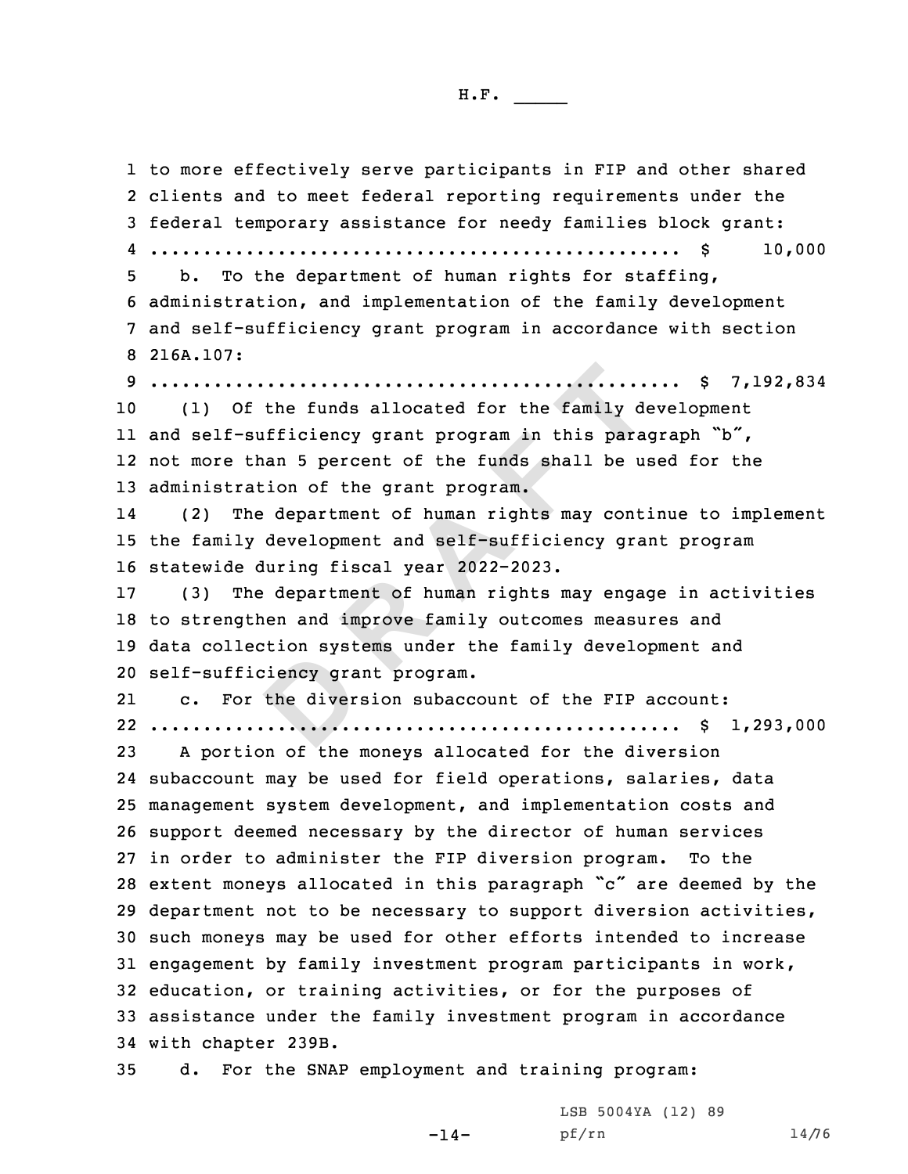| <b></b><br>ж |  |  |
|--------------|--|--|
|              |  |  |

Extrem bybe<br>
beincy granthendiver **Resolution** of the funds allocated for the family dependence of the family dependence of the funds shall be used<br>than 5 percent of the funds shall be used than 5 percent of the funds shall be used than 5 percent of the fu to more effectively serve participants in FIP and other shared clients and to meet federal reporting requirements under the federal temporary assistance for needy families block grant: .................................................. \$ 10,000 b. To the department of human rights for staffing, administration, and implementation of the family development and self-sufficiency grant program in accordance with section 216A.107: .................................................. \$ 7,192,834 (1) Of the funds allocated for the family development and self-sufficiency grant program in this paragraph "b", not more than 5 percent of the funds shall be used for the administration of the grant program. 14 (2) The department of human rights may continue to implement the family development and self-sufficiency grant program statewide during fiscal year 2022-2023. (3) The department of human rights may engage in activities to strengthen and improve family outcomes measures and data collection systems under the family development and self-sufficiency grant program. 21 c. For the diversion subaccount of the FIP account: .................................................. \$ 1,293,000 <sup>A</sup> portion of the moneys allocated for the diversion subaccount may be used for field operations, salaries, data management system development, and implementation costs and support deemed necessary by the director of human services in order to administer the FIP diversion program. To the extent moneys allocated in this paragraph "c" are deemed by the department not to be necessary to support diversion activities, such moneys may be used for other efforts intended to increase engagement by family investment program participants in work, education, or training activities, or for the purposes of assistance under the family investment program in accordance with chapter 239B. d. For the SNAP employment and training program:

 $-14-$ 

LSB 5004YA (12) 89 pf/rn 14/76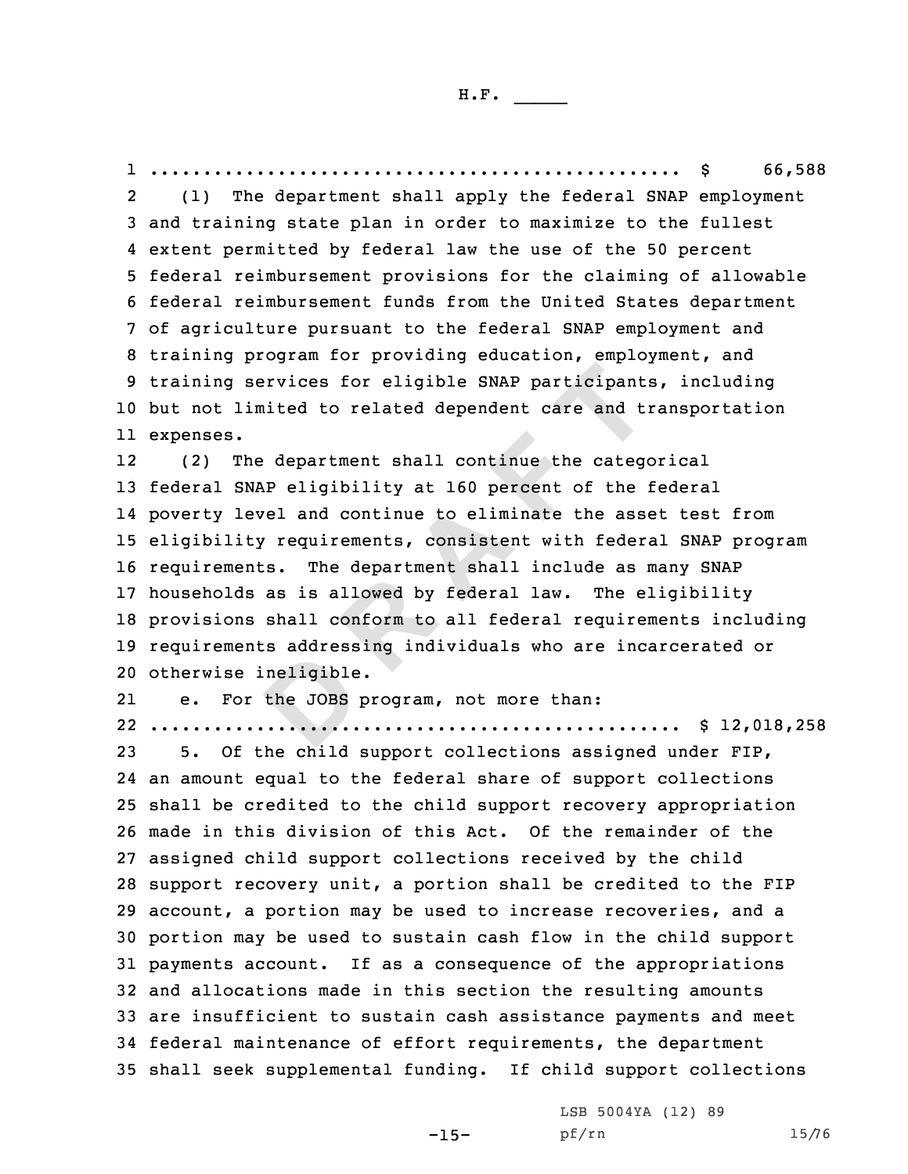**D <sup>R</sup> <sup>A</sup> <sup>F</sup> <sup>T</sup>** 1 .................................................. \$ 66,588 2 (1) The department shall apply the federal SNAP employment and training state plan in order to maximize to the fullest extent permitted by federal law the use of the 50 percent federal reimbursement provisions for the claiming of allowable federal reimbursement funds from the United States department of agriculture pursuant to the federal SNAP employment and training program for providing education, employment, and training services for eligible SNAP participants, including but not limited to related dependent care and transportation expenses. 12 (2) The department shall continue the categorical federal SNAP eligibility at 160 percent of the federal poverty level and continue to eliminate the asset test from eligibility requirements, consistent with federal SNAP program requirements. The department shall include as many SNAP households as is allowed by federal law. The eligibility provisions shall conform to all federal requirements including requirements addressing individuals who are incarcerated or otherwise ineligible. 21 e. For the JOBS program, not more than: .................................................. \$ 12,018,258 5. Of the child support collections assigned under FIP, an amount equal to the federal share of support collections shall be credited to the child support recovery appropriation made in this division of this Act. Of the remainder of the assigned child support collections received by the child support recovery unit, <sup>a</sup> portion shall be credited to the FIP account, <sup>a</sup> portion may be used to increase recoveries, and <sup>a</sup> portion may be used to sustain cash flow in the child support payments account. If as <sup>a</sup> consequence of the appropriations and allocations made in this section the resulting amounts are insufficient to sustain cash assistance payments and meet federal maintenance of effort requirements, the department shall seek supplemental funding. If child support collections

-15-

LSB 5004YA (12) 89 pf/rn 15/76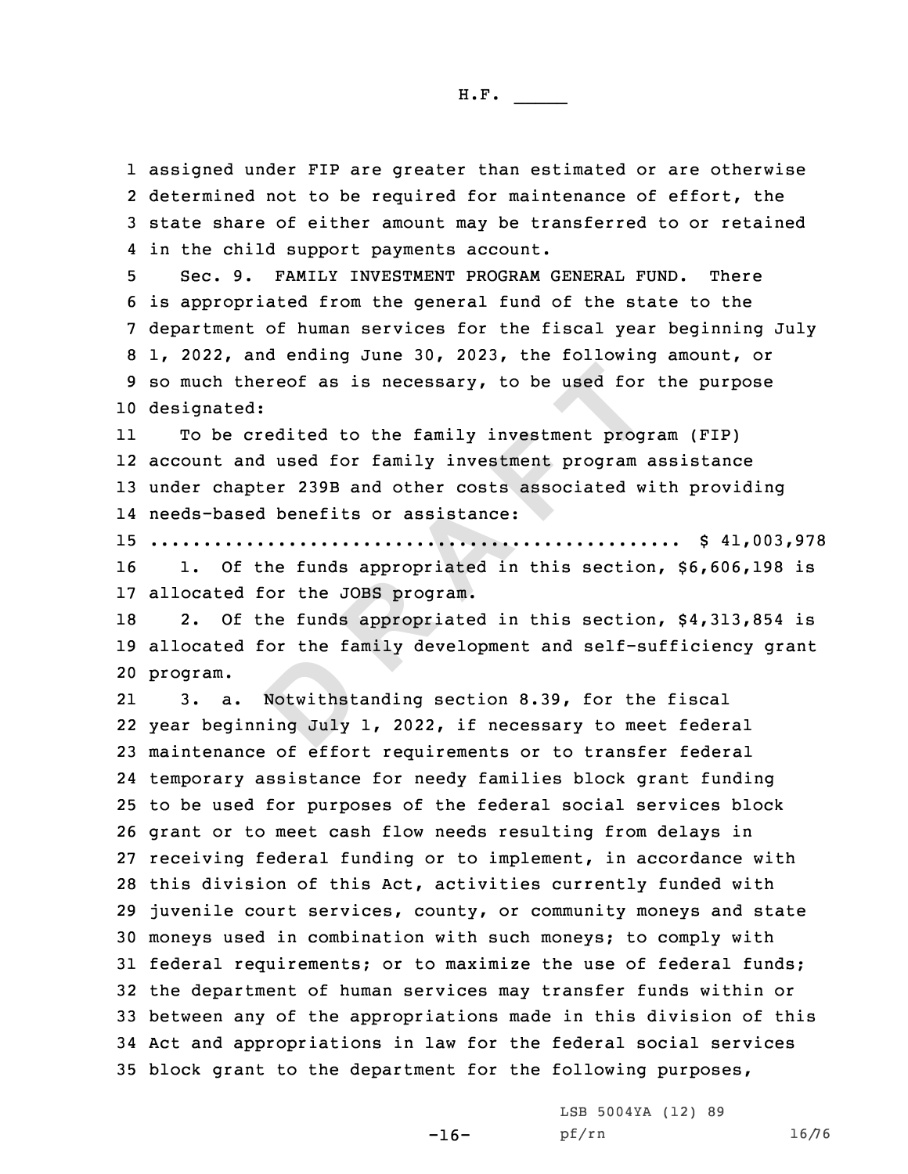assigned under FIP are greater than estimated or are otherwise 2 determined not to be required for maintenance of effort, the state share of either amount may be transferred to or retained in the child support payments account.

 Sec. 9. FAMILY INVESTMENT PROGRAM GENERAL FUND. There is appropriated from the general fund of the state to the department of human services for the fiscal year beginning July 1, 2022, and ending June 30, 2023, the following amount, or so much thereof as is necessary, to be used for the purpose designated:

thereof as is necessary, to be used for<br>ed:<br>credited to the family investment program<br>and used for family investment program<br>apter 239B and other costs associated w<br>sed benefits or assistance:<br>............................. 11 To be credited to the family investment program (FIP) 12 account and used for family investment program assistance 13 under chapter 239B and other costs associated with providing 14 needs-based benefits or assistance:

15 .................................................. \$ 41,003,978

16 1. Of the funds appropriated in this section, \$6,606,198 is 17 allocated for the JOBS program.

18 2. Of the funds appropriated in this section, \$4,313,854 is 19 allocated for the family development and self-sufficiency grant 20 program.

**Notwithst**<br>**Notwithst**<br>ing July 21 3. a. Notwithstanding section 8.39, for the fiscal year beginning July 1, 2022, if necessary to meet federal maintenance of effort requirements or to transfer federal temporary assistance for needy families block grant funding to be used for purposes of the federal social services block grant or to meet cash flow needs resulting from delays in receiving federal funding or to implement, in accordance with this division of this Act, activities currently funded with juvenile court services, county, or community moneys and state moneys used in combination with such moneys; to comply with federal requirements; or to maximize the use of federal funds; the department of human services may transfer funds within or between any of the appropriations made in this division of this Act and appropriations in law for the federal social services block grant to the department for the following purposes,

-16-

LSB 5004YA (12) 89 pf/rn 16/76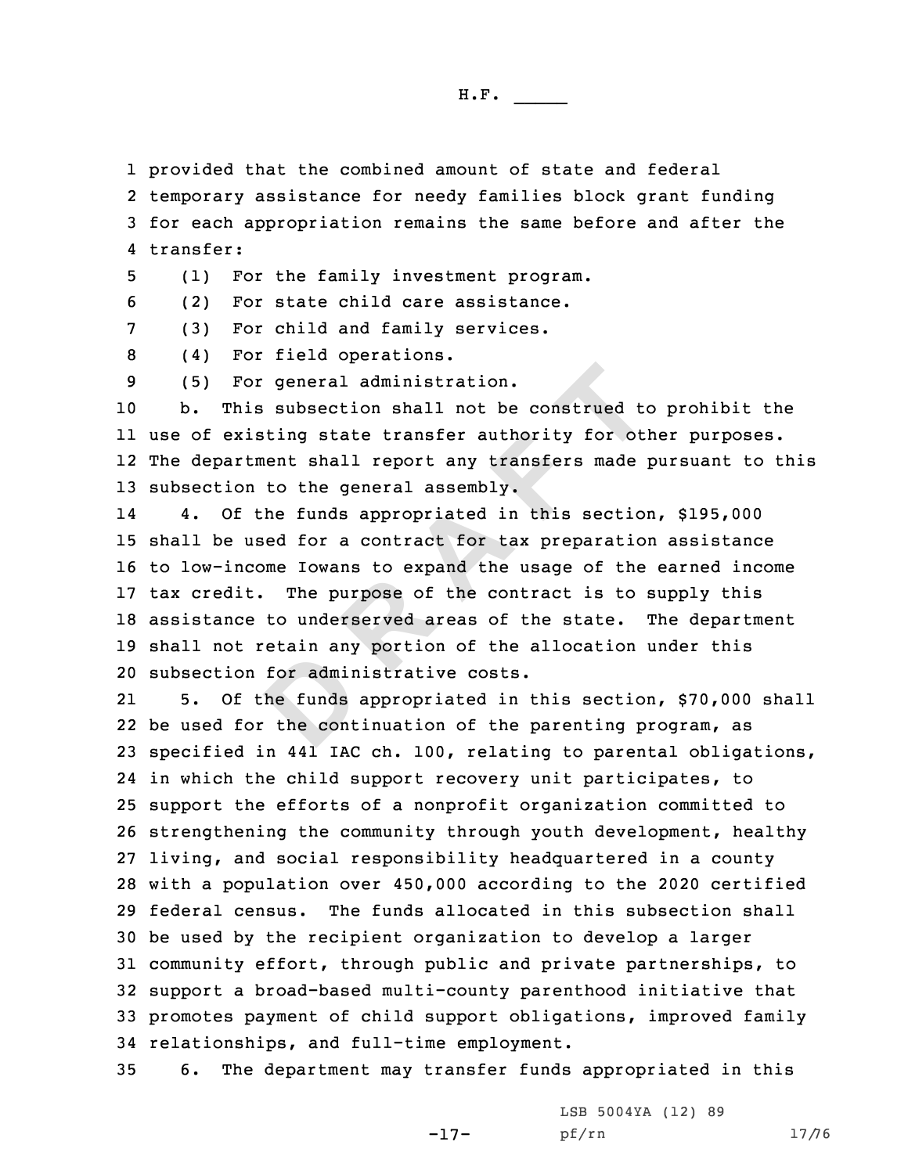1 provided that the combined amount of state and federal

2 temporary assistance for needy families block grant funding 3 for each appropriation remains the same before and after the 4 transfer:

5 (1) For the family investment program.

6 (2) For state child care assistance.

7 (3) For child and family services.

8 (4) For field operations.

9 (5) For general administration.

 b. This subsection shall not be construed to prohibit the use of existing state transfer authority for other purposes. The department shall report any transfers made pursuant to this subsection to the general assembly.

For general administration.<br>his subsection shall not be construed to<br>xisting state transfer authority for otl<br>rtment shall report any transfers made 1<br>on to the general assembly.<br>f the funds appropriated in this section<br>us 14 4. Of the funds appropriated in this section, \$195,000 shall be used for <sup>a</sup> contract for tax preparation assistance to low-income Iowans to expand the usage of the earned income tax credit. The purpose of the contract is to supply this assistance to underserved areas of the state. The department shall not retain any portion of the allocation under this subsection for administrative costs.

for admin<br>the funds<br>the cont 21 5. Of the funds appropriated in this section, \$70,000 shall be used for the continuation of the parenting program, as specified in 441 IAC ch. 100, relating to parental obligations, in which the child support recovery unit participates, to support the efforts of <sup>a</sup> nonprofit organization committed to strengthening the community through youth development, healthy living, and social responsibility headquartered in <sup>a</sup> county with <sup>a</sup> population over 450,000 according to the 2020 certified federal census. The funds allocated in this subsection shall be used by the recipient organization to develop <sup>a</sup> larger community effort, through public and private partnerships, to support <sup>a</sup> broad-based multi-county parenthood initiative that promotes payment of child support obligations, improved family relationships, and full-time employment.

35 6. The department may transfer funds appropriated in this

-17-

LSB 5004YA (12) 89 pf/rn 17/76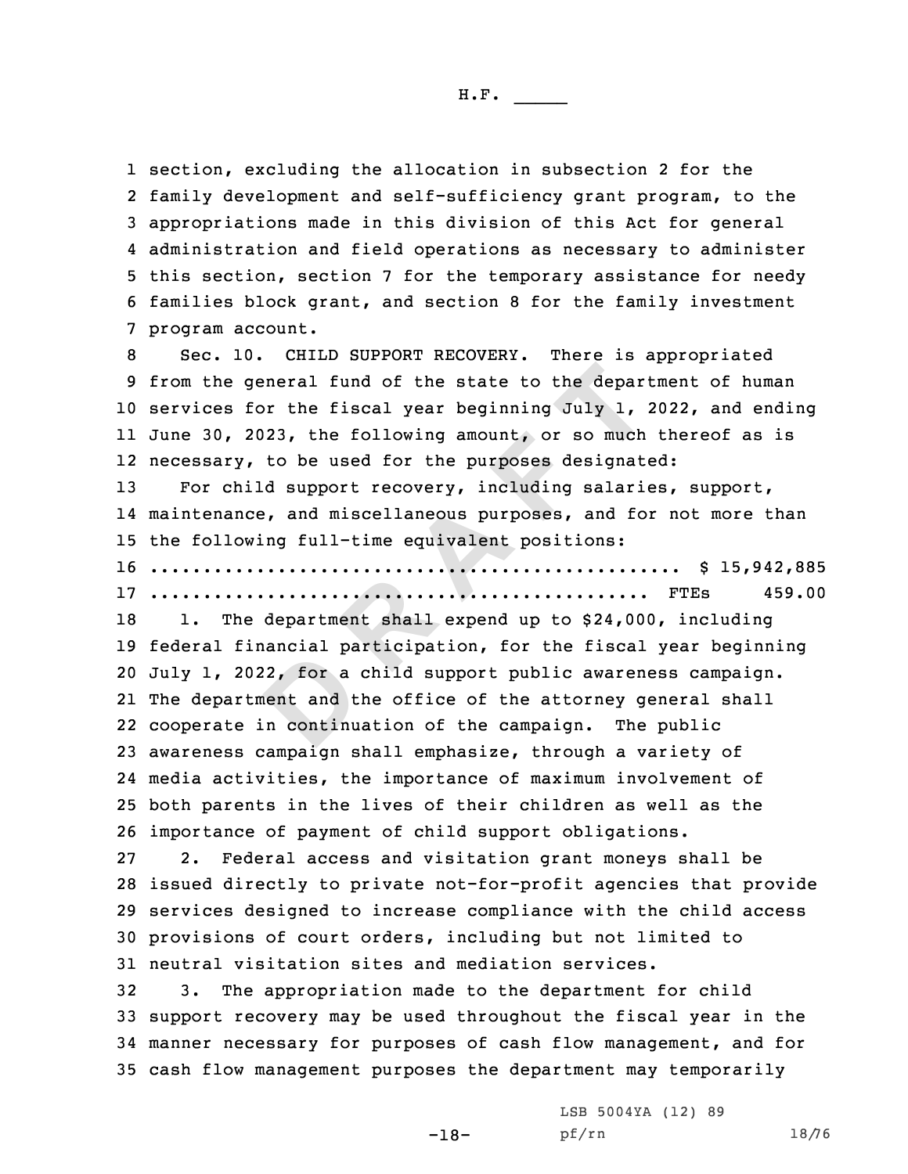section, excluding the allocation in subsection 2 for the family development and self-sufficiency grant program, to the appropriations made in this division of this Act for general administration and field operations as necessary to administer this section, section 7 for the temporary assistance for needy families block grant, and section 8 for the family investment program account.

general fund of the state to the depart<br>for the fiscal year beginning July 1,<br>2023, the following amount, or so much<br>y, to be used for the purposes designat<br>hild support recovery, including salarit<br>nce, and miscellaneous p Sec. 10. CHILD SUPPORT RECOVERY. There is appropriated from the general fund of the state to the department of human services for the fiscal year beginning July 1, 2022, and ending June 30, 2023, the following amount, or so much thereof as is necessary, to be used for the purposes designated: For child support recovery, including salaries, support, maintenance, and miscellaneous purposes, and for not more than

15 the following full-time equivalent positions: 16 .................................................. \$ 15,942,885

17 ............................................... FTEs 459.00

2, for a<br>
ent and t<br>
n continu 18 1. The department shall expend up to \$24,000, including federal financial participation, for the fiscal year beginning July 1, 2022, for <sup>a</sup> child support public awareness campaign. The department and the office of the attorney general shall cooperate in continuation of the campaign. The public awareness campaign shall emphasize, through <sup>a</sup> variety of media activities, the importance of maximum involvement of both parents in the lives of their children as well as the importance of payment of child support obligations.

 2. Federal access and visitation grant moneys shall be issued directly to private not-for-profit agencies that provide services designed to increase compliance with the child access provisions of court orders, including but not limited to neutral visitation sites and mediation services.

 3. The appropriation made to the department for child support recovery may be used throughout the fiscal year in the manner necessary for purposes of cash flow management, and for cash flow management purposes the department may temporarily

-18-

LSB 5004YA (12) 89 pf/rn 18/76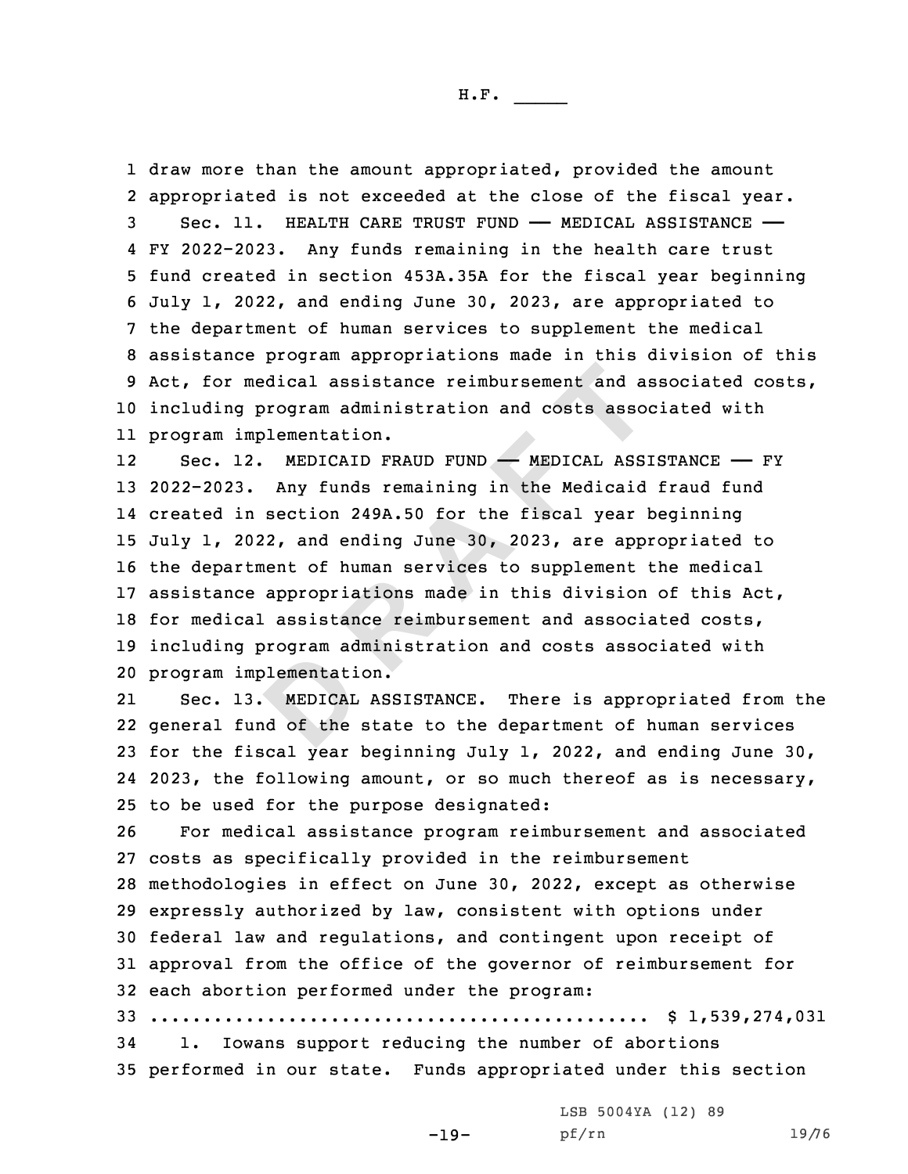draw more than the amount appropriated, provided the amount appropriated is not exceeded at the close of the fiscal year. 3 Sec. 11. HEALTH CARE TRUST FUND - MEDICAL ASSISTANCE - FY 2022-2023. Any funds remaining in the health care trust fund created in section 453A.35A for the fiscal year beginning July 1, 2022, and ending June 30, 2023, are appropriated to the department of human services to supplement the medical assistance program appropriations made in this division of this Act, for medical assistance reimbursement and associated costs, including program administration and costs associated with program implementation.

medical assistance reimbursement and a<br>g program administration and costs asso<br>implementation.<br>12. MEDICAID FRAUD FUND — MEDICAL ASS:<br>3. Any funds remaining in the Medicaid<br>in section 249A.50 for the fiscal year 1<br>2022, an 12Sec. 12. MEDICAID FRAUD FUND - MEDICAL ASSISTANCE - FY 2022-2023. Any funds remaining in the Medicaid fraud fund created in section 249A.50 for the fiscal year beginning July 1, 2022, and ending June 30, 2023, are appropriated to the department of human services to supplement the medical assistance appropriations made in this division of this Act, for medical assistance reimbursement and associated costs, including program administration and costs associated with program implementation.

blementati<br>
MEDICAL<br>
nd of the 21 Sec. 13. MEDICAL ASSISTANCE. There is appropriated from the 22 general fund of the state to the department of human services 23 for the fiscal year beginning July 1, 2022, and ending June 30, 24 2023, the following amount, or so much thereof as is necessary, 25 to be used for the purpose designated:

 For medical assistance program reimbursement and associated costs as specifically provided in the reimbursement methodologies in effect on June 30, 2022, except as otherwise expressly authorized by law, consistent with options under federal law and regulations, and contingent upon receipt of approval from the office of the governor of reimbursement for each abortion performed under the program: ............................................... \$ 1,539,274,031

34 1. Iowans support reducing the number of abortions 35 performed in our state. Funds appropriated under this section

LSB 5004YA (12) 89

-19-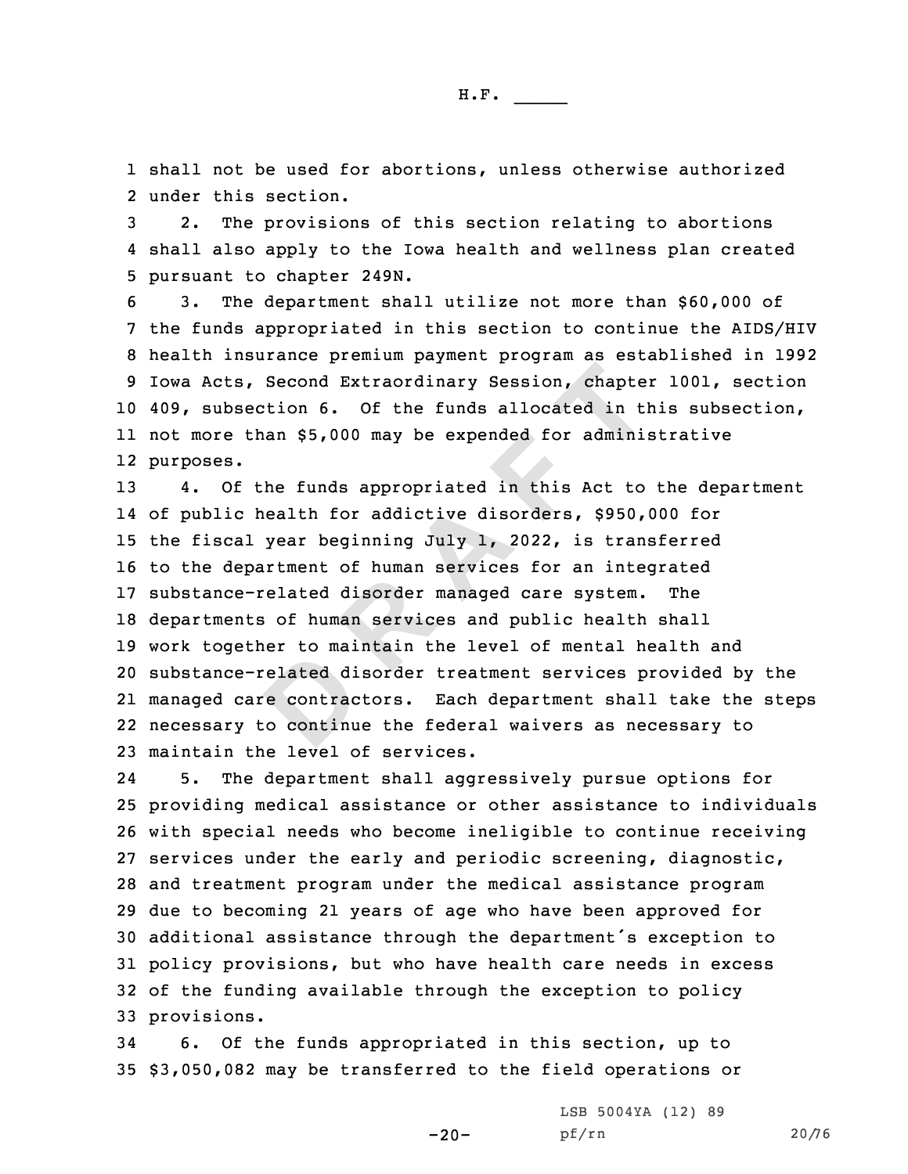1 shall not be used for abortions, unless otherwise authorized 2 under this section.

3 2. The provisions of this section relating to abortions 4 shall also apply to the Iowa health and wellness plan created 5 pursuant to chapter 249N.

 3. The department shall utilize not more than \$60,000 of the funds appropriated in this section to continue the AIDS/HIV health insurance premium payment program as established in 1992 Iowa Acts, Second Extraordinary Session, chapter 1001, section 409, subsection 6. Of the funds allocated in this subsection, not more than \$5,000 may be expended for administrative purposes.

elated die contraction contraction and the contraction of the set of the set of the set of the set of the set of the set of the set of the set of the set of the set of the set of the set of the set of the set of the set of **<sup>R</sup> <sup>A</sup> <sup>F</sup> <sup>T</sup>** 4. Of the funds appropriated in this Act to the department of public health for addictive disorders, \$950,000 for the fiscal year beginning July 1, 2022, is transferred to the department of human services for an integrated substance-related disorder managed care system. The departments of human services and public health shall work together to maintain the level of mental health and substance-related disorder treatment services provided by the managed care contractors. Each department shall take the steps necessary to continue the federal waivers as necessary to maintain the level of services.

24 5. The department shall aggressively pursue options for providing medical assistance or other assistance to individuals with special needs who become ineligible to continue receiving services under the early and periodic screening, diagnostic, and treatment program under the medical assistance program due to becoming 21 years of age who have been approved for additional assistance through the department's exception to policy provisions, but who have health care needs in excess of the funding available through the exception to policy provisions.

34 6. Of the funds appropriated in this section, up to 35 \$3,050,082 may be transferred to the field operations or

-20-

LSB 5004YA (12) 89 pf/rn 20/76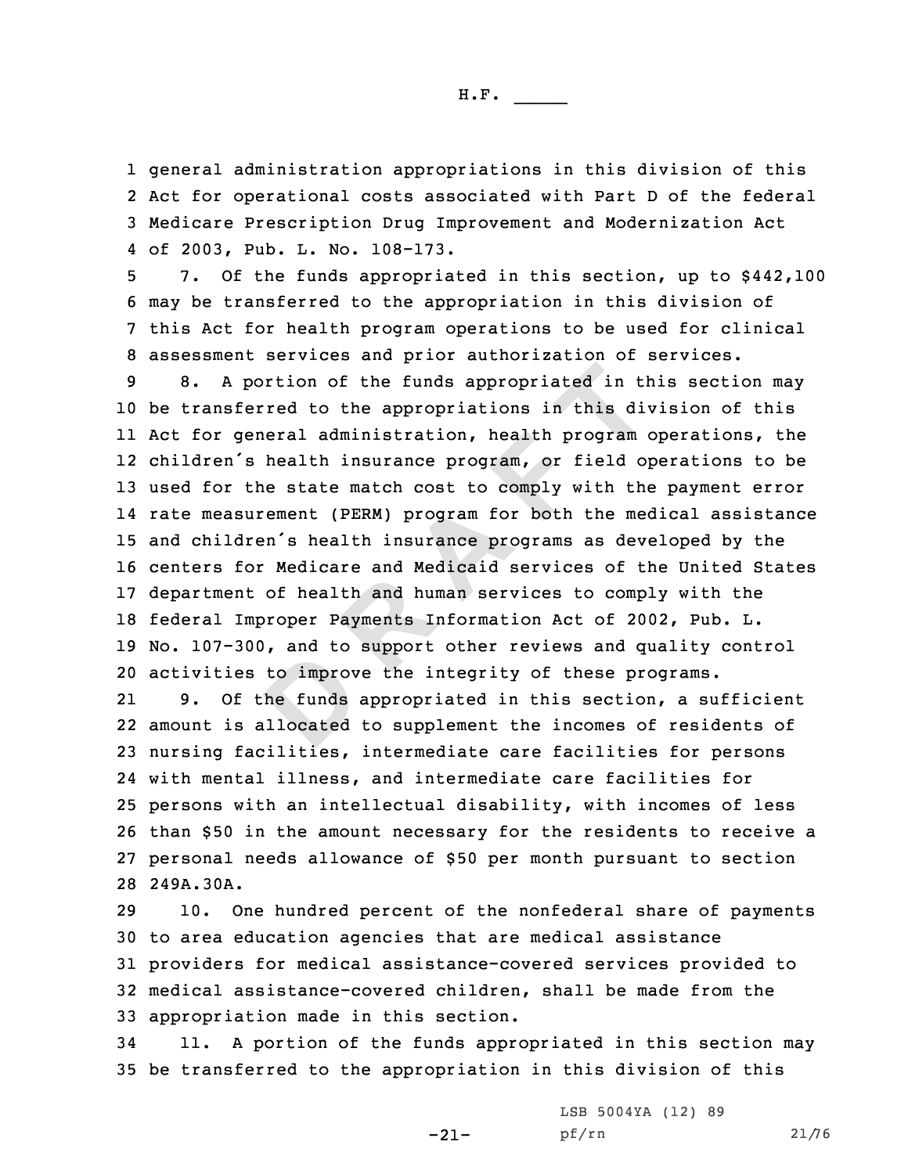general administration appropriations in this division of this Act for operational costs associated with Part <sup>D</sup> of the federal Medicare Prescription Drug Improvement and Modernization Act of 2003, Pub. L. No. 108-173.

 7. Of the funds appropriated in this section, up to \$442,100 may be transferred to the appropriation in this division of this Act for health program operations to be used for clinical assessment services and prior authorization of services.

portion of the funds appropriated in the<br>ferred to the appropriations in this di-<br>general administration, health program<br>'s health insurance program, or field of<br>the state match cost to comply with the<br>surement (PERM) prog 8. <sup>A</sup> portion of the funds appropriated in this section may be transferred to the appropriations in this division of this Act for general administration, health program operations, the children's health insurance program, or field operations to be used for the state match cost to comply with the payment error rate measurement (PERM) program for both the medical assistance and children's health insurance programs as developed by the centers for Medicare and Medicaid services of the United States department of health and human services to comply with the federal Improper Payments Information Act of 2002, Pub. L. No. 107-300, and to support other reviews and quality control activities to improve the integrity of these programs.

to improv<br>to improv<br>allocated<br>illocated 21 9. Of the funds appropriated in this section, <sup>a</sup> sufficient amount is allocated to supplement the incomes of residents of nursing facilities, intermediate care facilities for persons with mental illness, and intermediate care facilities for persons with an intellectual disability, with incomes of less than \$50 in the amount necessary for the residents to receive <sup>a</sup> personal needs allowance of \$50 per month pursuant to section 249A.30A.

 10. One hundred percent of the nonfederal share of payments to area education agencies that are medical assistance providers for medical assistance-covered services provided to medical assistance-covered children, shall be made from the appropriation made in this section.

34 11. <sup>A</sup> portion of the funds appropriated in this section may 35 be transferred to the appropriation in this division of this

-21-

LSB 5004YA (12) 89 pf/rn 21/76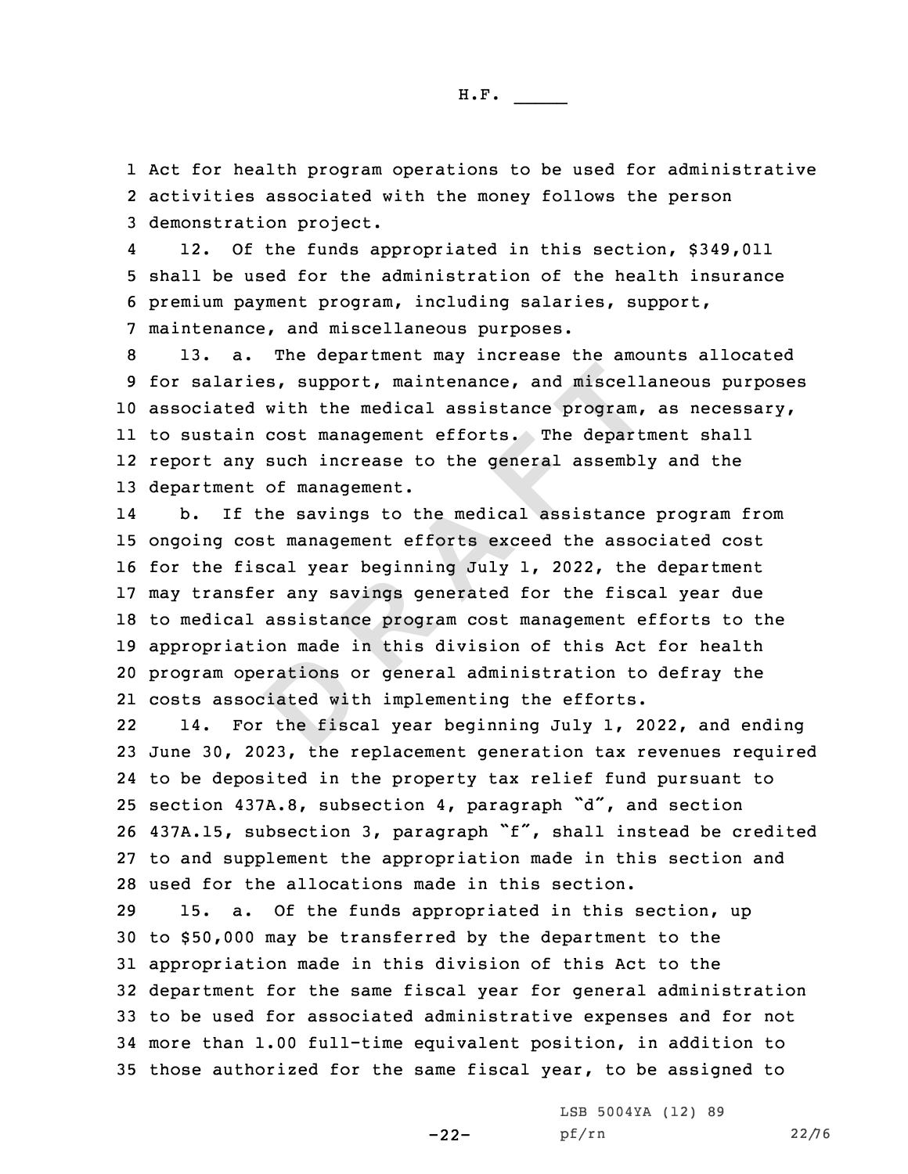1 Act for health program operations to be used for administrative 2 activities associated with the money follows the person 3 demonstration project.

4 12. Of the funds appropriated in this section, \$349,011 5 shall be used for the administration of the health insurance 6 premium payment program, including salaries, support, 7 maintenance, and miscellaneous purposes.

 13. a. The department may increase the amounts allocated for salaries, support, maintenance, and miscellaneous purposes associated with the medical assistance program, as necessary, to sustain cost management efforts. The department shall report any such increase to the general assembly and the department of management.

erations of<br>brations of<br>the fisc. ries, support, maintenance, and miscell-<br>ed with the medical assistance program,<br>in cost management efforts. The departiny such increase to the general assemble<br>and the savings to the medical assistance<br>cost management.<br>Fi 14 b. If the savings to the medical assistance program from ongoing cost management efforts exceed the associated cost for the fiscal year beginning July 1, 2022, the department may transfer any savings generated for the fiscal year due to medical assistance program cost management efforts to the appropriation made in this division of this Act for health program operations or general administration to defray the costs associated with implementing the efforts.

22 14. For the fiscal year beginning July 1, 2022, and ending June 30, 2023, the replacement generation tax revenues required to be deposited in the property tax relief fund pursuant to section 437A.8, subsection 4, paragraph "d", and section 437A.15, subsection 3, paragraph "f", shall instead be credited to and supplement the appropriation made in this section and used for the allocations made in this section.

 15. a. Of the funds appropriated in this section, up to \$50,000 may be transferred by the department to the appropriation made in this division of this Act to the department for the same fiscal year for general administration to be used for associated administrative expenses and for not more than 1.00 full-time equivalent position, in addition to those authorized for the same fiscal year, to be assigned to

-22-

LSB 5004YA (12) 89 pf/rn 22/76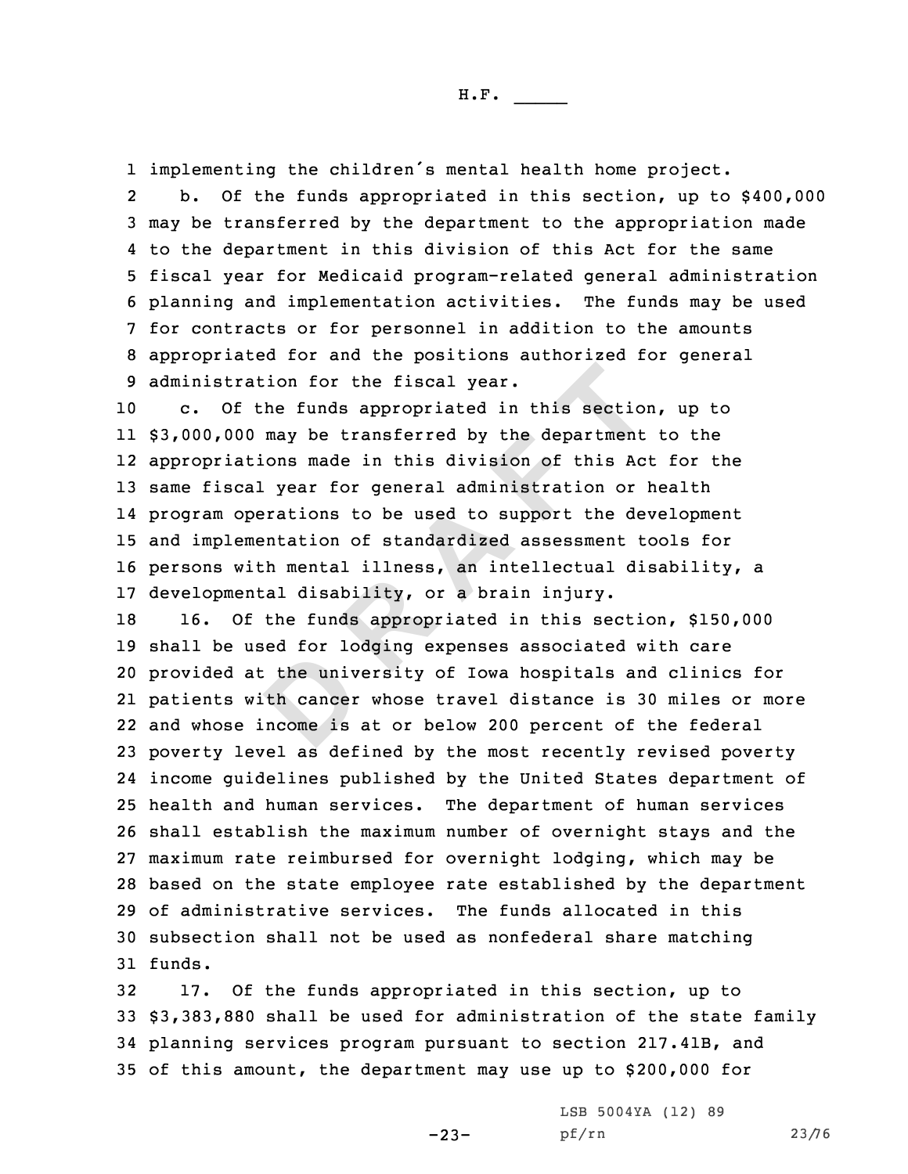1 implementing the children's mental health home project.

2 b. Of the funds appropriated in this section, up to \$400,000 may be transferred by the department to the appropriation made to the department in this division of this Act for the same fiscal year for Medicaid program-related general administration planning and implementation activities. The funds may be used for contracts or for personnel in addition to the amounts appropriated for and the positions authorized for general administration for the fiscal year.

ration for the fiscal year.<br>
f the funds appropriated in this section<br>
00 may be transferred by the department<br>
ations made in this division of this Accal year for general administration or 1<br>
operations to be used to supp c. Of the funds appropriated in this section, up to \$3,000,000 may be transferred by the department to the appropriations made in this division of this Act for the same fiscal year for general administration or health program operations to be used to support the development and implementation of standardized assessment tools for persons with mental illness, an intellectual disability, <sup>a</sup> developmental disability, or <sup>a</sup> brain injury.

the univ:<br>th cancer<br>ncome is 16. Of the funds appropriated in this section, \$150,000 shall be used for lodging expenses associated with care provided at the university of Iowa hospitals and clinics for patients with cancer whose travel distance is 30 miles or more and whose income is at or below 200 percent of the federal poverty level as defined by the most recently revised poverty income guidelines published by the United States department of health and human services. The department of human services shall establish the maximum number of overnight stays and the maximum rate reimbursed for overnight lodging, which may be based on the state employee rate established by the department of administrative services. The funds allocated in this subsection shall not be used as nonfederal share matching 31 funds.

 17. Of the funds appropriated in this section, up to \$3,383,880 shall be used for administration of the state family planning services program pursuant to section 217.41B, and of this amount, the department may use up to \$200,000 for

-23-

LSB 5004YA (12) 89 pf/rn 23/76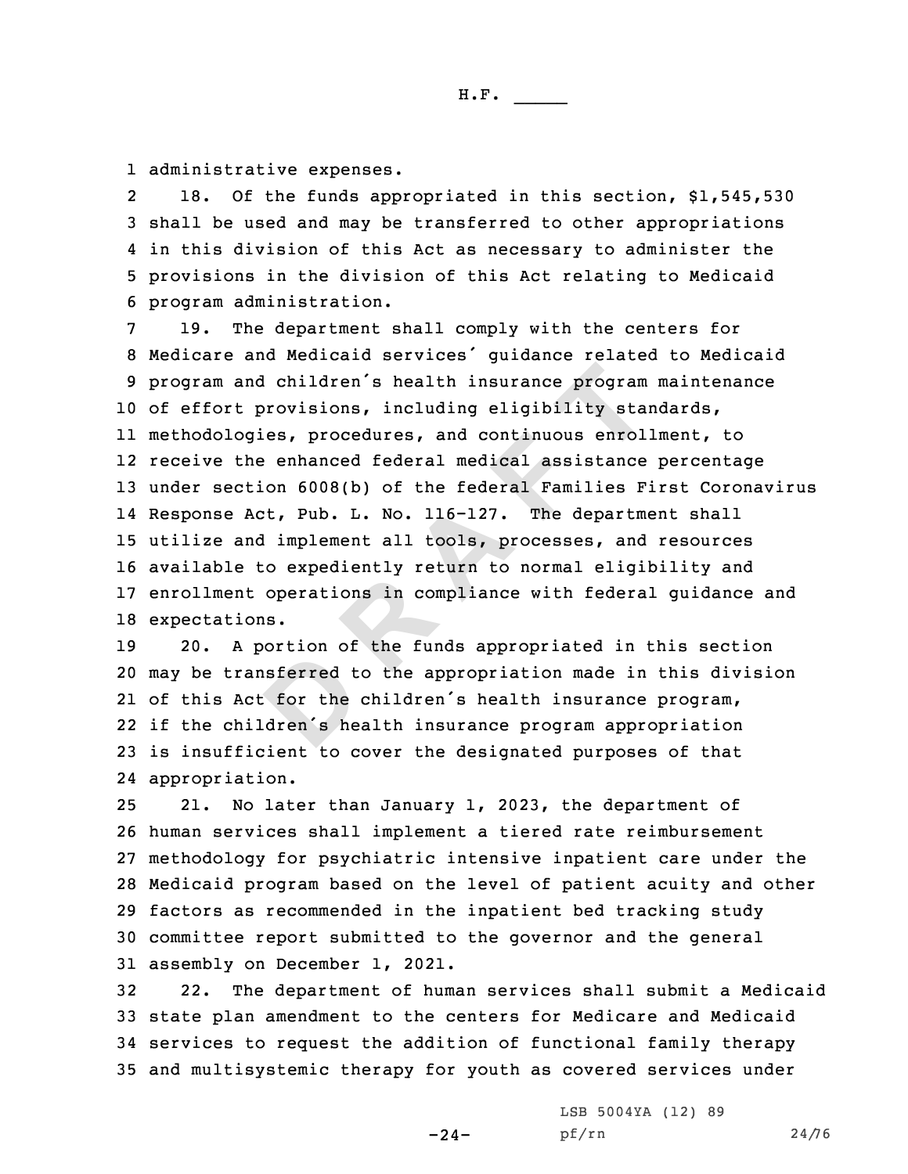1 administrative expenses.

2 18. Of the funds appropriated in this section, \$1,545,530 shall be used and may be transferred to other appropriations in this division of this Act as necessary to administer the provisions in the division of this Act relating to Medicaid program administration.

and children's health insurance program<br>
t provisions, including eligibility sta<br>
ogies, procedures, and continuous enrol<br>
the enhanced federal medical assistance<br>
ction 6008(b) of the federal Families F<br>
Act, Pub. L. No. 19. The department shall comply with the centers for Medicare and Medicaid services' guidance related to Medicaid program and children's health insurance program maintenance of effort provisions, including eligibility standards, methodologies, procedures, and continuous enrollment, to receive the enhanced federal medical assistance percentage under section 6008(b) of the federal Families First Coronavirus Response Act, Pub. L. No. 116-127. The department shall utilize and implement all tools, processes, and resources available to expediently return to normal eligibility and enrollment operations in compliance with federal guidance and expectations.

sferred t<br>
: for the<br>
dren's he 20. <sup>A</sup> portion of the funds appropriated in this section may be transferred to the appropriation made in this division of this Act for the children's health insurance program, if the children's health insurance program appropriation is insufficient to cover the designated purposes of that appropriation.

 21. No later than January 1, 2023, the department of human services shall implement <sup>a</sup> tiered rate reimbursement methodology for psychiatric intensive inpatient care under the Medicaid program based on the level of patient acuity and other factors as recommended in the inpatient bed tracking study committee report submitted to the governor and the general assembly on December 1, 2021.

 22. The department of human services shall submit <sup>a</sup> Medicaid state plan amendment to the centers for Medicare and Medicaid services to request the addition of functional family therapy and multisystemic therapy for youth as covered services under

-24-

LSB 5004YA (12) 89 pf/rn 24/76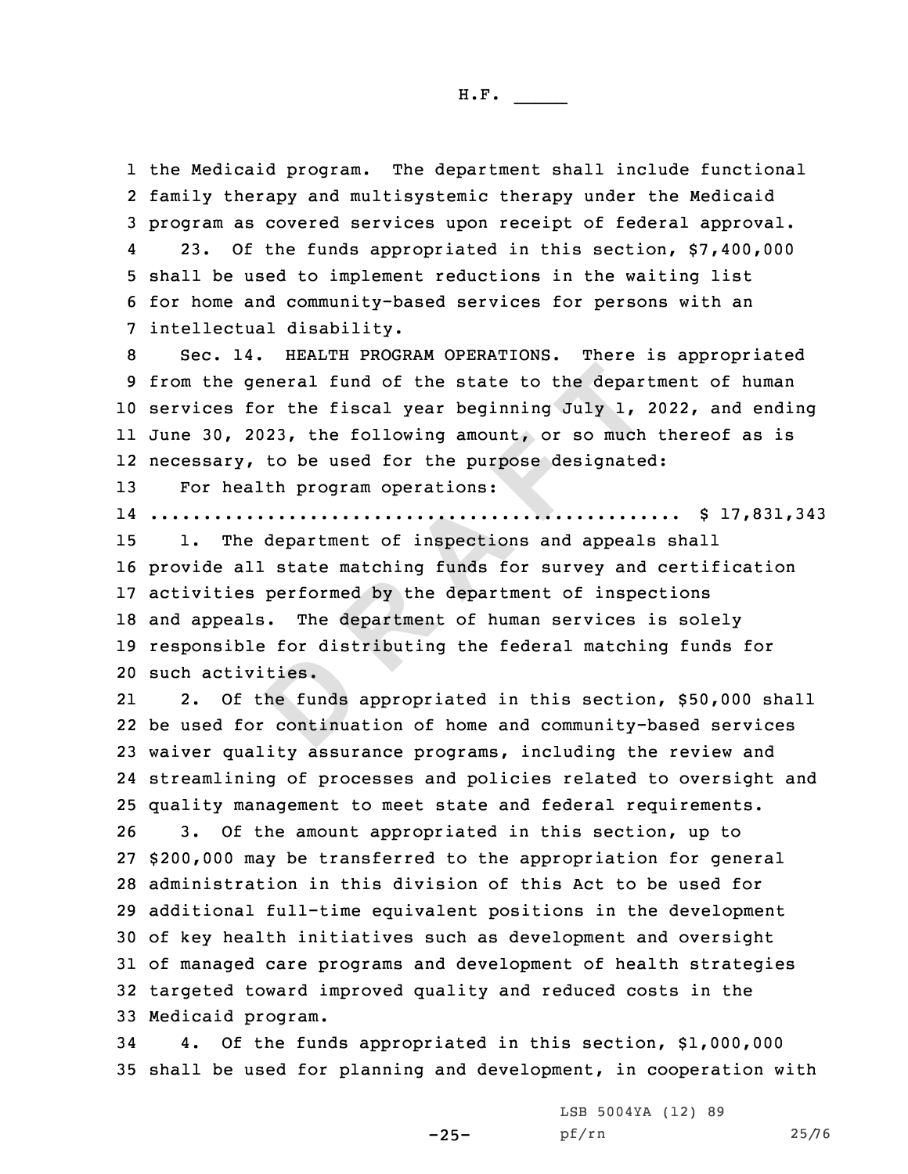1 the Medicaid program. The department shall include functional 2 family therapy and multisystemic therapy under the Medicaid 3 program as covered services upon receipt of federal approval. 423. Of the funds appropriated in this section, \$7,400,000

5 shall be used to implement reductions in the waiting list 6 for home and community-based services for persons with an 7 intellectual disability.

 Sec. 14. HEALTH PROGRAM OPERATIONS. There is appropriated from the general fund of the state to the department of human services for the fiscal year beginning July 1, 2022, and ending June 30, 2023, the following amount, or so much thereof as is necessary, to be used for the purpose designated:

13 For health program operations:

14 .................................................. \$ 17,831,343

 **<sup>R</sup> <sup>A</sup> <sup>F</sup> <sup>T</sup>** 1. The department of inspections and appeals shall provide all state matching funds for survey and certification activities performed by the department of inspections and appeals. The department of human services is solely responsible for distributing the federal matching funds for such activities.

ties.<br>
ties.<br>
continua 21 2. Of the funds appropriated in this section, \$50,000 shall be used for continuation of home and community-based services waiver quality assurance programs, including the review and streamlining of processes and policies related to oversight and quality management to meet state and federal requirements. 3. Of the amount appropriated in this section, up to \$200,000 may be transferred to the appropriation for general administration in this division of this Act to be used for additional full-time equivalent positions in the development of key health initiatives such as development and oversight of managed care programs and development of health strategies targeted toward improved quality and reduced costs in the Medicaid program.

34 4. Of the funds appropriated in this section, \$1,000,000 35 shall be used for planning and development, in cooperation with

-25-

LSB 5004YA (12) 89 pf/rn 25/76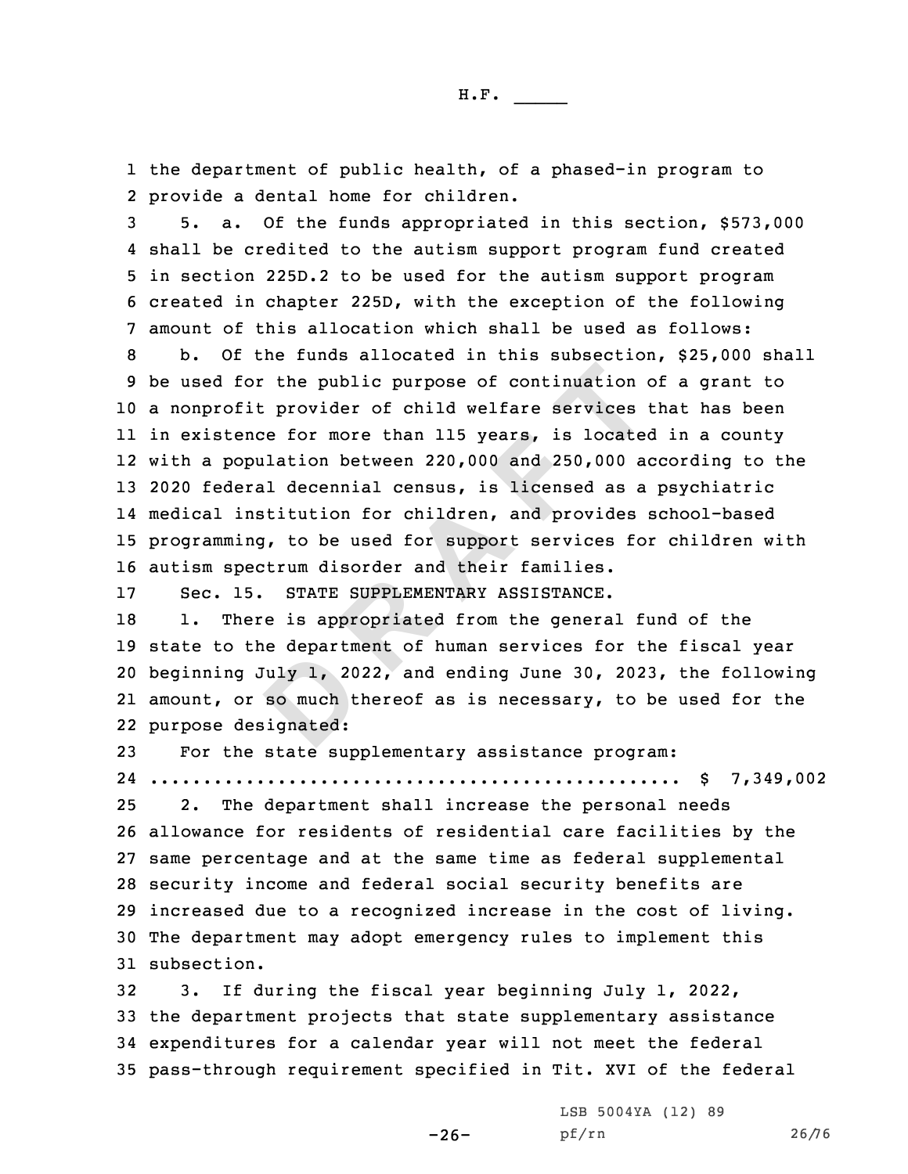1 the department of public health, of <sup>a</sup> phased-in program to 2 provide <sup>a</sup> dental home for children.

 5. a. Of the funds appropriated in this section, \$573,000 shall be credited to the autism support program fund created in section 225D.2 to be used for the autism support program created in chapter 225D, with the exception of the following amount of this allocation which shall be used as follows:

for the public purpose of continuation of<br>
fit provider of child welfare services<br>
ence for more than 115 years, is located<br>
opulation between 220,000 and 250,000 a<br>
eral decennial census, is licensed as a<br>
institution for b. Of the funds allocated in this subsection, \$25,000 shall be used for the public purpose of continuation of <sup>a</sup> grant to <sup>a</sup> nonprofit provider of child welfare services that has been in existence for more than 115 years, is located in <sup>a</sup> county with <sup>a</sup> population between 220,000 and 250,000 according to the 2020 federal decennial census, is licensed as <sup>a</sup> psychiatric medical institution for children, and provides school-based programming, to be used for support services for children with autism spectrum disorder and their families.

17 Sec. 15. STATE SUPPLEMENTARY ASSISTANCE.

Indy 1, 20<br> **B** so much the signated: 18 1. There is appropriated from the general fund of the state to the department of human services for the fiscal year beginning July 1, 2022, and ending June 30, 2023, the following amount, or so much thereof as is necessary, to be used for the purpose designated:

23 For the state supplementary assistance program: 24 .................................................. \$ 7,349,002

 2. The department shall increase the personal needs allowance for residents of residential care facilities by the same percentage and at the same time as federal supplemental security income and federal social security benefits are increased due to <sup>a</sup> recognized increase in the cost of living. The department may adopt emergency rules to implement this subsection.

 3. If during the fiscal year beginning July 1, 2022, the department projects that state supplementary assistance expenditures for <sup>a</sup> calendar year will not meet the federal pass-through requirement specified in Tit. XVI of the federal

 $-26-$ 

LSB 5004YA (12) 89 pf/rn 26/76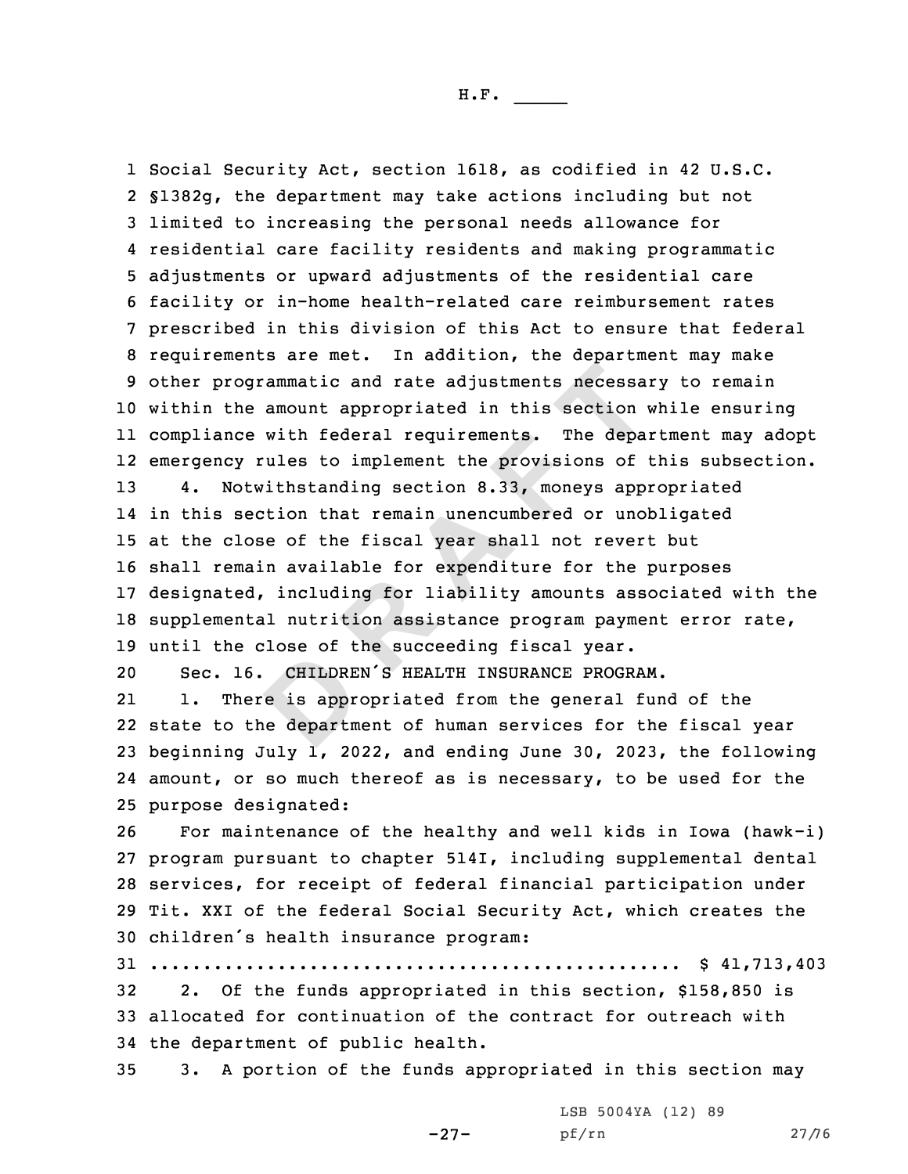CHILDRE<br>
e is appre<br>
e departm<br>
e departm ogrammatic and rate adjustments necessa<br>he amount appropriated in this section<br>ce with federal requirements. The depa<br>y rules to implement the provisions of<br>otwithstanding section 8.33, moneys app:<br>section that remain unen Social Security Act, section 1618, as codified in 42 U.S.C. §1382g, the department may take actions including but not limited to increasing the personal needs allowance for residential care facility residents and making programmatic adjustments or upward adjustments of the residential care facility or in-home health-related care reimbursement rates prescribed in this division of this Act to ensure that federal requirements are met. In addition, the department may make other programmatic and rate adjustments necessary to remain within the amount appropriated in this section while ensuring compliance with federal requirements. The department may adopt emergency rules to implement the provisions of this subsection. 4. Notwithstanding section 8.33, moneys appropriated in this section that remain unencumbered or unobligated at the close of the fiscal year shall not revert but shall remain available for expenditure for the purposes designated, including for liability amounts associated with the supplemental nutrition assistance program payment error rate, until the close of the succeeding fiscal year. Sec. 16. CHILDREN'S HEALTH INSURANCE PROGRAM. 21 1. There is appropriated from the general fund of the state to the department of human services for the fiscal year beginning July 1, 2022, and ending June 30, 2023, the following amount, or so much thereof as is necessary, to be used for the purpose designated: For maintenance of the healthy and well kids in Iowa (hawk-i) program pursuant to chapter 514I, including supplemental dental services, for receipt of federal financial participation under Tit. XXI of the federal Social Security Act, which creates the children's health insurance program: .................................................. \$ 41,713,403 2. Of the funds appropriated in this section, \$158,850 is allocated for continuation of the contract for outreach with the department of public health. 3. <sup>A</sup> portion of the funds appropriated in this section may

-27-

LSB 5004YA (12) 89 pf/rn 27/76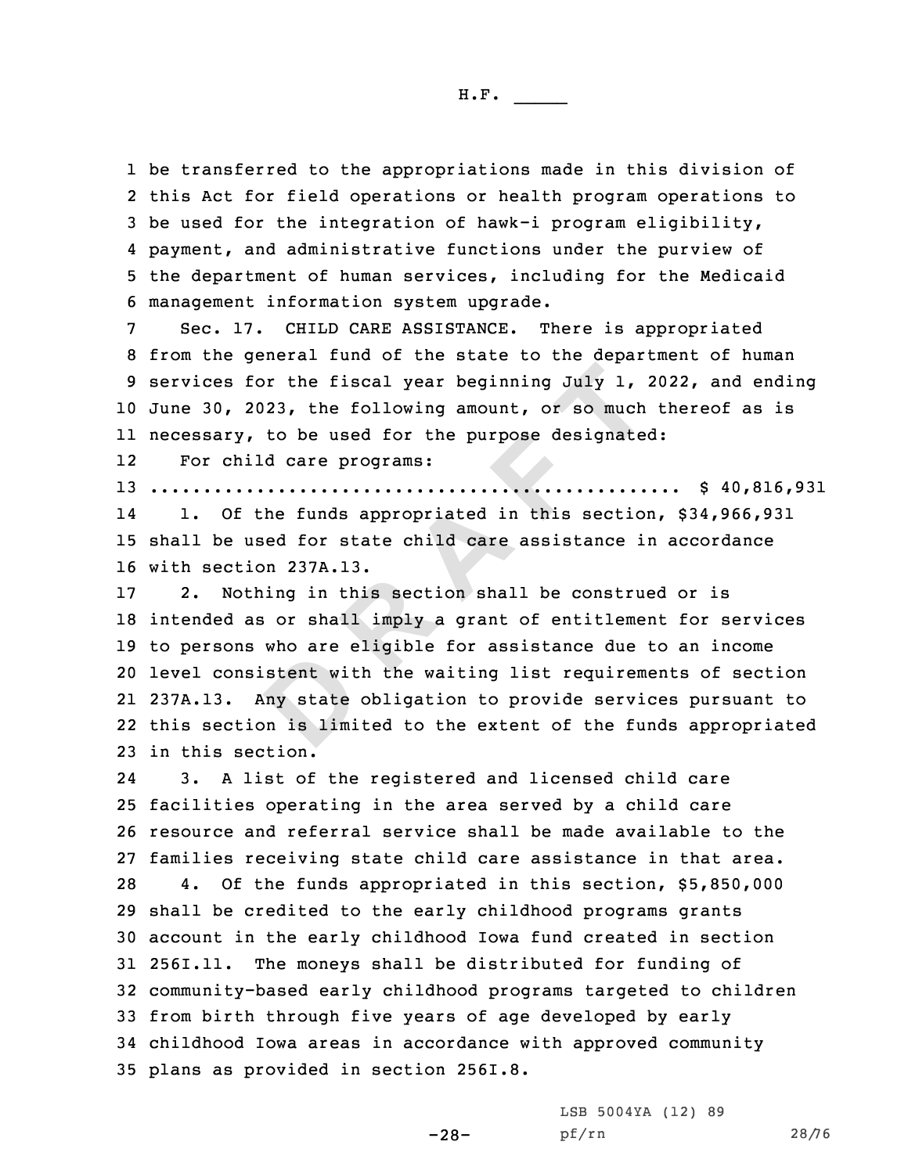be transferred to the appropriations made in this division of this Act for field operations or health program operations to be used for the integration of hawk-i program eligibility, payment, and administrative functions under the purview of the department of human services, including for the Medicaid management information system upgrade.

 Sec. 17. CHILD CARE ASSISTANCE. There is appropriated from the general fund of the state to the department of human services for the fiscal year beginning July 1, 2022, and ending June 30, 2023, the following amount, or so much thereof as is necessary, to be used for the purpose designated:

12For child care programs:

13 .................................................. \$ 40,816,931 14 1. Of the funds appropriated in this section, \$34,966,931 15 shall be used for state child care assistance in accordance

16 with section 237A.13.

stent with<br>ny state<br>on is limi **<sup>R</sup> <sup>A</sup> <sup>F</sup> <sup>T</sup>** 2. Nothing in this section shall be construed or is intended as or shall imply <sup>a</sup> grant of entitlement for services to persons who are eligible for assistance due to an income level consistent with the waiting list requirements of section 237A.13. Any state obligation to provide services pursuant to this section is limited to the extent of the funds appropriated in this section.

24 3. <sup>A</sup> list of the registered and licensed child care facilities operating in the area served by <sup>a</sup> child care resource and referral service shall be made available to the families receiving state child care assistance in that area. 4. Of the funds appropriated in this section, \$5,850,000 shall be credited to the early childhood programs grants account in the early childhood Iowa fund created in section 256I.11. The moneys shall be distributed for funding of community-based early childhood programs targeted to children from birth through five years of age developed by early childhood Iowa areas in accordance with approved community plans as provided in section 256I.8.

LSB 5004YA (12) 89

$$
-28-
$$

pf/rn 28/76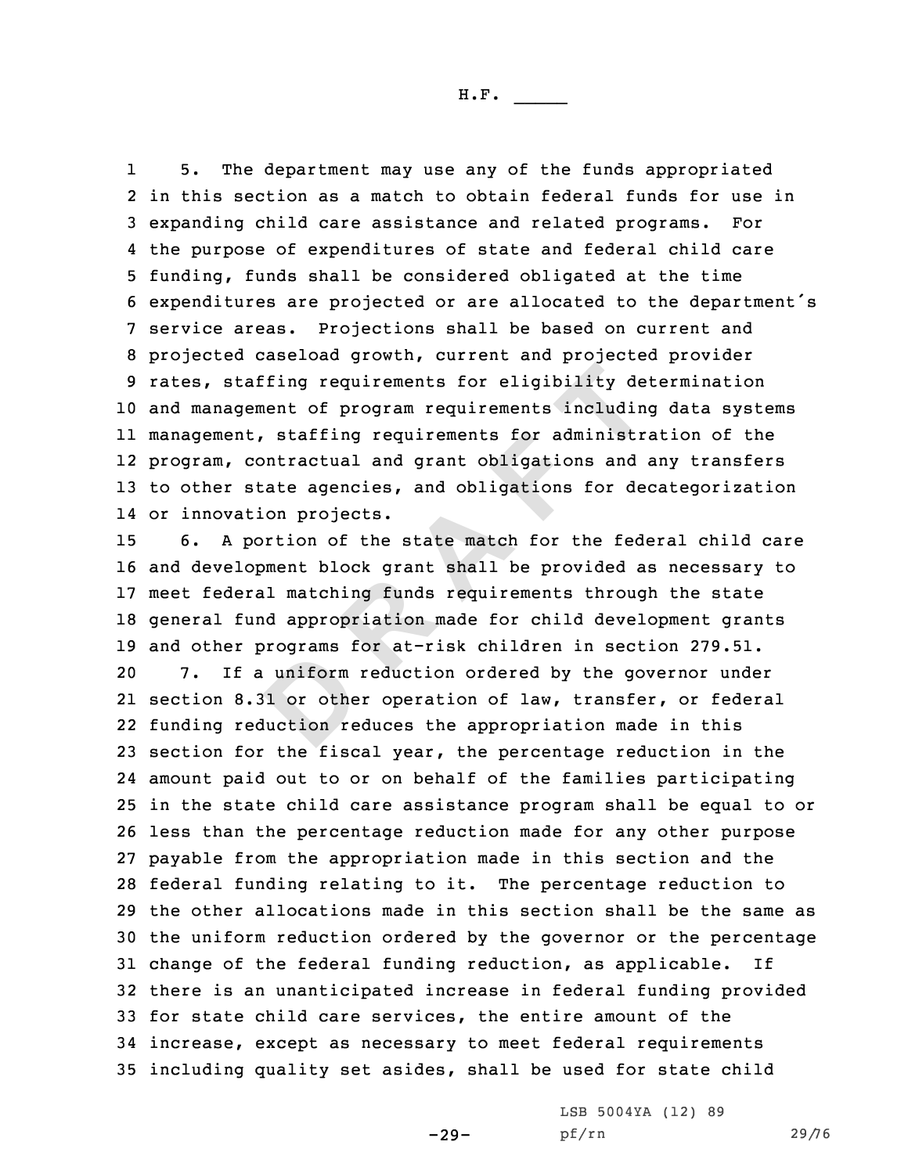1 5. The department may use any of the funds appropriated in this section as <sup>a</sup> match to obtain federal funds for use in expanding child care assistance and related programs. For the purpose of expenditures of state and federal child care funding, funds shall be considered obligated at the time expenditures are projected or are allocated to the department's service areas. Projections shall be based on current and projected caseload growth, current and projected provider rates, staffing requirements for eligibility determination and management of program requirements including data systems management, staffing requirements for administration of the program, contractual and grant obligations and any transfers to other state agencies, and obligations for decategorization or innovation projects.

uniform<br>
Bl or othe<br>
Bluction re taffing requirements for eligibility de<br>gement of program requirements includin<br>nt, staffing requirements for administr.<br>contractual and grant obligations and state agencies, and obligations for de<br>ation projects.<br>portion 6. <sup>A</sup> portion of the state match for the federal child care and development block grant shall be provided as necessary to meet federal matching funds requirements through the state general fund appropriation made for child development grants and other programs for at-risk children in section 279.51. 7. If <sup>a</sup> uniform reduction ordered by the governor under section 8.31 or other operation of law, transfer, or federal funding reduction reduces the appropriation made in this section for the fiscal year, the percentage reduction in the amount paid out to or on behalf of the families participating in the state child care assistance program shall be equal to or less than the percentage reduction made for any other purpose payable from the appropriation made in this section and the federal funding relating to it. The percentage reduction to the other allocations made in this section shall be the same as the uniform reduction ordered by the governor or the percentage change of the federal funding reduction, as applicable. If there is an unanticipated increase in federal funding provided for state child care services, the entire amount of the increase, except as necessary to meet federal requirements including quality set asides, shall be used for state child

 $-29-$ 

LSB 5004YA (12) 89 pf/rn 29/76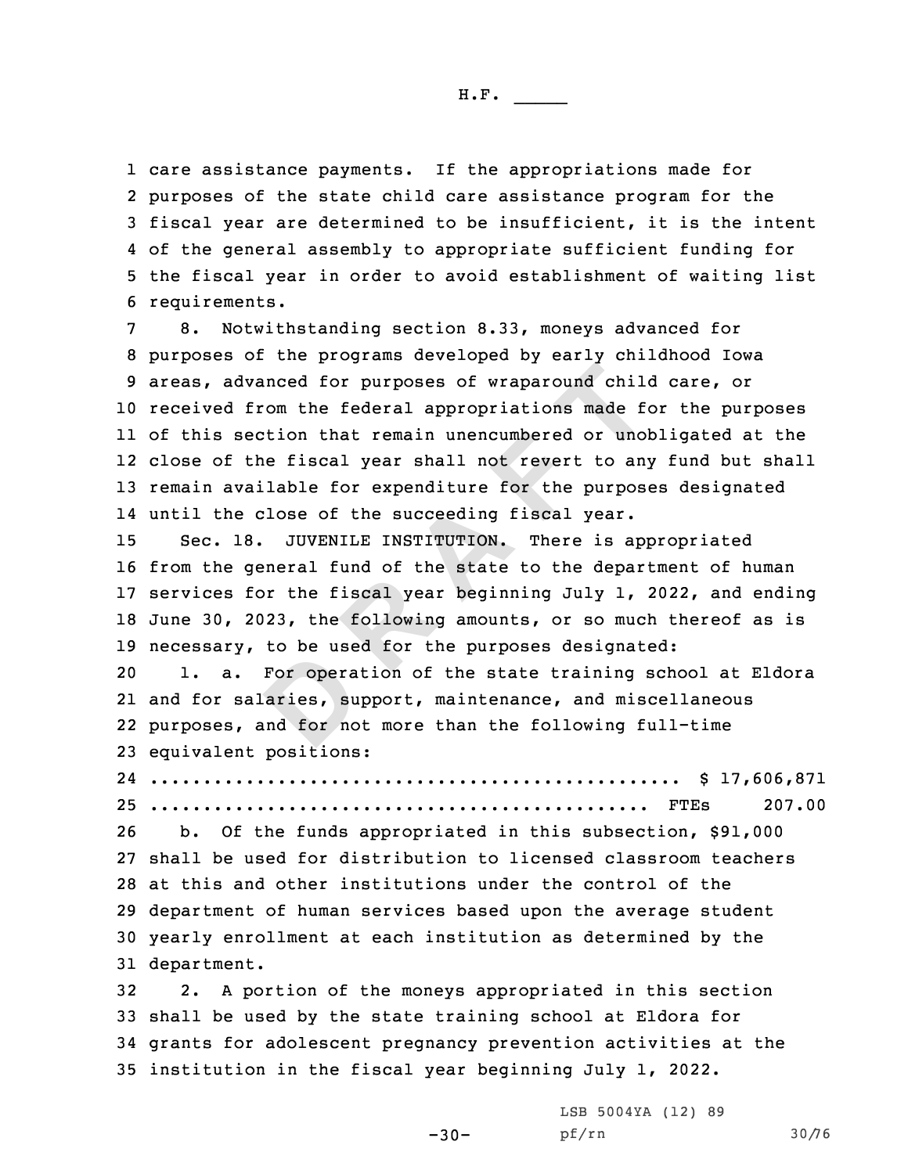care assistance payments. If the appropriations made for purposes of the state child care assistance program for the fiscal year are determined to be insufficient, it is the intent of the general assembly to appropriate sufficient funding for the fiscal year in order to avoid establishment of waiting list requirements.

dvanced for purposes of wraparound chil-<br>from the federal appropriations made for<br>section that remain unencumbered or unol<br>the fiscal year shall not revert to any<br>vailable for expenditure for the purpose<br>close of the succe 8. Notwithstanding section 8.33, moneys advanced for purposes of the programs developed by early childhood Iowa areas, advanced for purposes of wraparound child care, or received from the federal appropriations made for the purposes of this section that remain unencumbered or unobligated at the close of the fiscal year shall not revert to any fund but shall remain available for expenditure for the purposes designated until the close of the succeeding fiscal year.

 Sec. 18. JUVENILE INSTITUTION. There is appropriated from the general fund of the state to the department of human services for the fiscal year beginning July 1, 2022, and ending June 30, 2023, the following amounts, or so much thereof as is necessary, to be used for the purposes designated:

For opera<br>aries, su<br>and for no 1. a. For operation of the state training school at Eldora and for salaries, support, maintenance, and miscellaneous purposes, and for not more than the following full-time equivalent positions:

24 .................................................. \$ 17,606,871 25 ............................................... FTEs 207.00

 b. Of the funds appropriated in this subsection, \$91,000 shall be used for distribution to licensed classroom teachers at this and other institutions under the control of the department of human services based upon the average student yearly enrollment at each institution as determined by the department.

 2. <sup>A</sup> portion of the moneys appropriated in this section shall be used by the state training school at Eldora for grants for adolescent pregnancy prevention activities at the institution in the fiscal year beginning July 1, 2022.

-30-

LSB 5004YA (12) 89 pf/rn 30/76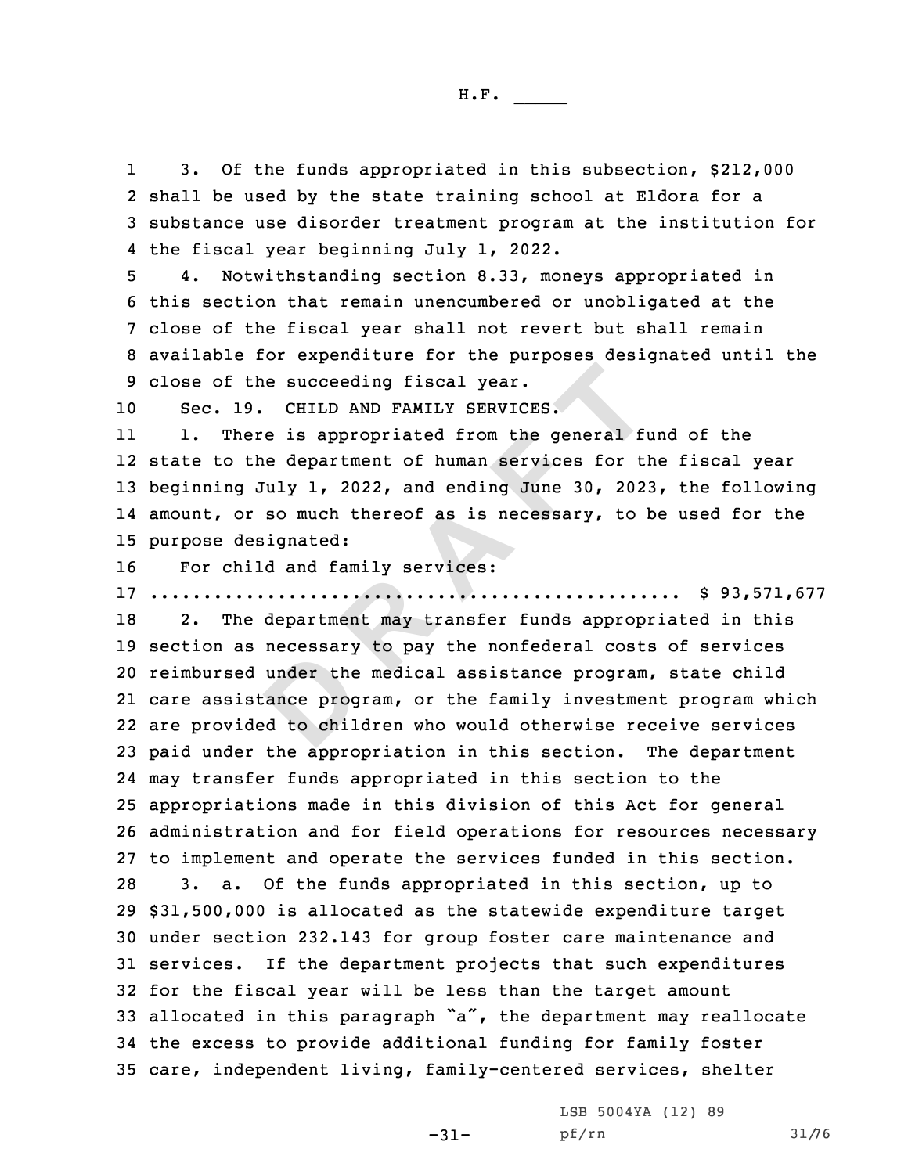1 3. Of the funds appropriated in this subsection, \$212,000 2 shall be used by the state training school at Eldora for <sup>a</sup> 3 substance use disorder treatment program at the institution for 4 the fiscal year beginning July 1, 2022.

 4. Notwithstanding section 8.33, moneys appropriated in this section that remain unencumbered or unobligated at the close of the fiscal year shall not revert but shall remain available for expenditure for the purposes designated until the close of the succeeding fiscal year.

10 Sec. 19. CHILD AND FAMILY SERVICES.

11 1. There is appropriated from the general fund of the state to the department of human services for the fiscal year beginning July 1, 2022, and ending June 30, 2023, the following amount, or so much thereof as is necessary, to be used for the purpose designated:

16 For child and family services:

17 .................................................. \$ 93,571,677

under the<br>cance prog<br>d to chil the succeeding fiscal year.<br>
19. CHILD AND FAMILY SERVICES.<br>
here is appropriated from the general fithe department of human services for the<br>
19 July 1, 2022, and ending June 30, 202<br>
or so much thereof as is necessary, t 2. The department may transfer funds appropriated in this section as necessary to pay the nonfederal costs of services reimbursed under the medical assistance program, state child care assistance program, or the family investment program which are provided to children who would otherwise receive services paid under the appropriation in this section. The department may transfer funds appropriated in this section to the appropriations made in this division of this Act for general administration and for field operations for resources necessary to implement and operate the services funded in this section. 3. a. Of the funds appropriated in this section, up to \$31,500,000 is allocated as the statewide expenditure target under section 232.143 for group foster care maintenance and services. If the department projects that such expenditures for the fiscal year will be less than the target amount allocated in this paragraph "a", the department may reallocate the excess to provide additional funding for family foster care, independent living, family-centered services, shelter

-31-

LSB 5004YA (12) 89 pf/rn 31/76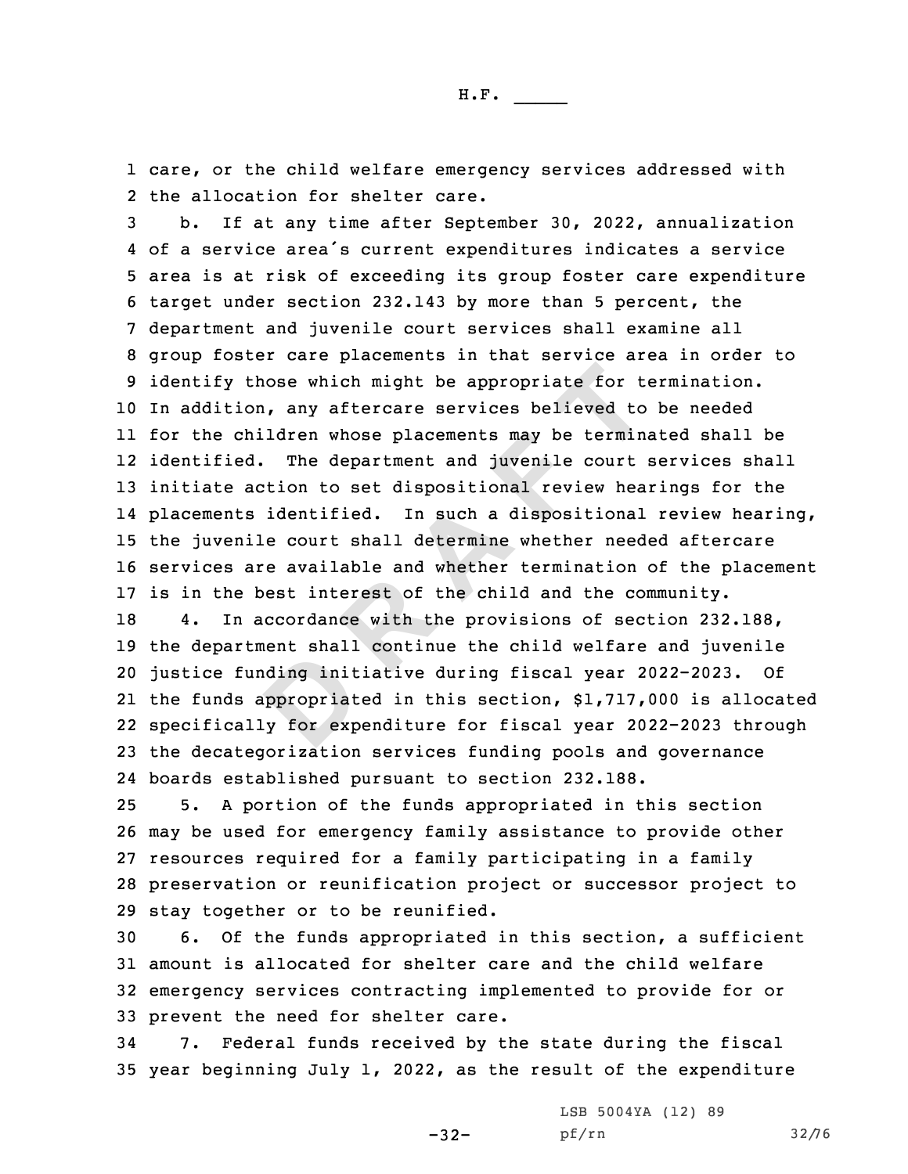1 care, or the child welfare emergency services addressed with 2 the allocation for shelter care.

those which might be appropriate for to<br>ion, any aftercare services believed to<br>children whose placements may be termined. The department and juvenile court<br>action to set dispositional review hea<br>ts identified. In such a d b. If at any time after September 30, 2022, annualization of <sup>a</sup> service area's current expenditures indicates <sup>a</sup> service area is at risk of exceeding its group foster care expenditure target under section 232.143 by more than 5 percent, the department and juvenile court services shall examine all group foster care placements in that service area in order to identify those which might be appropriate for termination. In addition, any aftercare services believed to be needed for the children whose placements may be terminated shall be identified. The department and juvenile court services shall initiate action to set dispositional review hearings for the placements identified. In such <sup>a</sup> dispositional review hearing, the juvenile court shall determine whether needed aftercare services are available and whether termination of the placement is in the best interest of the child and the community.

ding init<br>ppropriat<br>y for exp 4. In accordance with the provisions of section 232.188, the department shall continue the child welfare and juvenile justice funding initiative during fiscal year 2022-2023. Of the funds appropriated in this section, \$1,717,000 is allocated specifically for expenditure for fiscal year 2022-2023 through the decategorization services funding pools and governance boards established pursuant to section 232.188.

 5. <sup>A</sup> portion of the funds appropriated in this section may be used for emergency family assistance to provide other resources required for <sup>a</sup> family participating in <sup>a</sup> family preservation or reunification project or successor project to stay together or to be reunified.

 6. Of the funds appropriated in this section, <sup>a</sup> sufficient amount is allocated for shelter care and the child welfare emergency services contracting implemented to provide for or prevent the need for shelter care.

34 7. Federal funds received by the state during the fiscal 35 year beginning July 1, 2022, as the result of the expenditure

-32-

LSB 5004YA (12) 89 pf/rn 32/76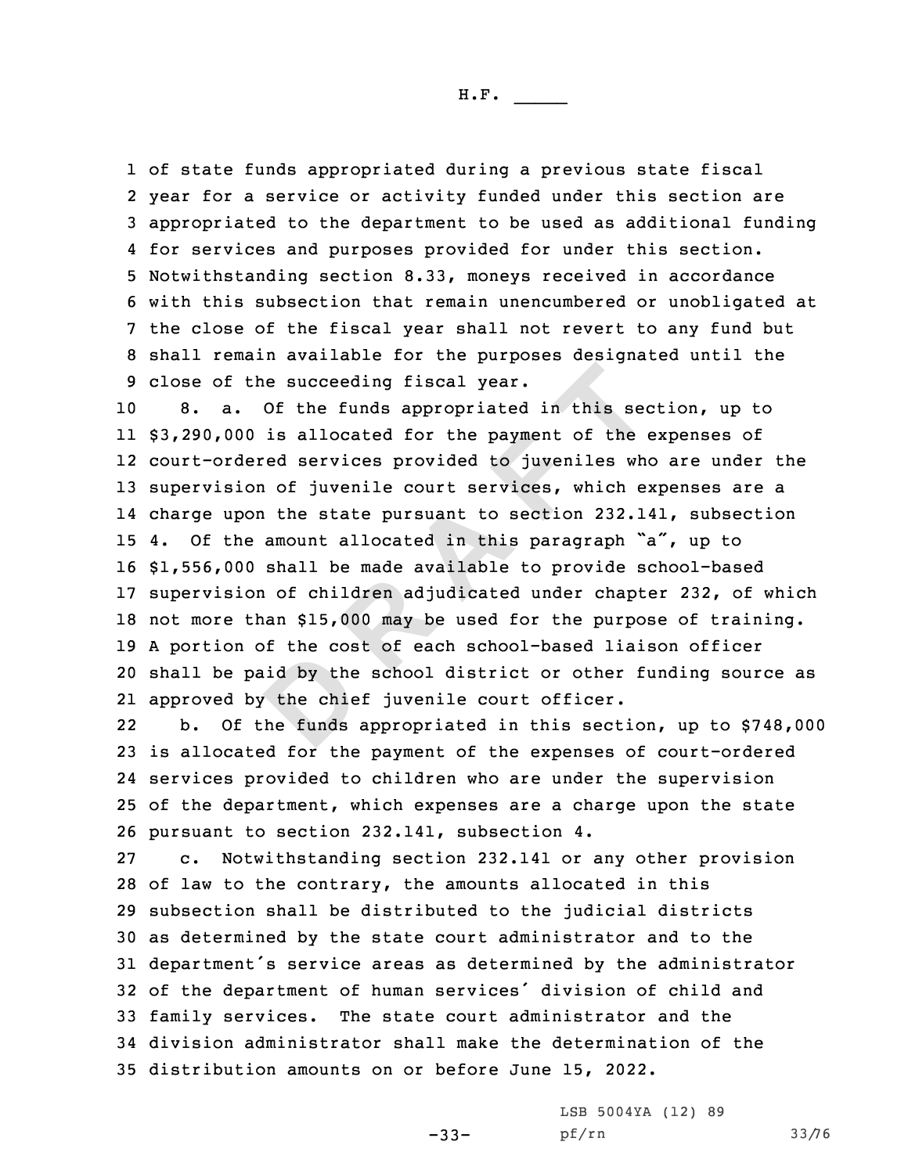of state funds appropriated during <sup>a</sup> previous state fiscal year for <sup>a</sup> service or activity funded under this section are appropriated to the department to be used as additional funding for services and purposes provided for under this section. Notwithstanding section 8.33, moneys received in accordance with this subsection that remain unencumbered or unobligated at the close of the fiscal year shall not revert to any fund but shall remain available for the purposes designated until the close of the succeeding fiscal year.

id by the<br>
the chie<br>
the funds the succeeding fiscal year.<br>
Of the funds appropriated in this sec<br>
00 is allocated for the payment of the dered services provided to juveniles wh<br>
ion of juvenile court services, which e:<br>
pon the state pursuant to sectio 8. a. Of the funds appropriated in this section, up to \$3,290,000 is allocated for the payment of the expenses of court-ordered services provided to juveniles who are under the supervision of juvenile court services, which expenses are <sup>a</sup> charge upon the state pursuant to section 232.141, subsection 4. Of the amount allocated in this paragraph "a", up to \$1,556,000 shall be made available to provide school-based supervision of children adjudicated under chapter 232, of which not more than \$15,000 may be used for the purpose of training. <sup>A</sup> portion of the cost of each school-based liaison officer shall be paid by the school district or other funding source as approved by the chief juvenile court officer.

22 b. Of the funds appropriated in this section, up to \$748,000 is allocated for the payment of the expenses of court-ordered services provided to children who are under the supervision of the department, which expenses are <sup>a</sup> charge upon the state pursuant to section 232.141, subsection 4.

 c. Notwithstanding section 232.141 or any other provision of law to the contrary, the amounts allocated in this subsection shall be distributed to the judicial districts as determined by the state court administrator and to the department's service areas as determined by the administrator of the department of human services' division of child and family services. The state court administrator and the division administrator shall make the determination of the distribution amounts on or before June 15, 2022.

-33-

LSB 5004YA (12) 89 pf/rn 33/76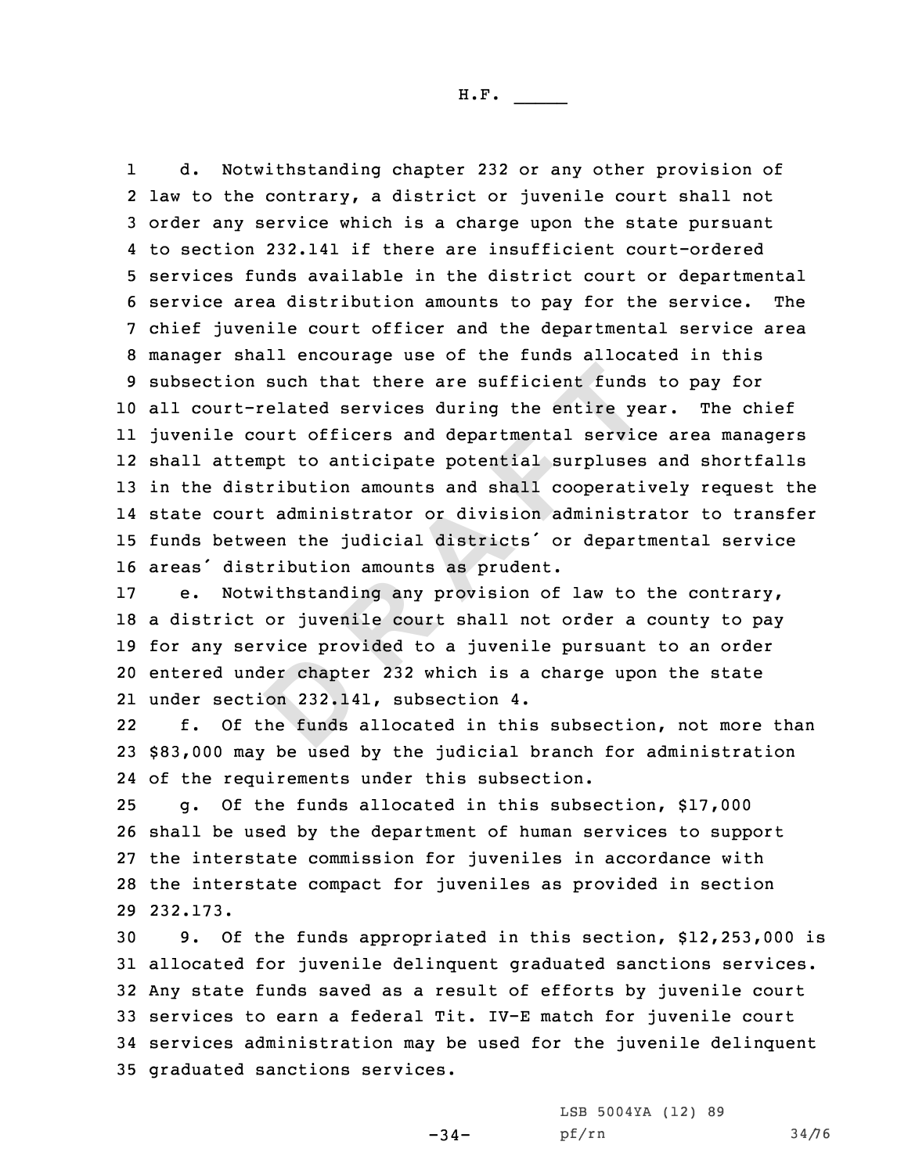on such that there are sufficient funds<br>t-related services during the entire ye-<br>court officers and departmental servic<br>tempt to anticipate potential surpluses<br>istribution amounts and shall cooperati<br>urt administrator or d 1 d. Notwithstanding chapter 232 or any other provision of law to the contrary, <sup>a</sup> district or juvenile court shall not order any service which is <sup>a</sup> charge upon the state pursuant to section 232.141 if there are insufficient court-ordered services funds available in the district court or departmental service area distribution amounts to pay for the service. The chief juvenile court officer and the departmental service area manager shall encourage use of the funds allocated in this subsection such that there are sufficient funds to pay for all court-related services during the entire year. The chief juvenile court officers and departmental service area managers shall attempt to anticipate potential surpluses and shortfalls in the distribution amounts and shall cooperatively request the state court administrator or division administrator to transfer funds between the judicial districts' or departmental service areas' distribution amounts as prudent.

ler chapte<br>
on 232.14<br>
the funds e. Notwithstanding any provision of law to the contrary, <sup>a</sup> district or juvenile court shall not order <sup>a</sup> county to pay for any service provided to <sup>a</sup> juvenile pursuant to an order entered under chapter 232 which is <sup>a</sup> charge upon the state under section 232.141, subsection 4.

22 f. Of the funds allocated in this subsection, not more than 23 \$83,000 may be used by the judicial branch for administration 24 of the requirements under this subsection.

 g. Of the funds allocated in this subsection, \$17,000 shall be used by the department of human services to support the interstate commission for juveniles in accordance with the interstate compact for juveniles as provided in section 29 232.173.

 9. Of the funds appropriated in this section, \$12,253,000 is allocated for juvenile delinquent graduated sanctions services. Any state funds saved as <sup>a</sup> result of efforts by juvenile court services to earn <sup>a</sup> federal Tit. IV-E match for juvenile court services administration may be used for the juvenile delinquent graduated sanctions services.

-34-

LSB 5004YA (12) 89 pf/rn 34/76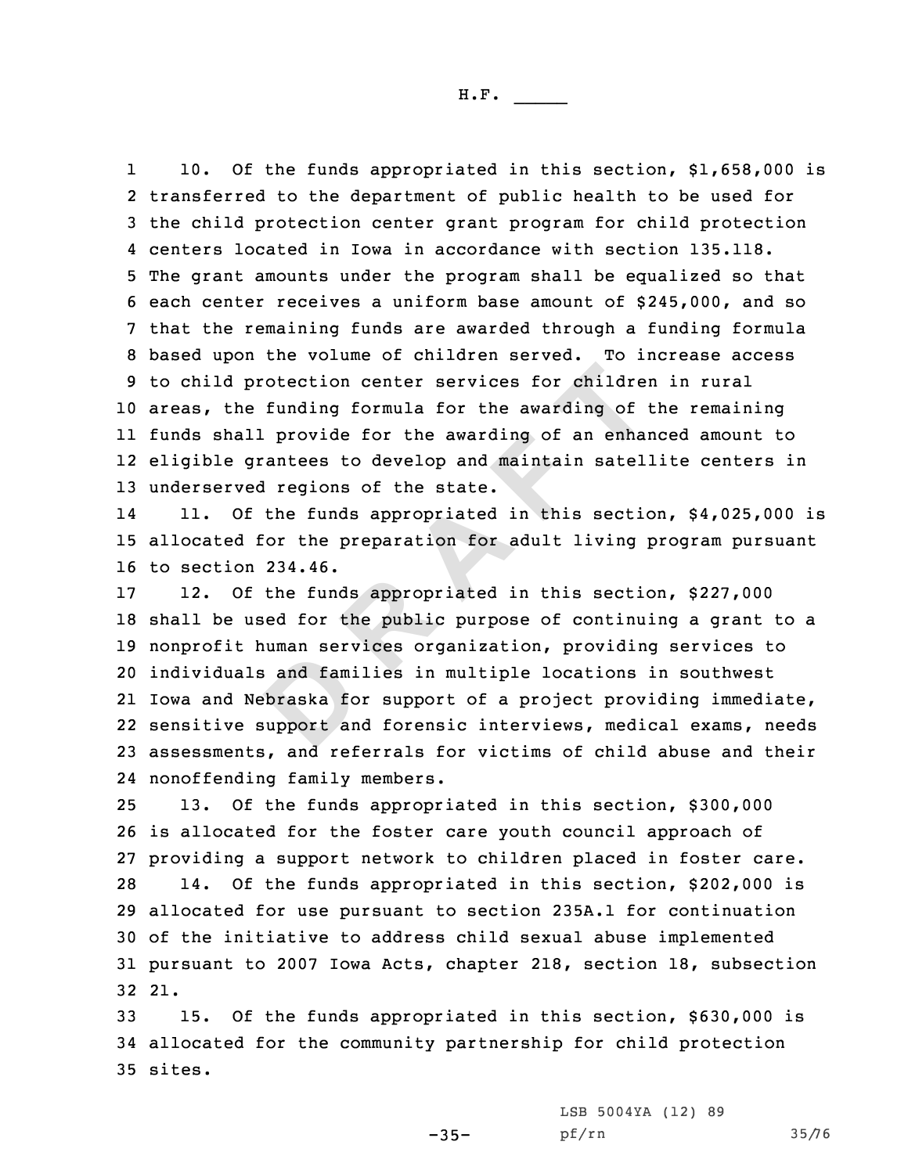1 10. Of the funds appropriated in this section, \$1,658,000 is transferred to the department of public health to be used for the child protection center grant program for child protection centers located in Iowa in accordance with section 135.118. The grant amounts under the program shall be equalized so that each center receives <sup>a</sup> uniform base amount of \$245,000, and so that the remaining funds are awarded through <sup>a</sup> funding formula based upon the volume of children served. To increase access to child protection center services for children in rural areas, the funding formula for the awarding of the remaining funds shall provide for the awarding of an enhanced amount to eligible grantees to develop and maintain satellite centers in underserved regions of the state.

14 11. Of the funds appropriated in this section, \$4,025,000 is 15 allocated for the preparation for adult living program pursuant 16 to section 234.46.

and fami<br>braska fo<br>support an protection center services for childrenche funding formula for the awarding of<br>all provide for the awarding of an enhancy state of the state.<br>We regions of the state.<br>Of the funds appropriated in this section<br>of the funds 12. Of the funds appropriated in this section, \$227,000 shall be used for the public purpose of continuing <sup>a</sup> grant to <sup>a</sup> nonprofit human services organization, providing services to individuals and families in multiple locations in southwest Iowa and Nebraska for support of <sup>a</sup> project providing immediate, sensitive support and forensic interviews, medical exams, needs assessments, and referrals for victims of child abuse and their nonoffending family members.

 13. Of the funds appropriated in this section, \$300,000 is allocated for the foster care youth council approach of providing <sup>a</sup> support network to children placed in foster care. 14. Of the funds appropriated in this section, \$202,000 is allocated for use pursuant to section 235A.1 for continuation of the initiative to address child sexual abuse implemented pursuant to 2007 Iowa Acts, chapter 218, section 18, subsection 32 21.

33 15. Of the funds appropriated in this section, \$630,000 is 34 allocated for the community partnership for child protection 35 sites.

LSB 5004YA (12) 89

 $-35-$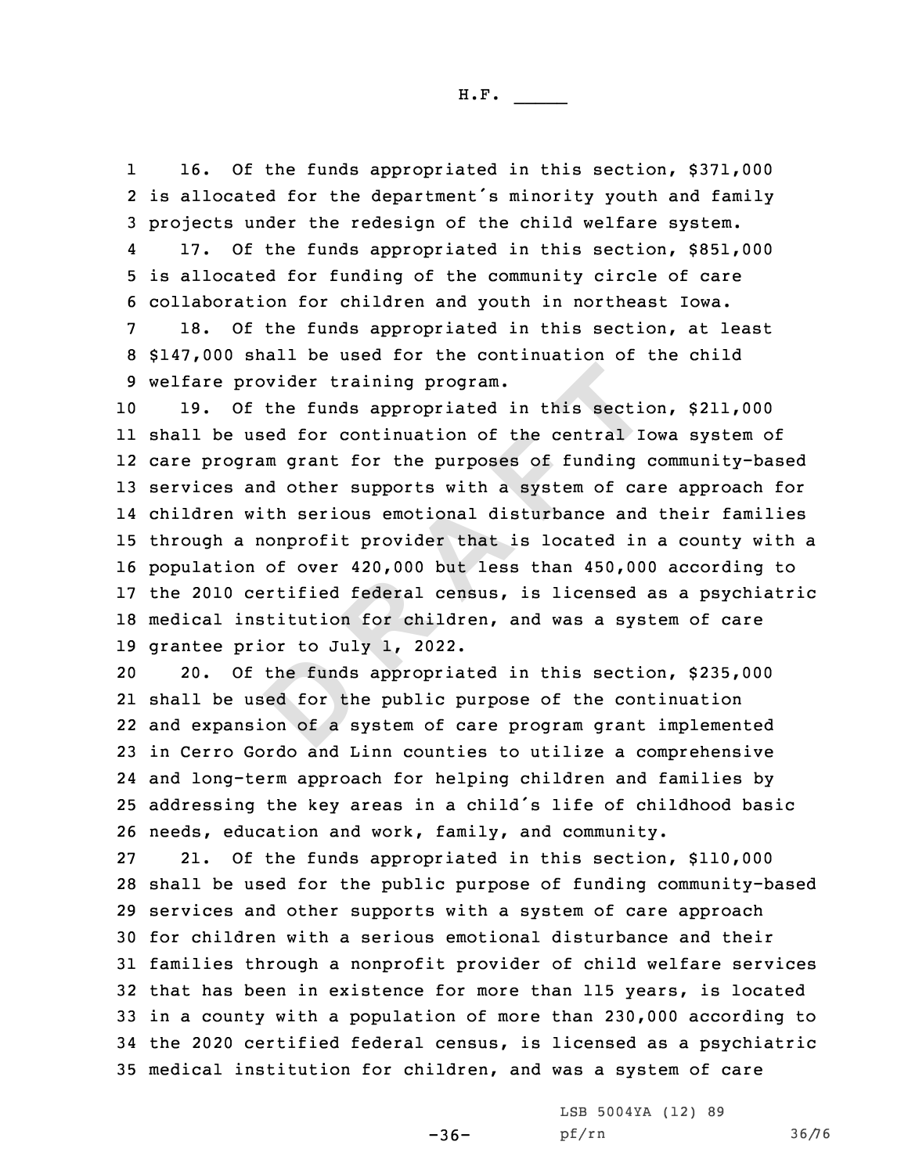1 16. Of the funds appropriated in this section, \$371,000 2 is allocated for the department's minority youth and family 3 projects under the redesign of the child welfare system.

4 17. Of the funds appropriated in this section, \$851,000 5 is allocated for funding of the community circle of care 6 collaboration for children and youth in northeast Iowa.

7 18. Of the funds appropriated in this section, at least 8 \$147,000 shall be used for the continuation of the child 9 welfare provider training program.

provider training program.<br>Of the funds appropriated in this sectic<br>used for continuation of the central Ic<br>gram grant for the purposes of funding<br>and other supports with a system of ca<br>with serious emotional disturbance a 19. Of the funds appropriated in this section, \$211,000 shall be used for continuation of the central Iowa system of care program grant for the purposes of funding community-based services and other supports with <sup>a</sup> system of care approach for children with serious emotional disturbance and their families through <sup>a</sup> nonprofit provider that is located in <sup>a</sup> county with <sup>a</sup> population of over 420,000 but less than 450,000 according to the 2010 certified federal census, is licensed as <sup>a</sup> psychiatric medical institution for children, and was <sup>a</sup> system of care grantee prior to July 1, 2022.

the funds<br>
ed for th<br>
on of a s 20. Of the funds appropriated in this section, \$235,000 shall be used for the public purpose of the continuation and expansion of <sup>a</sup> system of care program grant implemented in Cerro Gordo and Linn counties to utilize <sup>a</sup> comprehensive and long-term approach for helping children and families by addressing the key areas in <sup>a</sup> child's life of childhood basic needs, education and work, family, and community.

 21. Of the funds appropriated in this section, \$110,000 shall be used for the public purpose of funding community-based services and other supports with <sup>a</sup> system of care approach for children with <sup>a</sup> serious emotional disturbance and their families through <sup>a</sup> nonprofit provider of child welfare services that has been in existence for more than 115 years, is located in <sup>a</sup> county with <sup>a</sup> population of more than 230,000 according to the 2020 certified federal census, is licensed as <sup>a</sup> psychiatric medical institution for children, and was <sup>a</sup> system of care

> LSB 5004YA (12) 89 pf/rn 36/76

 $-36-$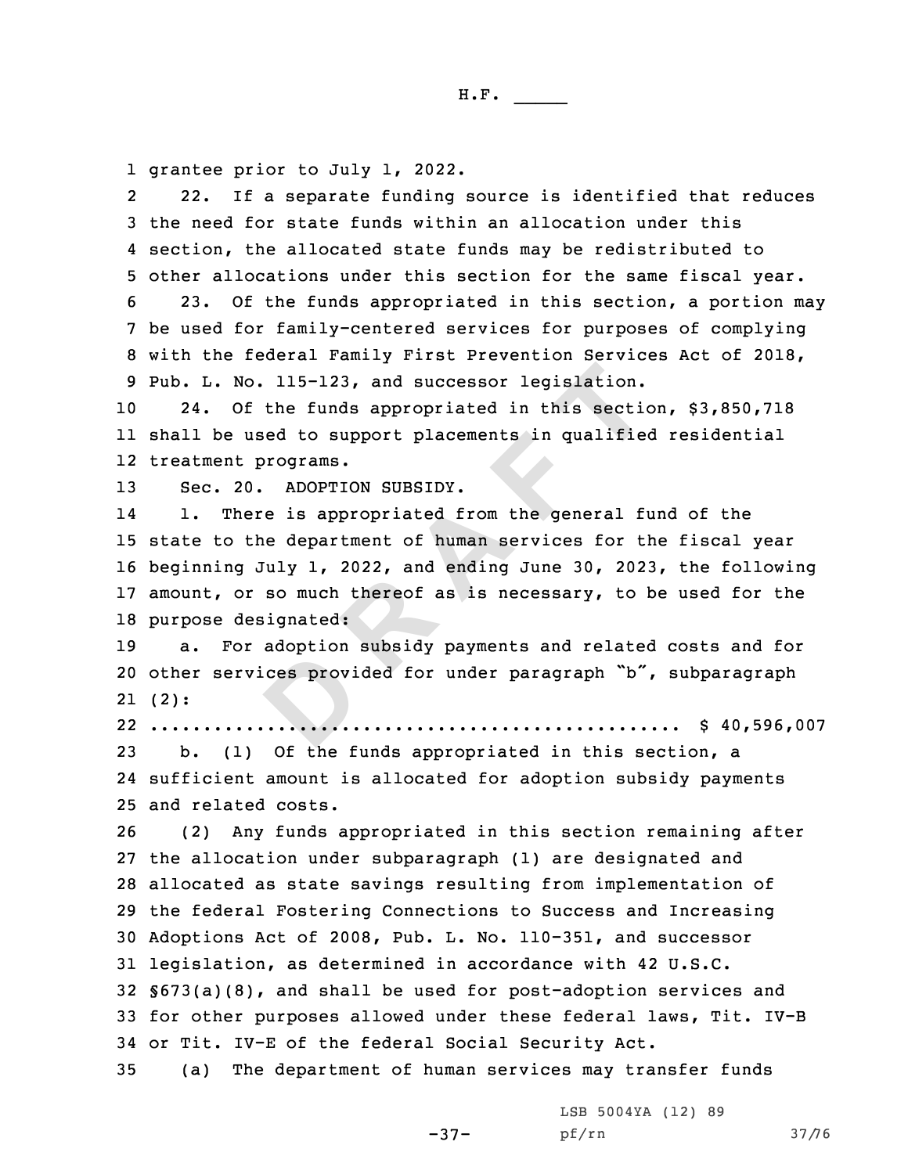1 grantee prior to July 1, 2022.

2 22. If <sup>a</sup> separate funding source is identified that reduces 3 the need for state funds within an allocation under this 4 section, the allocated state funds may be redistributed to 5 other allocations under this section for the same fiscal year.

 23. Of the funds appropriated in this section, <sup>a</sup> portion may be used for family-centered services for purposes of complying with the federal Family First Prevention Services Act of 2018, Pub. L. No. 115-123, and successor legislation.

10 24. Of the funds appropriated in this section, \$3,850,718 11 shall be used to support placements in qualified residential 12 treatment programs.

13 Sec. 20. ADOPTION SUBSIDY.

No. 115-123, and successor legislation.<br>
Of the funds appropriated in this sections<br>
used to support placements in qualified<br>
t programs.<br>
20. ADOPTON SUBSIDY.<br>
here is appropriated from the general fit<br>
the department of 14 1. There is appropriated from the general fund of the 15 state to the department of human services for the fiscal year 16 beginning July 1, 2022, and ending June 30, 2023, the following 17 amount, or so much thereof as is necessary, to be used for the 18 purpose designated:

**D**19 a. For adoption subsidy payments and related costs and for <sup>20</sup> other services provided for under paragraph "b", subparagraph 21 (2):

22 .................................................. \$ 40,596,007

23 b. (1) Of the funds appropriated in this section, <sup>a</sup> 24 sufficient amount is allocated for adoption subsidy payments 25 and related costs.

 (2) Any funds appropriated in this section remaining after the allocation under subparagraph (1) are designated and allocated as state savings resulting from implementation of the federal Fostering Connections to Success and Increasing Adoptions Act of 2008, Pub. L. No. 110-351, and successor legislation, as determined in accordance with 42 U.S.C. §673(a)(8), and shall be used for post-adoption services and for other purposes allowed under these federal laws, Tit. IV-B or Tit. IV-E of the federal Social Security Act.

35 (a) The department of human services may transfer funds

-37-

LSB 5004YA (12) 89 pf/rn 37/76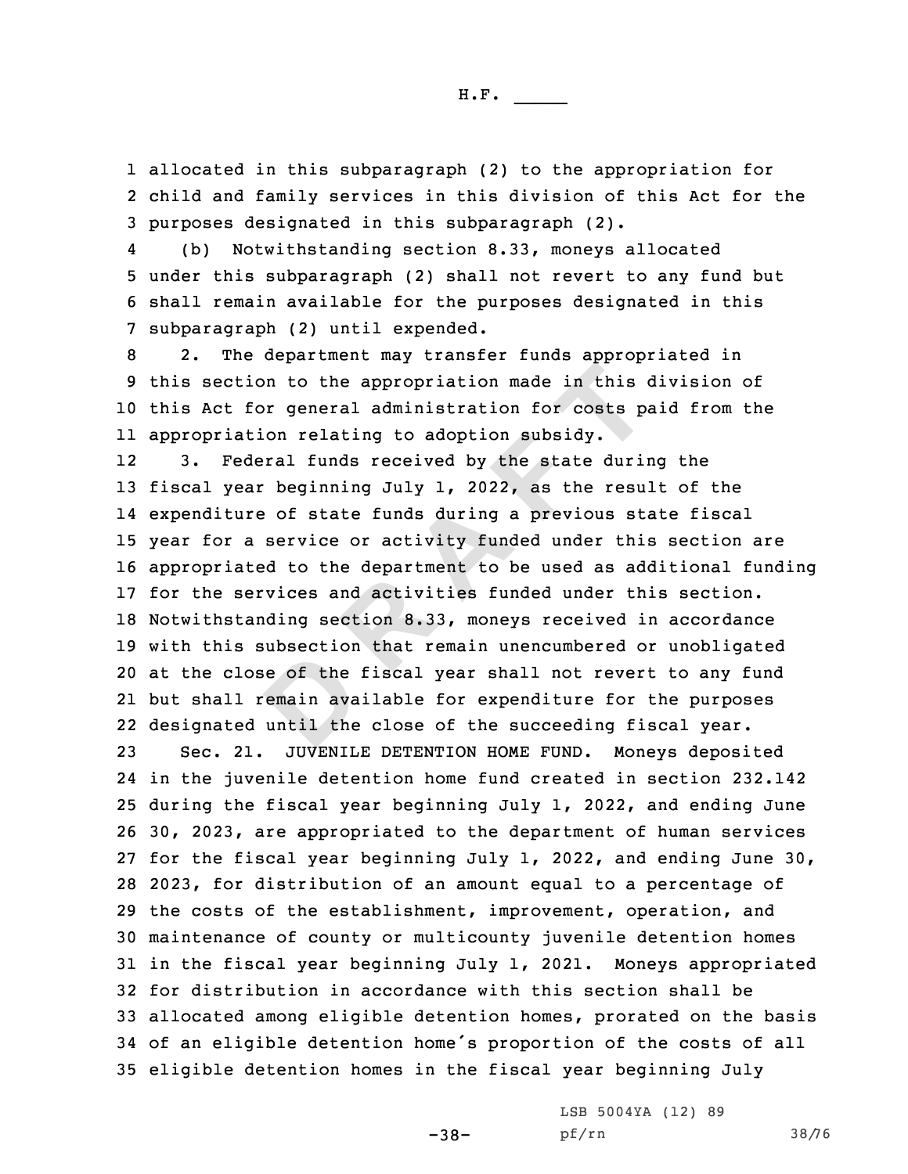1 allocated in this subparagraph (2) to the appropriation for 2 child and family services in this division of this Act for the 3 purposes designated in this subparagraph (2).

4 (b) Notwithstanding section 8.33, moneys allocated 5 under this subparagraph (2) shall not revert to any fund but 6 shall remain available for the purposes designated in this 7 subparagraph (2) until expended.

 2. The department may transfer funds appropriated in this section to the appropriation made in this division of this Act for general administration for costs paid from the appropriation relating to adoption subsidy.

e of the<br>
emain ava<br>
until the<br>
encoder tion to the appropriation made in this of the appropriation for costs pation relating to adoption subsidy.<br>
Example 1 and the state during the state during a previous state of state funds during a previous state result of 12 3. Federal funds received by the state during the fiscal year beginning July 1, 2022, as the result of the expenditure of state funds during <sup>a</sup> previous state fiscal year for <sup>a</sup> service or activity funded under this section are appropriated to the department to be used as additional funding for the services and activities funded under this section. Notwithstanding section 8.33, moneys received in accordance with this subsection that remain unencumbered or unobligated at the close of the fiscal year shall not revert to any fund but shall remain available for expenditure for the purposes designated until the close of the succeeding fiscal year.

 Sec. 21. JUVENILE DETENTION HOME FUND. Moneys deposited in the juvenile detention home fund created in section 232.142 during the fiscal year beginning July 1, 2022, and ending June 30, 2023, are appropriated to the department of human services for the fiscal year beginning July 1, 2022, and ending June 30, 2023, for distribution of an amount equal to <sup>a</sup> percentage of the costs of the establishment, improvement, operation, and maintenance of county or multicounty juvenile detention homes in the fiscal year beginning July 1, 2021. Moneys appropriated for distribution in accordance with this section shall be allocated among eligible detention homes, prorated on the basis of an eligible detention home's proportion of the costs of all eligible detention homes in the fiscal year beginning July

LSB 5004YA (12) 89

pf/rn 38/76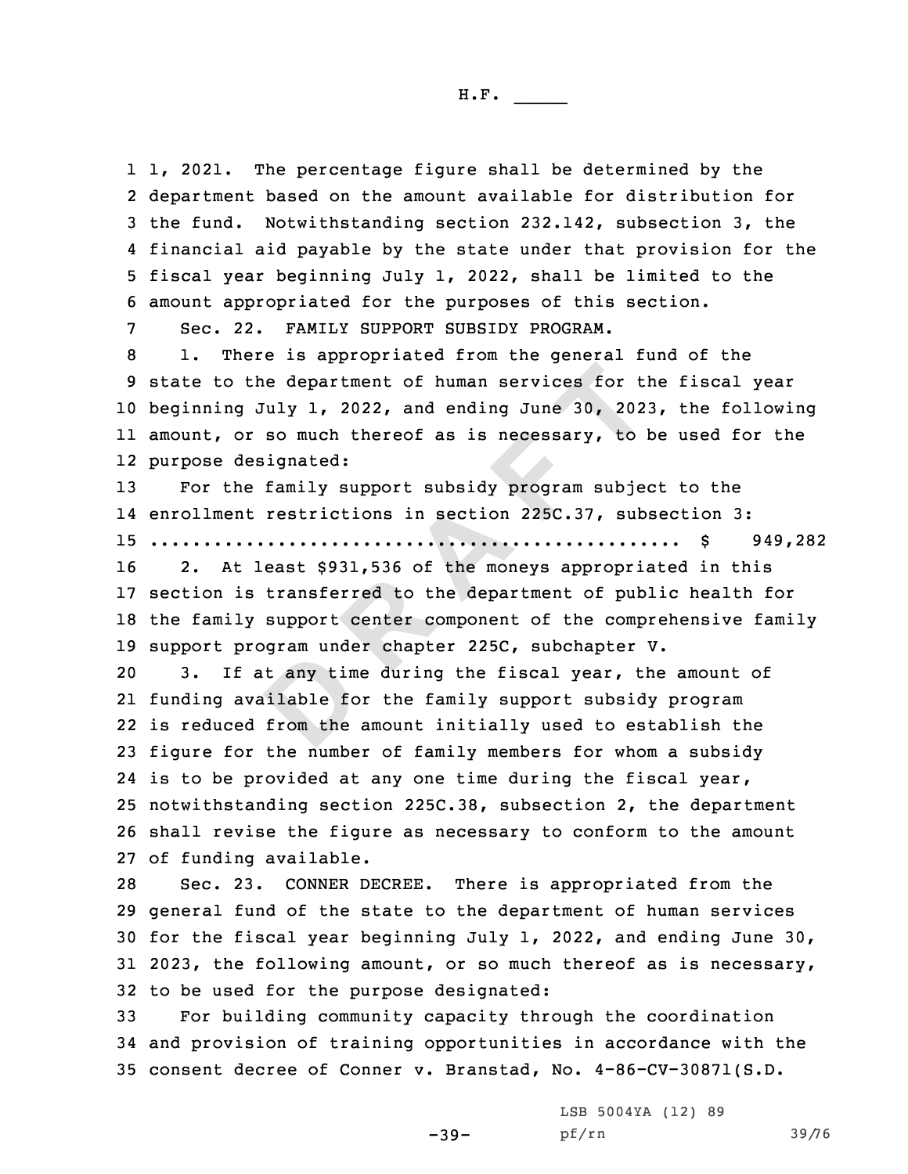1, 2021. The percentage figure shall be determined by the department based on the amount available for distribution for the fund. Notwithstanding section 232.142, subsection 3, the financial aid payable by the state under that provision for the fiscal year beginning July 1, 2022, shall be limited to the amount appropriated for the purposes of this section.

7 Sec. 22. FAMILY SUPPORT SUBSIDY PROGRAM.

the department of human services for the<br>g July 1, 2022, and ending June 30, 202<br>or so much thereof as is necessary, to l<br>designated:<br>the family support subsidy program subject<br>nt restrictions in section 225C.37, sub<br>..... 1. There is appropriated from the general fund of the state to the department of human services for the fiscal year beginning July 1, 2022, and ending June 30, 2023, the following amount, or so much thereof as is necessary, to be used for the purpose designated:

13 For the family support subsidy program subject to the 14 enrollment restrictions in section 225C.37, subsection 3: 15 .................................................. \$ 949,282

 2. At least \$931,536 of the moneys appropriated in this section is transferred to the department of public health for the family support center component of the comprehensive family support program under chapter 225C, subchapter V.

t any time<br>ilable fo<br>from the 3. If at any time during the fiscal year, the amount of funding available for the family support subsidy program is reduced from the amount initially used to establish the figure for the number of family members for whom <sup>a</sup> subsidy is to be provided at any one time during the fiscal year, notwithstanding section 225C.38, subsection 2, the department shall revise the figure as necessary to conform to the amount of funding available.

 Sec. 23. CONNER DECREE. There is appropriated from the general fund of the state to the department of human services for the fiscal year beginning July 1, 2022, and ending June 30, 2023, the following amount, or so much thereof as is necessary, to be used for the purpose designated:

33 For building community capacity through the coordination 34 and provision of training opportunities in accordance with the 35 consent decree of Conner v. Branstad, No. 4-86-CV-30871(S.D.

-39-

LSB 5004YA (12) 89 pf/rn 39/76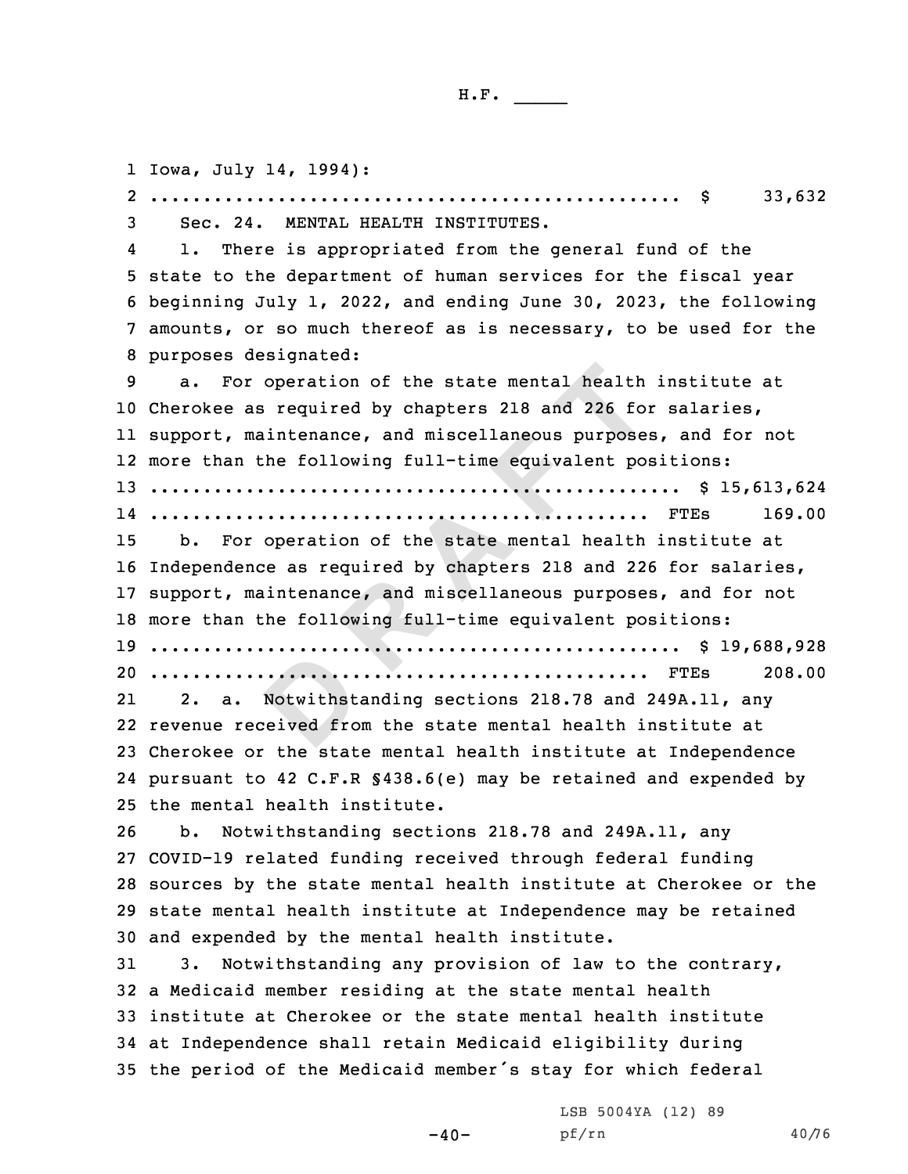**DESCRIPTION**<br>**Notwithst.**<br>reived fro **<sup>R</sup> <sup>A</sup> <sup>F</sup> <sup>T</sup>** Iowa, July 14, 1994): 2 .................................................. \$ 33,632 Sec. 24. MENTAL HEALTH INSTITUTES. 4 1. There is appropriated from the general fund of the state to the department of human services for the fiscal year beginning July 1, 2022, and ending June 30, 2023, the following amounts, or so much thereof as is necessary, to be used for the purposes designated: a. For operation of the state mental health institute at Cherokee as required by chapters 218 and 226 for salaries, support, maintenance, and miscellaneous purposes, and for not more than the following full-time equivalent positions: .................................................. \$ 15,613,624 ............................................... FTEs 169.00 b. For operation of the state mental health institute at Independence as required by chapters 218 and 226 for salaries, support, maintenance, and miscellaneous purposes, and for not more than the following full-time equivalent positions: .................................................. \$ 19,688,928 ............................................... FTEs 208.00 21 2. a. Notwithstanding sections 218.78 and 249A.11, any revenue received from the state mental health institute at Cherokee or the state mental health institute at Independence pursuant to 42 C.F.R §438.6(e) may be retained and expended by the mental health institute. b. Notwithstanding sections 218.78 and 249A.11, any COVID-19 related funding received through federal funding sources by the state mental health institute at Cherokee or the state mental health institute at Independence may be retained and expended by the mental health institute. 3. Notwithstanding any provision of law to the contrary, <sup>a</sup> Medicaid member residing at the state mental health institute at Cherokee or the state mental health institute at Independence shall retain Medicaid eligibility during the period of the Medicaid member's stay for which federal

 $-40-$ 

LSB 5004YA (12) 89 pf/rn 40/76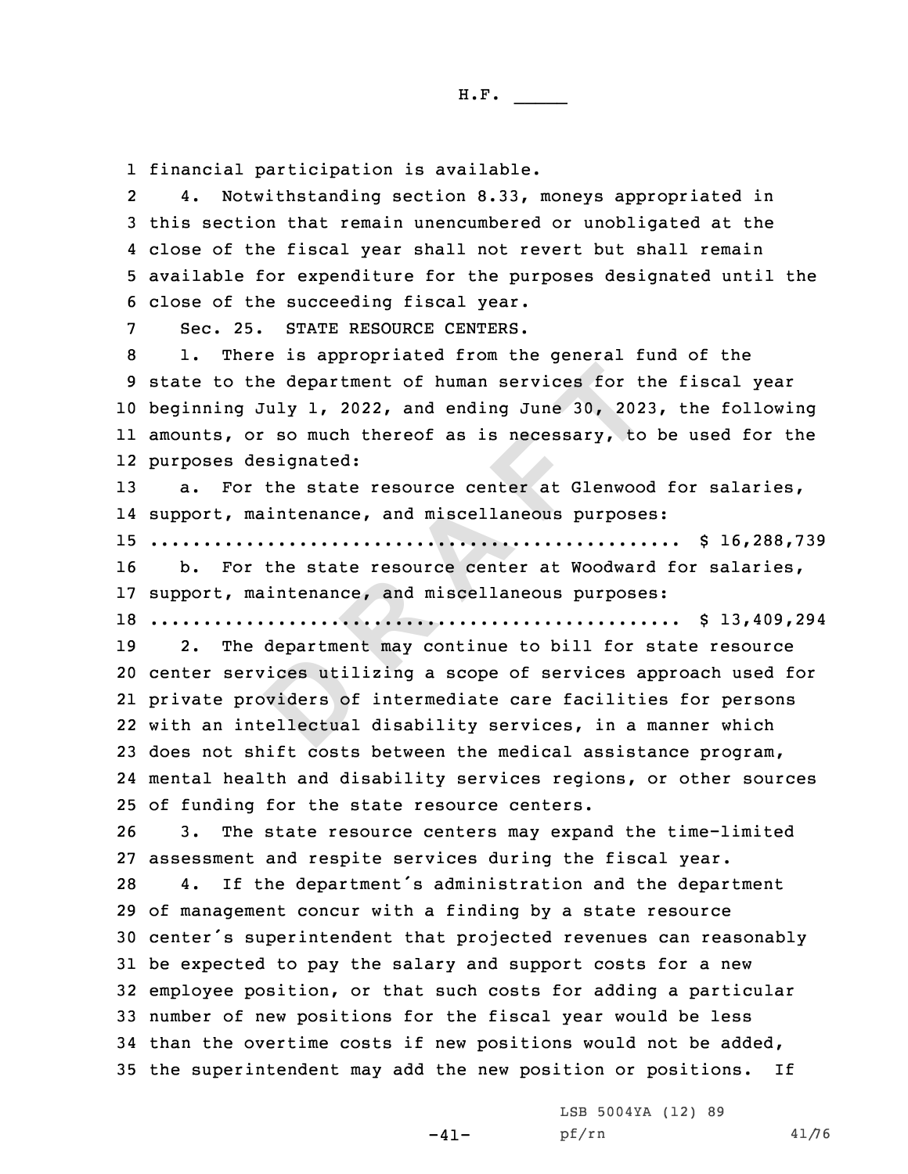1 financial participation is available.

2 4. Notwithstanding section 8.33, moneys appropriated in this section that remain unencumbered or unobligated at the close of the fiscal year shall not revert but shall remain available for expenditure for the purposes designated until the close of the succeeding fiscal year.

7 Sec. 25. STATE RESOURCE CENTERS.

 1. There is appropriated from the general fund of the state to the department of human services for the fiscal year beginning July 1, 2022, and ending June 30, 2023, the following amounts, or so much thereof as is necessary, to be used for the purposes designated:

13 a. For the state resource center at Glenwood for salaries, 14 support, maintenance, and miscellaneous purposes: 15 .................................................. \$ 16,288,739

16 b. For the state resource center at Woodward for salaries, 17 support, maintenance, and miscellaneous purposes:

18 .................................................. \$ 13,409,294

vices util<br>
byiders of<br>
ellectual<br>
by: the department of human services for the<br>g July 1, 2022, and ending June 30, 202<br>or so much thereof as is necessary, to<br>designated:<br>or the state resource center at Glenwood<br>maintenance, and miscellaneous purpose<br>.......... 2. The department may continue to bill for state resource center services utilizing <sup>a</sup> scope of services approach used for private providers of intermediate care facilities for persons with an intellectual disability services, in <sup>a</sup> manner which does not shift costs between the medical assistance program, mental health and disability services regions, or other sources of funding for the state resource centers.

26 3. The state resource centers may expand the time-limited 27 assessment and respite services during the fiscal year.

 4. If the department's administration and the department of management concur with <sup>a</sup> finding by <sup>a</sup> state resource center's superintendent that projected revenues can reasonably be expected to pay the salary and support costs for <sup>a</sup> new employee position, or that such costs for adding <sup>a</sup> particular number of new positions for the fiscal year would be less than the overtime costs if new positions would not be added, the superintendent may add the new position or positions. If

 $-41-$ 

LSB 5004YA (12) 89 pf/rn 41/76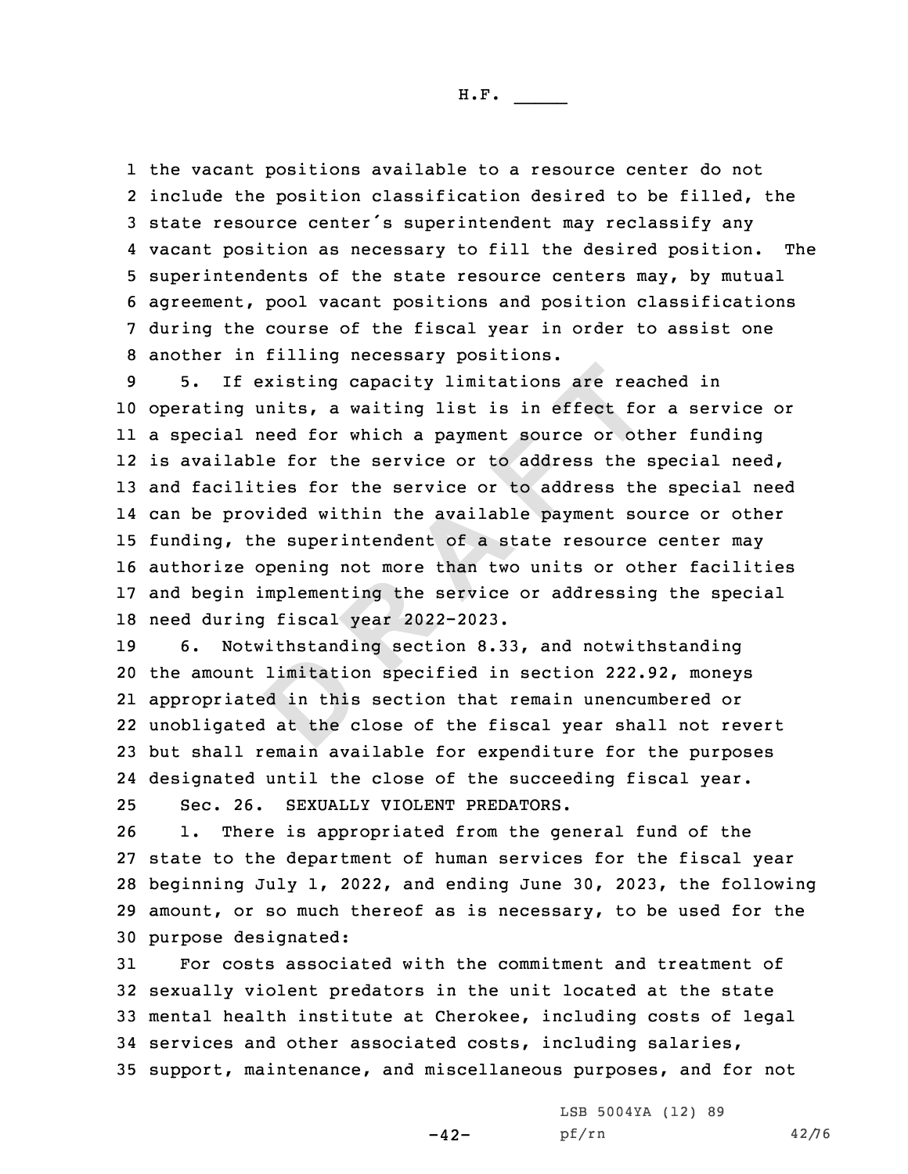the vacant positions available to <sup>a</sup> resource center do not 2 include the position classification desired to be filled, the state resource center's superintendent may reclassify any vacant position as necessary to fill the desired position. The superintendents of the state resource centers may, by mutual agreement, pool vacant positions and position classifications during the course of the fiscal year in order to assist one another in filling necessary positions.

**R** existing capacity limitations are ready units, a waiting list is in effect foll need for which a payment source or otlable for the service or to address the lities for the service or to address the rovided within the a 5. If existing capacity limitations are reached in operating units, <sup>a</sup> waiting list is in effect for <sup>a</sup> service or <sup>a</sup> special need for which <sup>a</sup> payment source or other funding 12 is available for the service or to address the special need, and facilities for the service or to address the special need can be provided within the available payment source or other funding, the superintendent of <sup>a</sup> state resource center may authorize opening not more than two units or other facilities and begin implementing the service or addressing the special need during fiscal year 2022-2023.

limitatio<br>d in this<br>d at the c 6. Notwithstanding section 8.33, and notwithstanding the amount limitation specified in section 222.92, moneys appropriated in this section that remain unencumbered or unobligated at the close of the fiscal year shall not revert but shall remain available for expenditure for the purposes designated until the close of the succeeding fiscal year. Sec. 26. SEXUALLY VIOLENT PREDATORS.

 1. There is appropriated from the general fund of the state to the department of human services for the fiscal year beginning July 1, 2022, and ending June 30, 2023, the following amount, or so much thereof as is necessary, to be used for the purpose designated:

 For costs associated with the commitment and treatment of sexually violent predators in the unit located at the state mental health institute at Cherokee, including costs of legal services and other associated costs, including salaries, support, maintenance, and miscellaneous purposes, and for not

-42-

LSB 5004YA (12) 89 pf/rn 42/76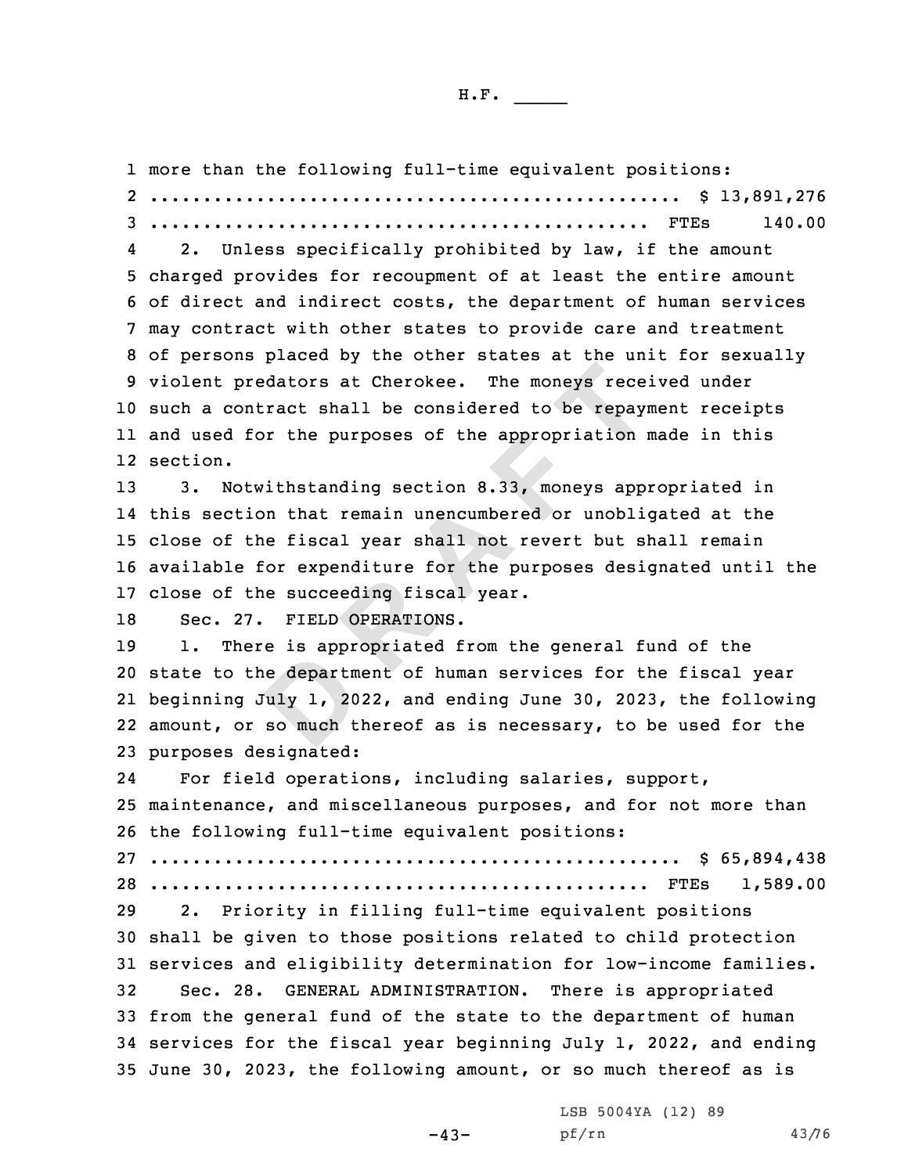**D**predators at Cherokee. The moneys rece<br>contract shall be considered to be repayi<br>for the purposes of the appropriation<br>otwithstanding section 8.33, moneys app-<br>tion that remain unencumbered or unobli-<br>the fiscal year shall more than the following full-time equivalent positions: .................................................. \$ 13,891,276 ............................................... FTEs 140.00 4 2. Unless specifically prohibited by law, if the amount charged provides for recoupment of at least the entire amount of direct and indirect costs, the department of human services may contract with other states to provide care and treatment of persons placed by the other states at the unit for sexually violent predators at Cherokee. The moneys received under such <sup>a</sup> contract shall be considered to be repayment receipts and used for the purposes of the appropriation made in this 12 section. 3. Notwithstanding section 8.33, moneys appropriated in this section that remain unencumbered or unobligated at the close of the fiscal year shall not revert but shall remain available for expenditure for the purposes designated until the close of the succeeding fiscal year. Sec. 27. FIELD OPERATIONS. 1. There is appropriated from the general fund of the state to the department of human services for the fiscal year beginning July 1, 2022, and ending June 30, 2023, the following amount, or so much thereof as is necessary, to be used for the purposes designated: 24 For field operations, including salaries, support, maintenance, and miscellaneous purposes, and for not more than the following full-time equivalent positions: .................................................. \$ 65,894,438 ............................................... FTEs 1,589.00 2. Priority in filling full-time equivalent positions shall be given to those positions related to child protection services and eligibility determination for low-income families. Sec. 28. GENERAL ADMINISTRATION. There is appropriated from the general fund of the state to the department of human services for the fiscal year beginning July 1, 2022, and ending June 30, 2023, the following amount, or so much thereof as is

LSB 5004YA (12) 89

 $-43-$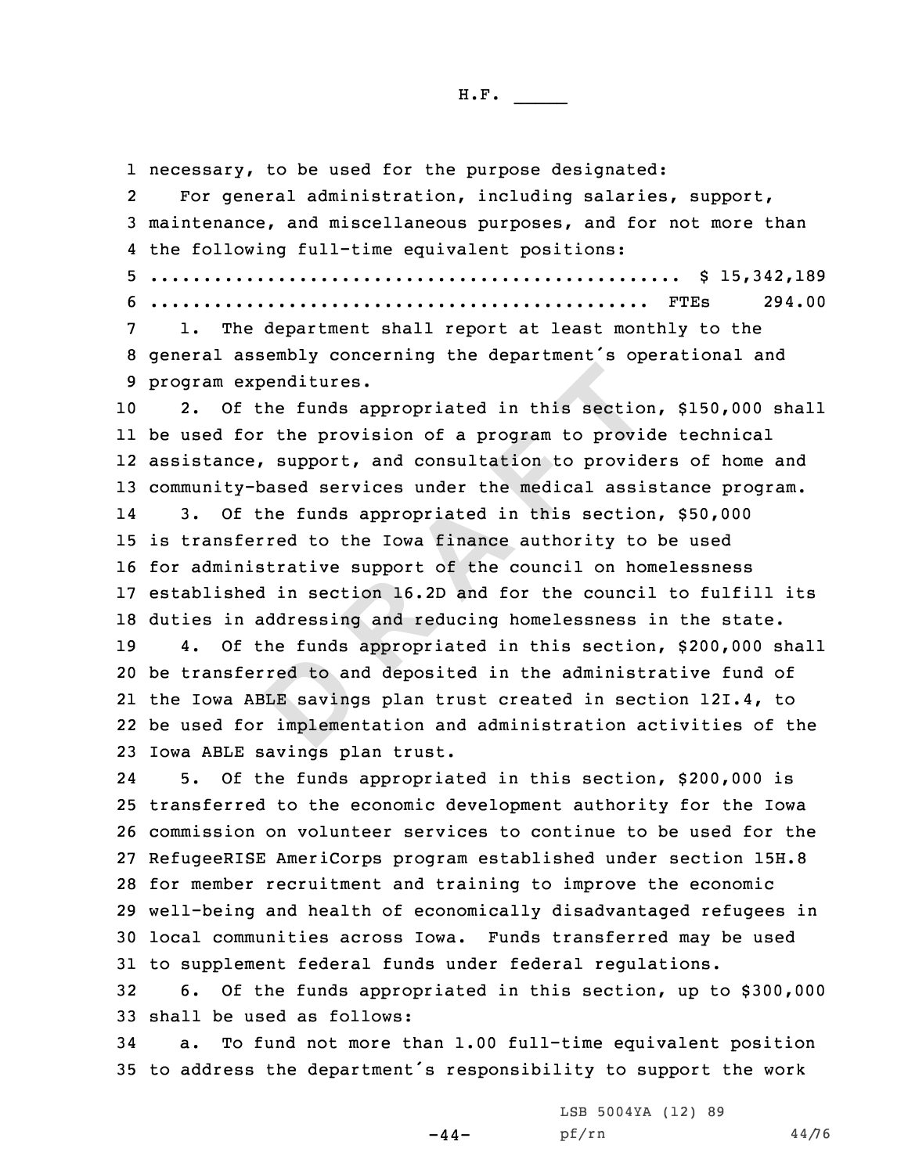red to an<br>BLE saving<br>implemen **Expenditures.**<br> **Expenditures.**<br> **Expenditures.**<br> **Expenditures.**<br> **Expendition of a program to provid<br>
<b>EXPENDE SERVE TO A EXPENDE TO A EXPENDE SCREEN SCREEN SERVERT A EXPENDENCE SCREEN SCREEN SCREEN SCREEN SCREEN**  necessary, to be used for the purpose designated: 2 For general administration, including salaries, support, maintenance, and miscellaneous purposes, and for not more than the following full-time equivalent positions: .................................................. \$ 15,342,189 ............................................... FTEs 294.00 1. The department shall report at least monthly to the general assembly concerning the department's operational and program expenditures. 2. Of the funds appropriated in this section, \$150,000 shall be used for the provision of <sup>a</sup> program to provide technical assistance, support, and consultation to providers of home and community-based services under the medical assistance program. 14 3. Of the funds appropriated in this section, \$50,000 is transferred to the Iowa finance authority to be used for administrative support of the council on homelessness established in section 16.2D and for the council to fulfill its duties in addressing and reducing homelessness in the state. 4. Of the funds appropriated in this section, \$200,000 shall be transferred to and deposited in the administrative fund of the Iowa ABLE savings plan trust created in section 12I.4, to be used for implementation and administration activities of the Iowa ABLE savings plan trust. 24 5. Of the funds appropriated in this section, \$200,000 is transferred to the economic development authority for the Iowa commission on volunteer services to continue to be used for the RefugeeRISE AmeriCorps program established under section 15H.8 for member recruitment and training to improve the economic well-being and health of economically disadvantaged refugees in local communities across Iowa. Funds transferred may be used to supplement federal funds under federal regulations. 6. Of the funds appropriated in this section, up to \$300,000 shall be used as follows:

34 a. To fund not more than 1.00 full-time equivalent position <sup>35</sup> to address the department's responsibility to support the work

 $-44-$ 

LSB 5004YA (12) 89 pf/rn 44/76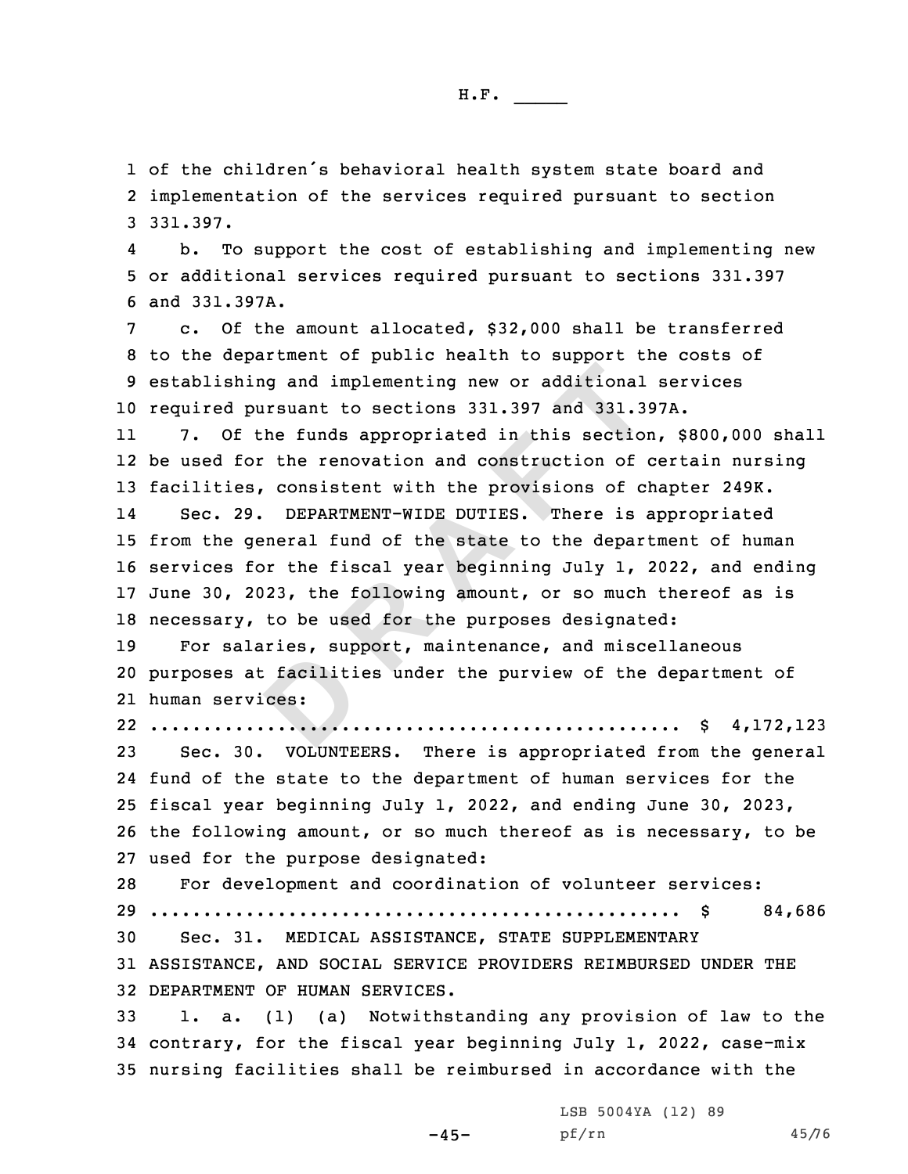1 of the children's behavioral health system state board and 2 implementation of the services required pursuant to section 3 331.397.

4 b. To support the cost of establishing and implementing new 5 or additional services required pursuant to sections 331.397 6 and 331.397A.

 c. Of the amount allocated, \$32,000 shall be transferred to the department of public health to support the costs of establishing and implementing new or additional services required pursuant to sections 331.397 and 331.397A.

11 7. Of the funds appropriated in this section, \$800,000 shall 12 be used for the renovation and construction of certain nursing 13 facilities, consistent with the provisions of chapter 249K.

Final and implementing new or additional<br>pursuant to sections 331.397 and 331.3<br>
f the funds appropriated in this section<br>
for the renovation and construction of<br>
es, consistent with the provisions of c<br>
29. DEPARTMENT-WID 14 Sec. 29. DEPARTMENT-WIDE DUTIES. There is appropriated 15 from the general fund of the state to the department of human 16 services for the fiscal year beginning July 1, 2022, and ending 17 June 30, 2023, the following amount, or so much thereof as is 18 necessary, to be used for the purposes designated:

prices; sap.<br> **D**<br> **D**<br> **D**<br> **D**<br> **D**<br> **D**<br> **D**  For salaries, support, maintenance, and miscellaneous purposes at facilities under the purview of the department of human services:

22 .................................................. \$ 4,172,123

 Sec. 30. VOLUNTEERS. There is appropriated from the general fund of the state to the department of human services for the fiscal year beginning July 1, 2022, and ending June 30, 2023, the following amount, or so much thereof as is necessary, to be used for the purpose designated:

 For development and coordination of volunteer services: .................................................. \$ 84,686 Sec. 31. MEDICAL ASSISTANCE, STATE SUPPLEMENTARY ASSISTANCE, AND SOCIAL SERVICE PROVIDERS REIMBURSED UNDER THE DEPARTMENT OF HUMAN SERVICES.

33 1. a. (1) (a) Notwithstanding any provision of law to the 34 contrary, for the fiscal year beginning July 1, 2022, case-mix 35 nursing facilities shall be reimbursed in accordance with the

-45-

LSB 5004YA (12) 89 pf/rn 45/76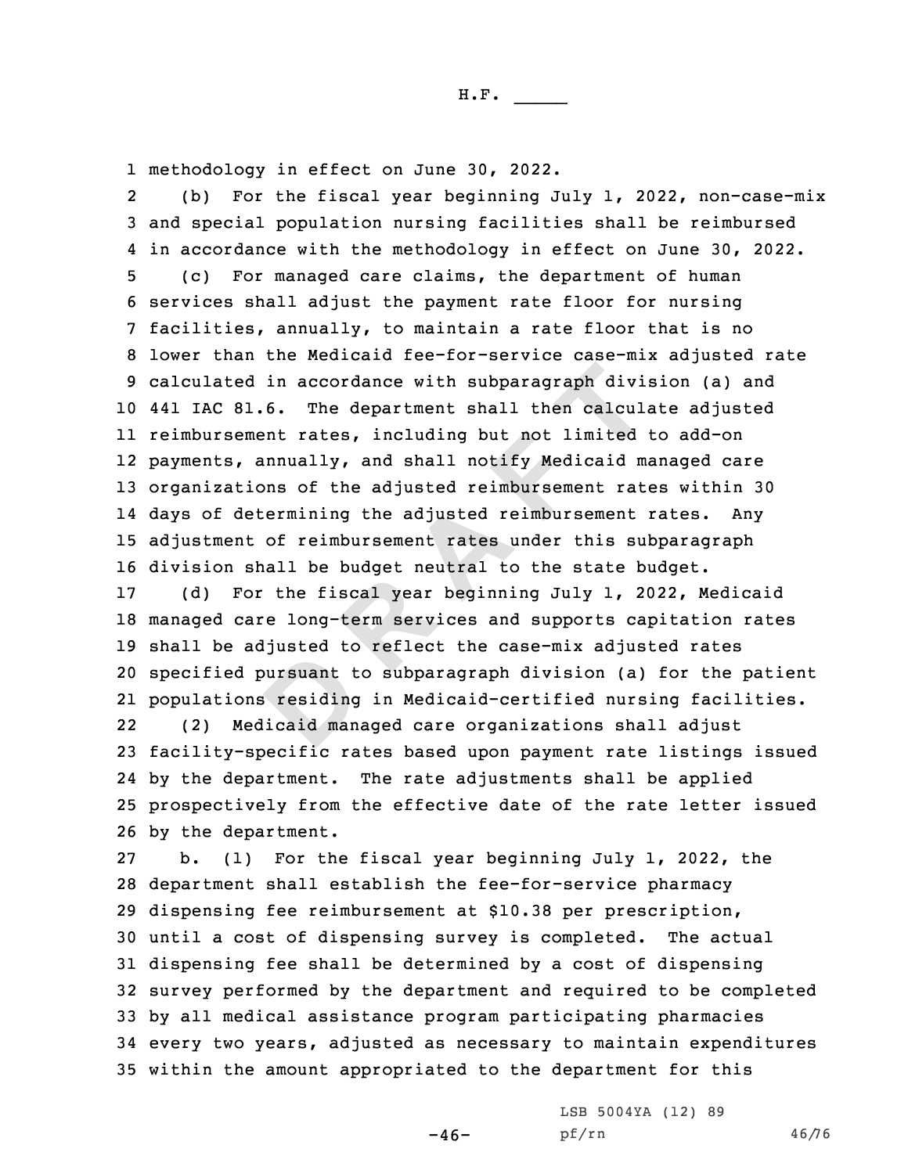1 methodology in effect on June 30, 2022.

bursuant t<br> **B** residing<br>
licaid man ed in accordance with subparagraph divi<br>81.6. The department shall then calcularement rates, including but not limited<br>, annually, and shall notify Medicaid metions of the adjusted reimbursement rat<br>determining the adjuste 2 (b) For the fiscal year beginning July 1, 2022, non-case-mix and special population nursing facilities shall be reimbursed in accordance with the methodology in effect on June 30, 2022. (c) For managed care claims, the department of human services shall adjust the payment rate floor for nursing facilities, annually, to maintain <sup>a</sup> rate floor that is no lower than the Medicaid fee-for-service case-mix adjusted rate calculated in accordance with subparagraph division (a) and 441 IAC 81.6. The department shall then calculate adjusted reimbursement rates, including but not limited to add-on payments, annually, and shall notify Medicaid managed care organizations of the adjusted reimbursement rates within 30 days of determining the adjusted reimbursement rates. Any adjustment of reimbursement rates under this subparagraph division shall be budget neutral to the state budget. (d) For the fiscal year beginning July 1, 2022, Medicaid managed care long-term services and supports capitation rates shall be adjusted to reflect the case-mix adjusted rates specified pursuant to subparagraph division (a) for the patient populations residing in Medicaid-certified nursing facilities. 22 (2) Medicaid managed care organizations shall adjust facility-specific rates based upon payment rate listings issued by the department. The rate adjustments shall be applied prospectively from the effective date of the rate letter issued by the department. b. (1) For the fiscal year beginning July 1, 2022, the

H.F. \_\_\_\_\_

 department shall establish the fee-for-service pharmacy dispensing fee reimbursement at \$10.38 per prescription, until <sup>a</sup> cost of dispensing survey is completed. The actual dispensing fee shall be determined by <sup>a</sup> cost of dispensing survey performed by the department and required to be completed by all medical assistance program participating pharmacies every two years, adjusted as necessary to maintain expenditures within the amount appropriated to the department for this

> LSB 5004YA (12) 89 pf/rn 46/76

 $-46-$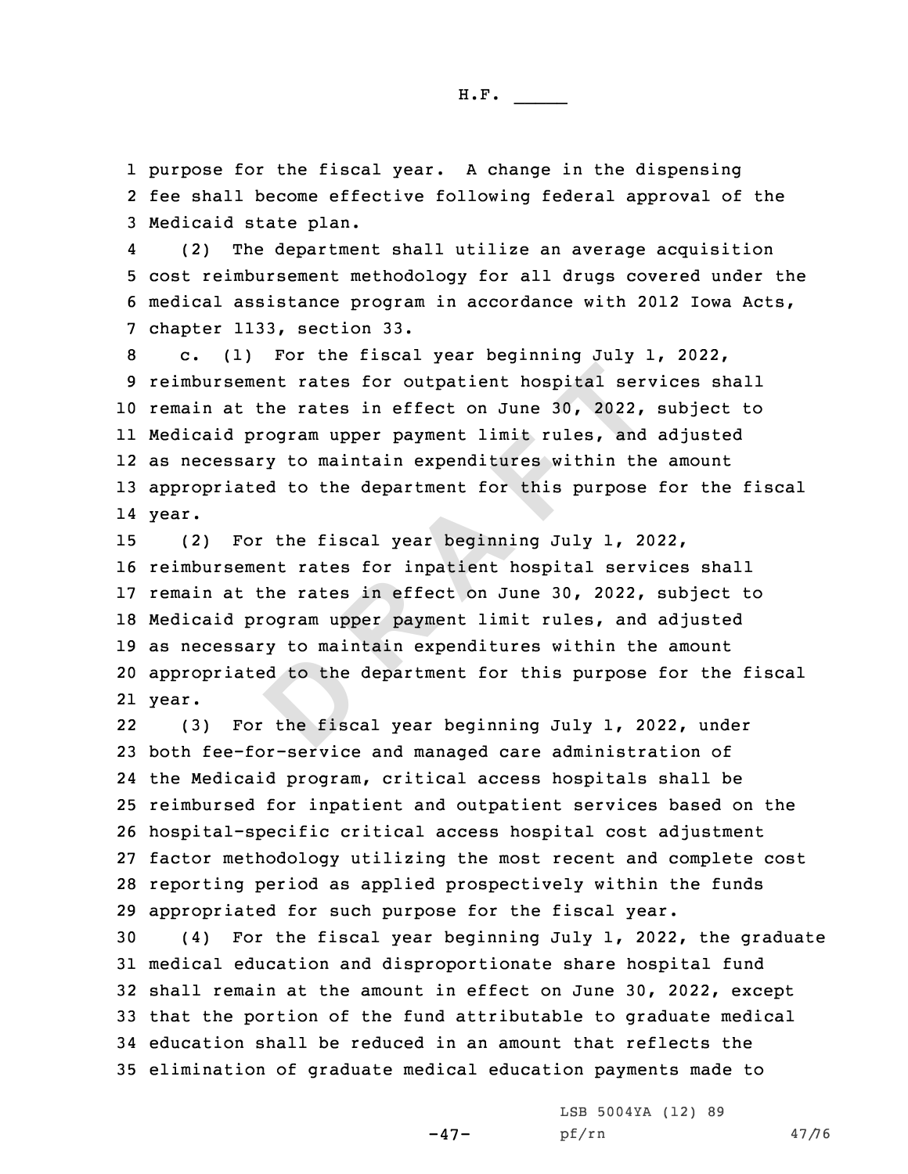1 purpose for the fiscal year. <sup>A</sup> change in the dispensing 2 fee shall become effective following federal approval of the 3 Medicaid state plan.

4 (2) The department shall utilize an average acquisition 5 cost reimbursement methodology for all drugs covered under the 6 medical assistance program in accordance with 2012 Iowa Acts, 7 chapter 1133, section 33.

 c. (1) For the fiscal year beginning July 1, 2022, reimbursement rates for outpatient hospital services shall remain at the rates in effect on June 30, 2022, subject to Medicaid program upper payment limit rules, and adjusted as necessary to maintain expenditures within the amount appropriated to the department for this purpose for the fiscal 14 year.

ed to the<br>the fisc. ement rates for outpatient hospital sert the rates in effect on June 30, 2022, program upper payment limit rules, and sary to maintain expenditures within thated to the department for this purpose For the fiscal year begin (2) For the fiscal year beginning July 1, 2022, reimbursement rates for inpatient hospital services shall remain at the rates in effect on June 30, 2022, subject to Medicaid program upper payment limit rules, and adjusted as necessary to maintain expenditures within the amount appropriated to the department for this purpose for the fiscal 21 year.

22 (3) For the fiscal year beginning July 1, 2022, under both fee-for-service and managed care administration of the Medicaid program, critical access hospitals shall be reimbursed for inpatient and outpatient services based on the hospital-specific critical access hospital cost adjustment factor methodology utilizing the most recent and complete cost reporting period as applied prospectively within the funds appropriated for such purpose for the fiscal year.

 (4) For the fiscal year beginning July 1, 2022, the graduate medical education and disproportionate share hospital fund shall remain at the amount in effect on June 30, 2022, except that the portion of the fund attributable to graduate medical education shall be reduced in an amount that reflects the elimination of graduate medical education payments made to

-47-

LSB 5004YA (12) 89 pf/rn 47/76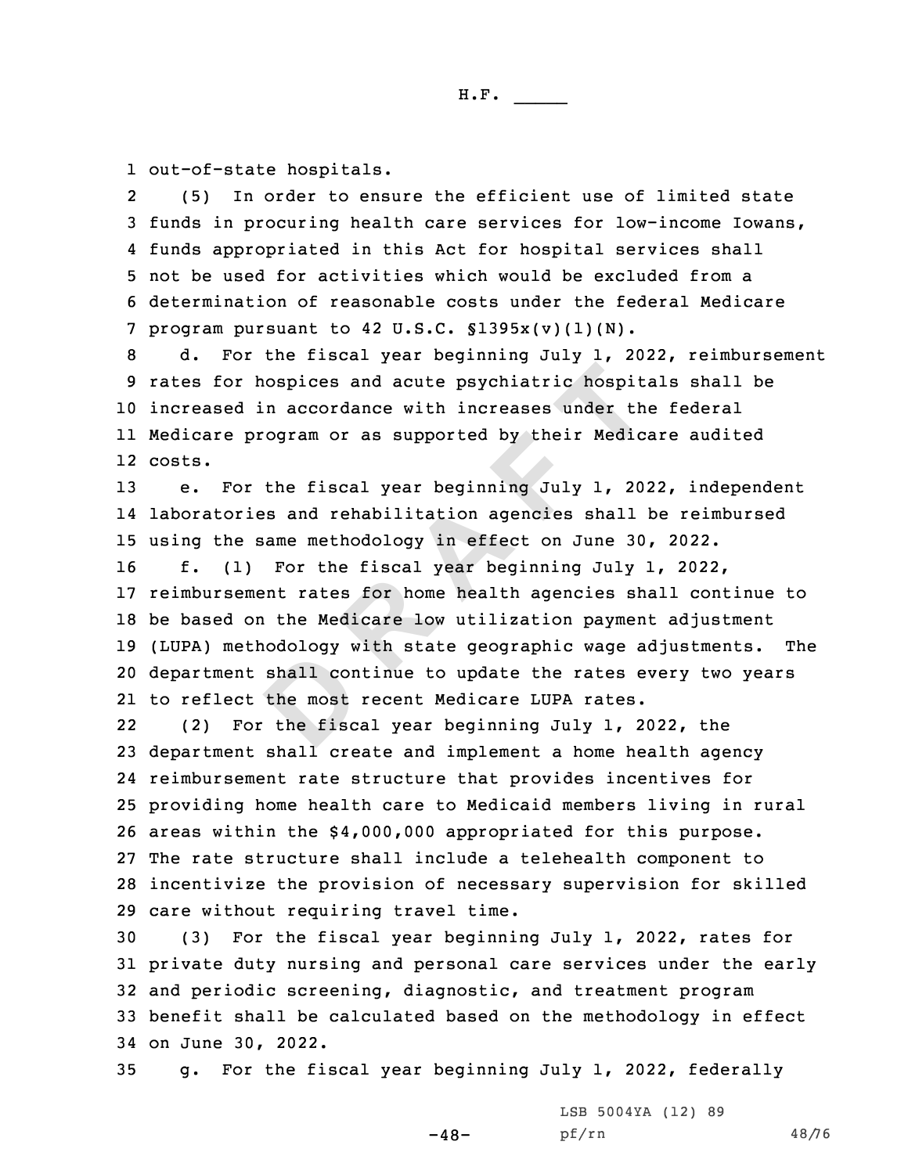1 out-of-state hospitals.

2 (5) In order to ensure the efficient use of limited state funds in procuring health care services for low-income Iowans, funds appropriated in this Act for hospital services shall not be used for activities which would be excluded from <sup>a</sup> determination of reasonable costs under the federal Medicare program pursuant to 42 U.S.C. §1395x(v)(1)(N).

 d. For the fiscal year beginning July 1, 2022, reimbursement rates for hospices and acute psychiatric hospitals shall be increased in accordance with increases under the federal Medicare program or as supported by their Medicare audited 12 costs.

13 e. For the fiscal year beginning July 1, 2022, independent 14 laboratories and rehabilitation agencies shall be reimbursed 15 using the same methodology in effect on June 30, 2022.

shall contract the most<br>the fisc. **R R EXECTS 120 TO 2012 120 TO 2012 120 TO 2012 120 TO 2012 120 TO 2012 120 TO 2012 120 TO 2012 120 TO 2012 120 TO 2012 120 TO 2012 120 TO 2012 120 TO 2012 120 TO 2012 120 TO 2012 120 TO 2012 120 TO 2012 120 TO 2012 12**  f. (1) For the fiscal year beginning July 1, 2022, reimbursement rates for home health agencies shall continue to be based on the Medicare low utilization payment adjustment (LUPA) methodology with state geographic wage adjustments. The department shall continue to update the rates every two years to reflect the most recent Medicare LUPA rates.

22 (2) For the fiscal year beginning July 1, 2022, the department shall create and implement <sup>a</sup> home health agency reimbursement rate structure that provides incentives for providing home health care to Medicaid members living in rural areas within the \$4,000,000 appropriated for this purpose. The rate structure shall include <sup>a</sup> telehealth component to incentivize the provision of necessary supervision for skilled care without requiring travel time.

 (3) For the fiscal year beginning July 1, 2022, rates for private duty nursing and personal care services under the early and periodic screening, diagnostic, and treatment program benefit shall be calculated based on the methodology in effect on June 30, 2022.

35 g. For the fiscal year beginning July 1, 2022, federally

 $-48-$ 

LSB 5004YA (12) 89 pf/rn 48/76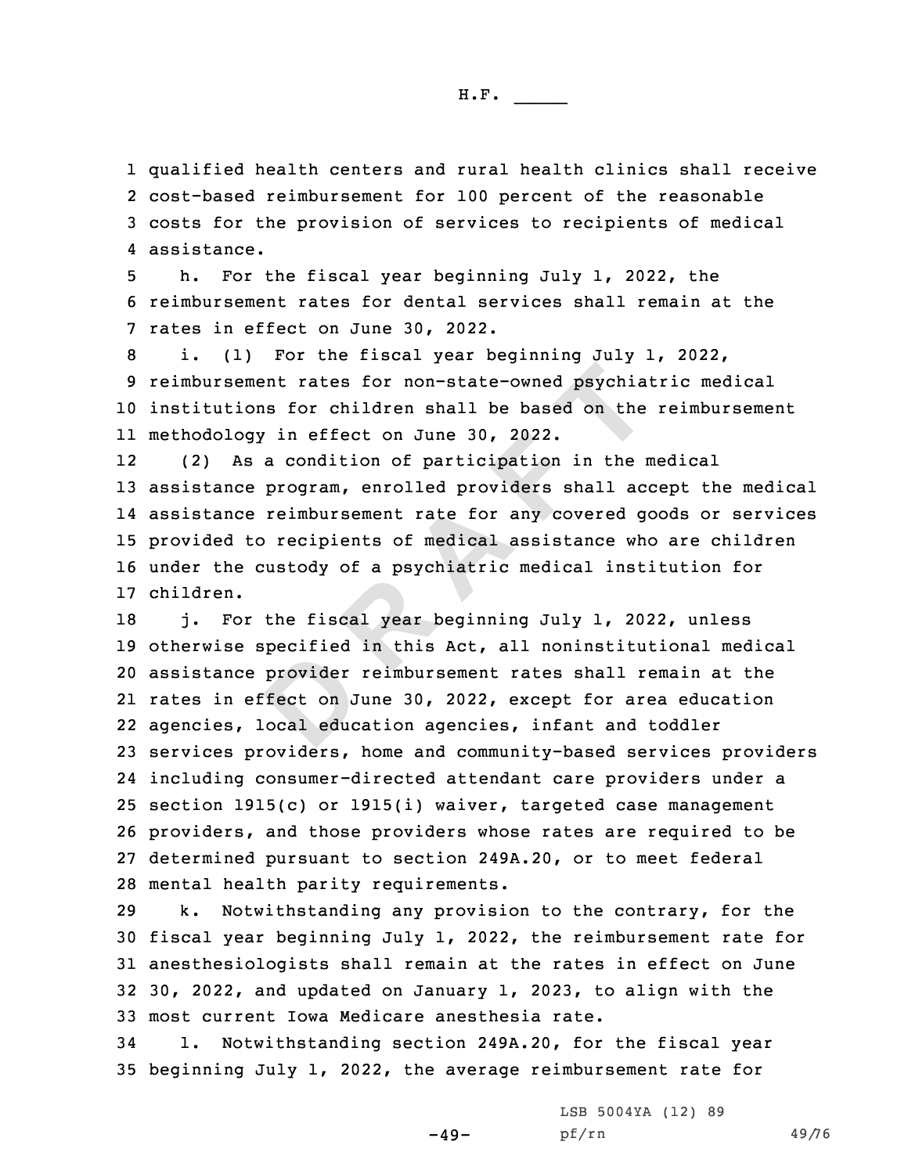qualified health centers and rural health clinics shall receive cost-based reimbursement for 100 percent of the reasonable costs for the provision of services to recipients of medical assistance.

5 h. For the fiscal year beginning July 1, 2022, the 6 reimbursement rates for dental services shall remain at the 7 rates in effect on June 30, 2022.

 i. (1) For the fiscal year beginning July 1, 2022, reimbursement rates for non-state-owned psychiatric medical institutions for children shall be based on the reimbursement methodology in effect on June 30, 2022.

ement rates for non-state-owned psychia<br>
ions for children shall be based on the<br>
ogy in effect on June 30, 2022.<br>
As a condition of participation in the r<br>
ce program, enrolled providers shall ac<br>
ce reimbursement rate fo 12 (2) As <sup>a</sup> condition of participation in the medical assistance program, enrolled providers shall accept the medical assistance reimbursement rate for any covered goods or services provided to recipients of medical assistance who are children under the custody of <sup>a</sup> psychiatric medical institution for children.

provider<br>
ifect on J<br>
.ocal educ 18 j. For the fiscal year beginning July 1, 2022, unless otherwise specified in this Act, all noninstitutional medical assistance provider reimbursement rates shall remain at the rates in effect on June 30, 2022, except for area education agencies, local education agencies, infant and toddler services providers, home and community-based services providers including consumer-directed attendant care providers under <sup>a</sup> section 1915(c) or 1915(i) waiver, targeted case management providers, and those providers whose rates are required to be determined pursuant to section 249A.20, or to meet federal mental health parity requirements.

 k. Notwithstanding any provision to the contrary, for the fiscal year beginning July 1, 2022, the reimbursement rate for anesthesiologists shall remain at the rates in effect on June 30, 2022, and updated on January 1, 2023, to align with the most current Iowa Medicare anesthesia rate.

34 l. Notwithstanding section 249A.20, for the fiscal year 35 beginning July 1, 2022, the average reimbursement rate for

 $-49-$ 

LSB 5004YA (12) 89 pf/rn 49/76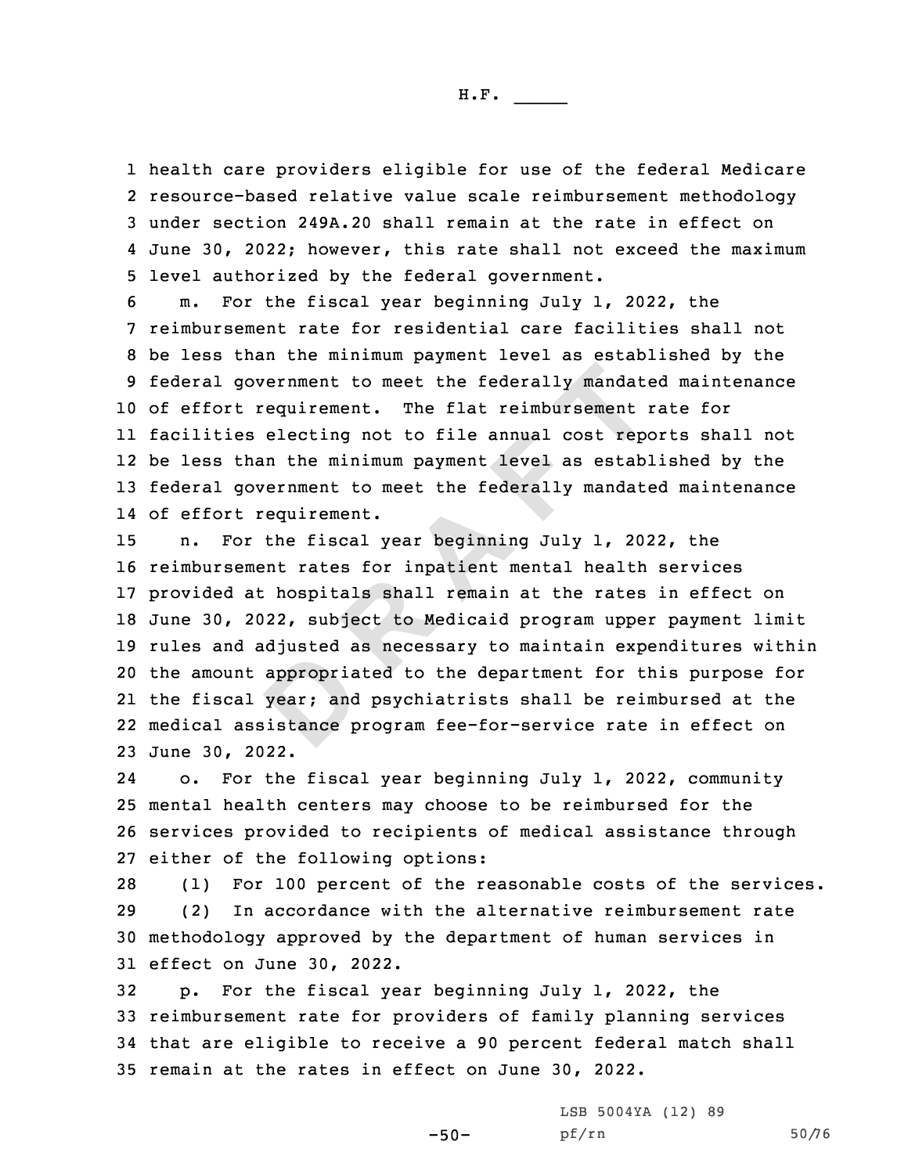health care providers eligible for use of the federal Medicare resource-based relative value scale reimbursement methodology under section 249A.20 shall remain at the rate in effect on June 30, 2022; however, this rate shall not exceed the maximum level authorized by the federal government.

 m. For the fiscal year beginning July 1, 2022, the reimbursement rate for residential care facilities shall not be less than the minimum payment level as established by the federal government to meet the federally mandated maintenance of effort requirement. The flat reimbursement rate for facilities electing not to file annual cost reports shall not be less than the minimum payment level as established by the federal government to meet the federally mandated maintenance of effort requirement.

appropria<br>year; and<br>sistance p government to meet the federally mandatt<br>
t requirement. The flat reimbursement<br>
es electing not to file annual cost rep<br>
than the minimum payment level as estab<br>
government to meet the federally mandatt<br>
t requirement.<br>
o n. For the fiscal year beginning July 1, 2022, the reimbursement rates for inpatient mental health services provided at hospitals shall remain at the rates in effect on June 30, 2022, subject to Medicaid program upper payment limit rules and adjusted as necessary to maintain expenditures within the amount appropriated to the department for this purpose for the fiscal year; and psychiatrists shall be reimbursed at the medical assistance program fee-for-service rate in effect on June 30, 2022.

24 o. For the fiscal year beginning July 1, 2022, community 25 mental health centers may choose to be reimbursed for the 26 services provided to recipients of medical assistance through 27 either of the following options:

 (1) For 100 percent of the reasonable costs of the services. (2) In accordance with the alternative reimbursement rate methodology approved by the department of human services in effect on June 30, 2022.

 p. For the fiscal year beginning July 1, 2022, the reimbursement rate for providers of family planning services that are eligible to receive <sup>a</sup> 90 percent federal match shall remain at the rates in effect on June 30, 2022.

 $-50-$ 

LSB 5004YA (12) 89 pf/rn 50/76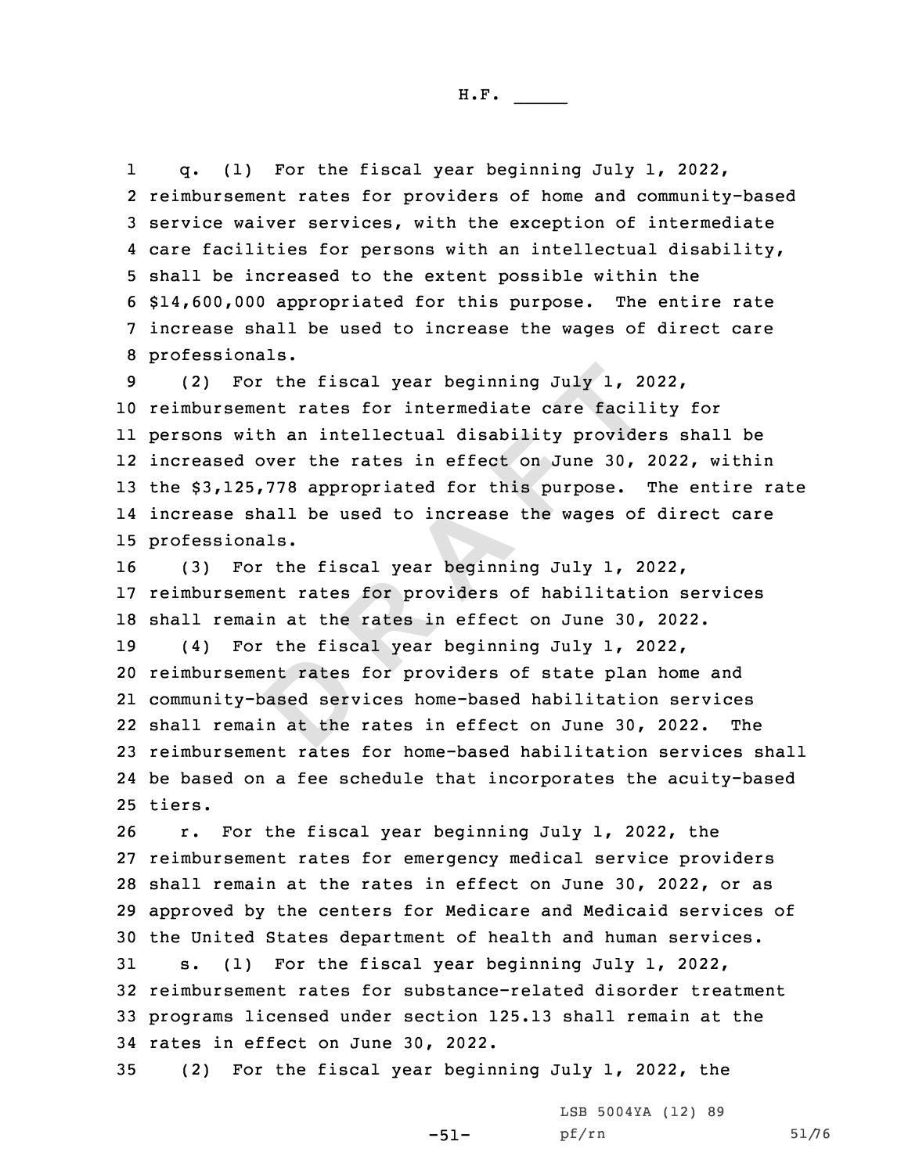1 q. (1) For the fiscal year beginning July 1, 2022, reimbursement rates for providers of home and community-based service waiver services, with the exception of intermediate care facilities for persons with an intellectual disability, shall be increased to the extent possible within the \$14,600,000 appropriated for this purpose. The entire rate increase shall be used to increase the wages of direct care professionals.

 (2) For the fiscal year beginning July 1, 2022, reimbursement rates for intermediate care facility for persons with an intellectual disability providers shall be increased over the rates in effect on June 30, 2022, within the \$3,125,778 appropriated for this purpose. The entire rate increase shall be used to increase the wages of direct care professionals.

ent rates<br>based serv<br>n at the For the fiscal year beginning July 1, 20<br>
ement rates for intermediate care facil<br>
with an intellectual disability provide<br>
d over the rates in effect on June 30,<br>
25,778 appropriated for this purpose.<br>
shall be used to in (3) For the fiscal year beginning July 1, 2022, reimbursement rates for providers of habilitation services shall remain at the rates in effect on June 30, 2022. (4) For the fiscal year beginning July 1, 2022, reimbursement rates for providers of state plan home and community-based services home-based habilitation services shall remain at the rates in effect on June 30, 2022. The reimbursement rates for home-based habilitation services shall be based on <sup>a</sup> fee schedule that incorporates the acuity-based 25 tiers.

 r. For the fiscal year beginning July 1, 2022, the reimbursement rates for emergency medical service providers shall remain at the rates in effect on June 30, 2022, or as approved by the centers for Medicare and Medicaid services of the United States department of health and human services.

 s. (1) For the fiscal year beginning July 1, 2022, reimbursement rates for substance-related disorder treatment programs licensed under section 125.13 shall remain at the rates in effect on June 30, 2022.

-51-

35 (2) For the fiscal year beginning July 1, 2022, the

LSB 5004YA (12) 89 pf/rn 51/76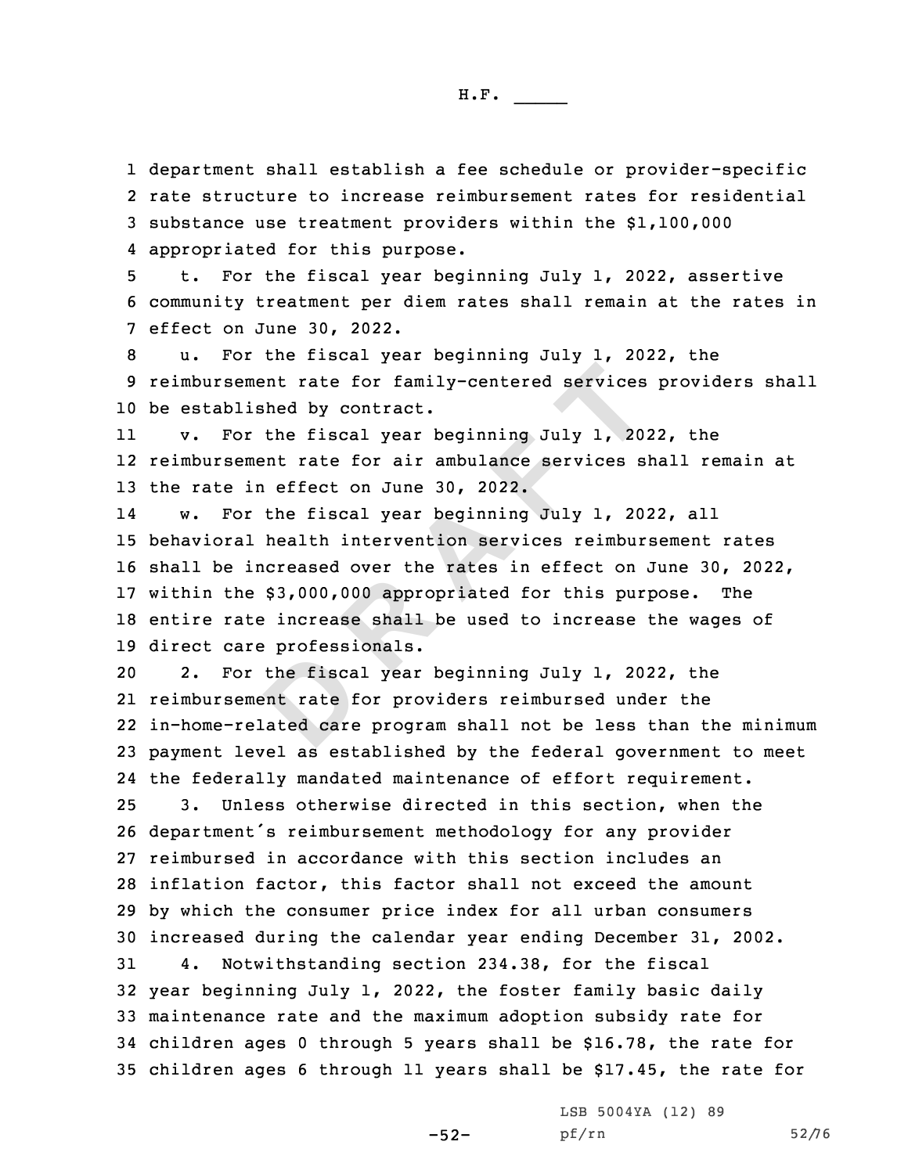department shall establish <sup>a</sup> fee schedule or provider-specific rate structure to increase reimbursement rates for residential substance use treatment providers within the \$1,100,000 appropriated for this purpose.

5 t. For the fiscal year beginning July 1, 2022, assertive 6 community treatment per diem rates shall remain at the rates in 7 effect on June 30, 2022.

8 u. For the fiscal year beginning July 1, 2022, the 9 reimbursement rate for family-centered services providers shall 10 be established by contract.

11 v. For the fiscal year beginning July 1, 2022, the 12 reimbursement rate for air ambulance services shall remain at 13 the rate in effect on June 30, 2022.

ement rate for family-centered services<br>lished by contract.<br>or the fiscal year beginning July 1, 20:<br>ement rate for air ambulance services si<br>in effect on June 30, 2022.<br>or the fiscal year beginning July 1, 20:<br>al health i 14 w. For the fiscal year beginning July 1, 2022, all behavioral health intervention services reimbursement rates shall be increased over the rates in effect on June 30, 2022, within the \$3,000,000 appropriated for this purpose. The entire rate increase shall be used to increase the wages of direct care professionals.

the fisca<br>
ent rate f<br>
lated care 2. For the fiscal year beginning July 1, 2022, the reimbursement rate for providers reimbursed under the in-home-related care program shall not be less than the minimum payment level as established by the federal government to meet the federally mandated maintenance of effort requirement. 3. Unless otherwise directed in this section, when the department's reimbursement methodology for any provider reimbursed in accordance with this section includes an inflation factor, this factor shall not exceed the amount by which the consumer price index for all urban consumers increased during the calendar year ending December 31, 2002. 4. Notwithstanding section 234.38, for the fiscal year beginning July 1, 2022, the foster family basic daily maintenance rate and the maximum adoption subsidy rate for children ages 0 through 5 years shall be \$16.78, the rate for children ages 6 through 11 years shall be \$17.45, the rate for

-52-

LSB 5004YA (12) 89 pf/rn 52/76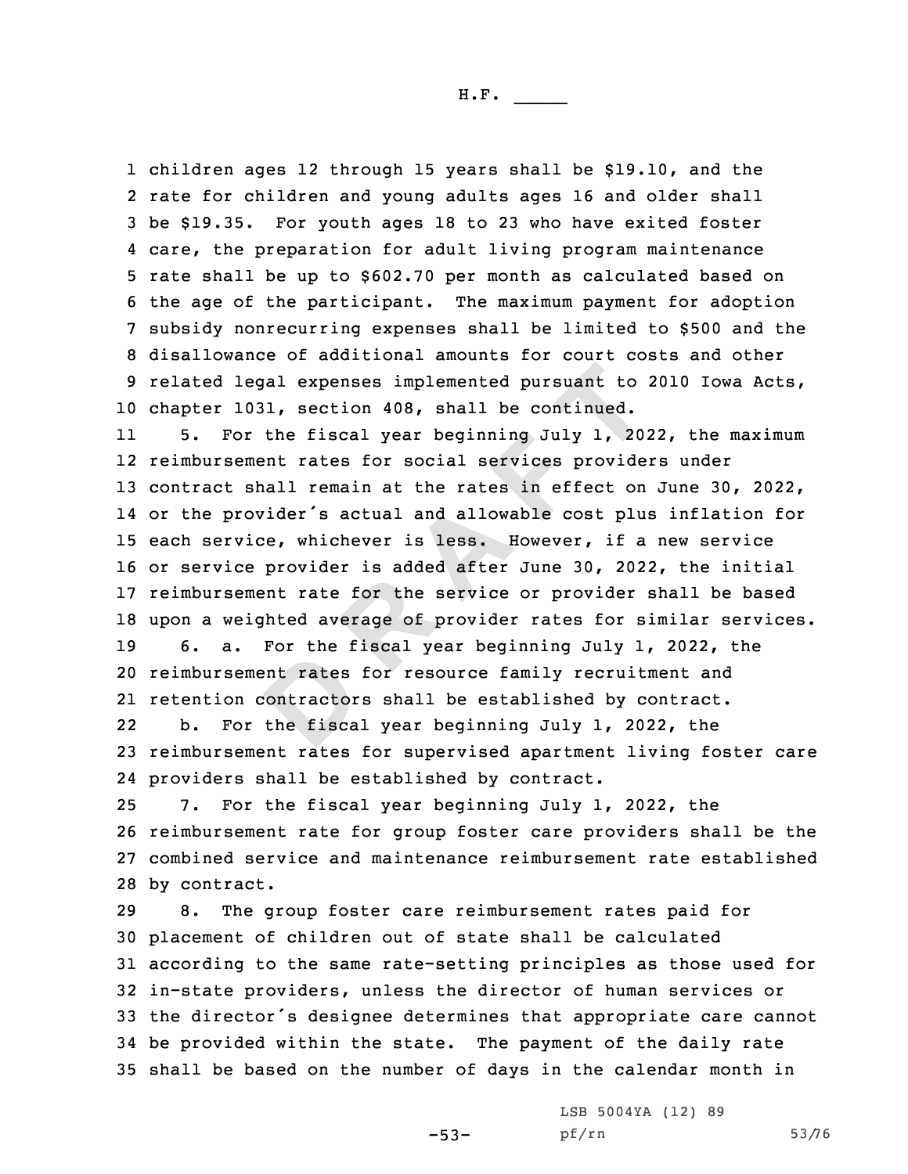children ages 12 through 15 years shall be \$19.10, and the rate for children and young adults ages 16 and older shall be \$19.35. For youth ages 18 to 23 who have exited foster care, the preparation for adult living program maintenance rate shall be up to \$602.70 per month as calculated based on the age of the participant. The maximum payment for adoption subsidy nonrecurring expenses shall be limited to \$500 and the disallowance of additional amounts for court costs and other related legal expenses implemented pursuant to 2010 Iowa Acts, chapter 1031, section 408, shall be continued.

ent rates<br>
contractor<br>
the fisca legal expenses implemented pursuant to 1031, section 408, shall be continued.<br>
or the fiscal year beginning July 1, 20:<br>
ement rates for social services provide<br>
shall remain at the rates in effect on<br>
rovider's actual and 11 5. For the fiscal year beginning July 1, 2022, the maximum reimbursement rates for social services providers under contract shall remain at the rates in effect on June 30, 2022, or the provider's actual and allowable cost plus inflation for each service, whichever is less. However, if <sup>a</sup> new service or service provider is added after June 30, 2022, the initial reimbursement rate for the service or provider shall be based upon <sup>a</sup> weighted average of provider rates for similar services. 6. a. For the fiscal year beginning July 1, 2022, the reimbursement rates for resource family recruitment and

21 retention contractors shall be established by contract.

22 b. For the fiscal year beginning July 1, 2022, the 23 reimbursement rates for supervised apartment living foster care 24 providers shall be established by contract.

 7. For the fiscal year beginning July 1, 2022, the reimbursement rate for group foster care providers shall be the combined service and maintenance reimbursement rate established by contract.

 8. The group foster care reimbursement rates paid for placement of children out of state shall be calculated according to the same rate-setting principles as those used for in-state providers, unless the director of human services or the director's designee determines that appropriate care cannot be provided within the state. The payment of the daily rate shall be based on the number of days in the calendar month in

-53-

LSB 5004YA (12) 89 pf/rn 53/76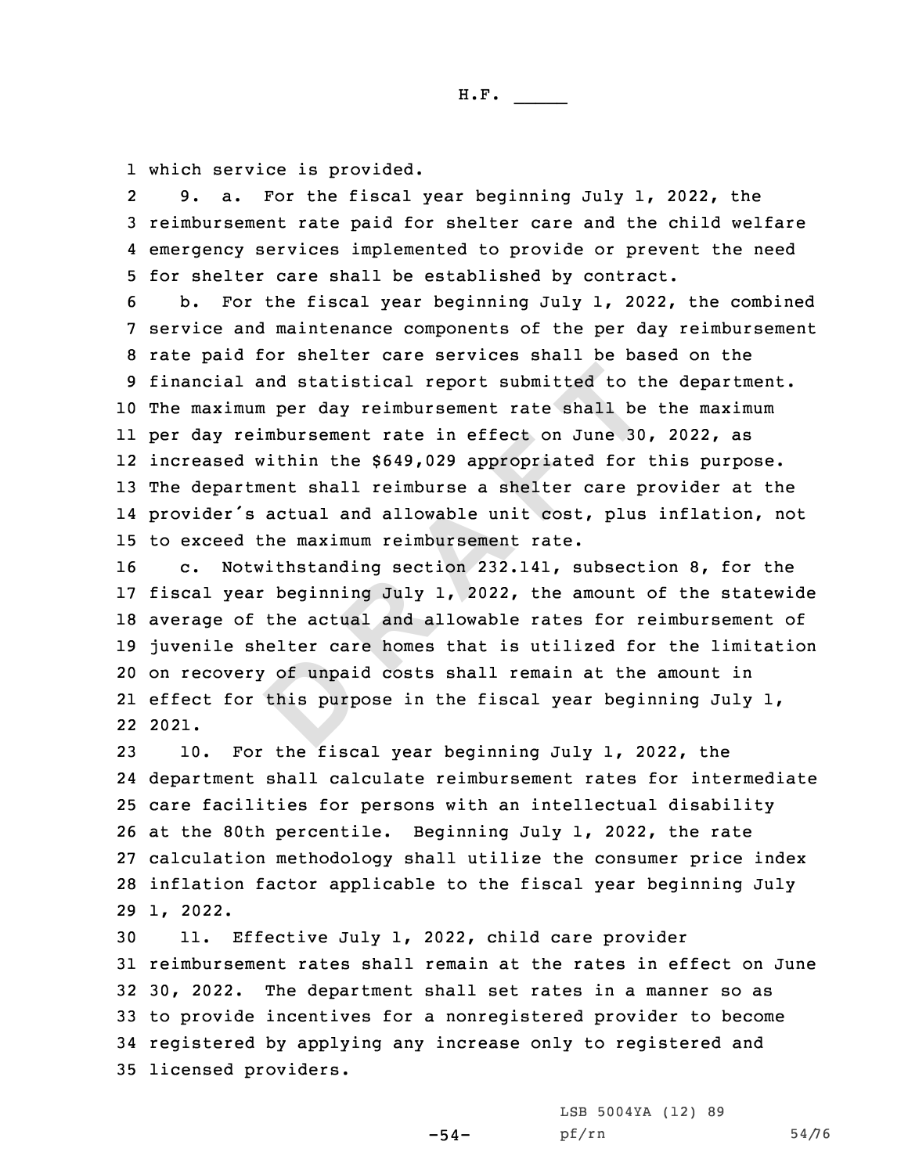1 which service is provided.

2 9. a. For the fiscal year beginning July 1, 2022, the 3 reimbursement rate paid for shelter care and the child welfare 4 emergency services implemented to provide or prevent the need 5 for shelter care shall be established by contract.

1 and statistical report submitted to the<br>mum per day reimbursement rate shall be<br>reimbursement rate in effect on June 30<br>d within the \$649,029 appropriated for<br>rtment shall reimburse a shelter care p<br>'s actual and allowab b. For the fiscal year beginning July 1, 2022, the combined service and maintenance components of the per day reimbursement rate paid for shelter care services shall be based on the financial and statistical report submitted to the department. The maximum per day reimbursement rate shall be the maximum per day reimbursement rate in effect on June 30, 2022, as increased within the \$649,029 appropriated for this purpose. The department shall reimburse <sup>a</sup> shelter care provider at the provider's actual and allowable unit cost, plus inflation, not to exceed the maximum reimbursement rate.

of unpair this purp c. Notwithstanding section 232.141, subsection 8, for the fiscal year beginning July 1, 2022, the amount of the statewide average of the actual and allowable rates for reimbursement of juvenile shelter care homes that is utilized for the limitation on recovery of unpaid costs shall remain at the amount in effect for this purpose in the fiscal year beginning July 1, 22 2021.

 10. For the fiscal year beginning July 1, 2022, the department shall calculate reimbursement rates for intermediate care facilities for persons with an intellectual disability at the 80th percentile. Beginning July 1, 2022, the rate calculation methodology shall utilize the consumer price index inflation factor applicable to the fiscal year beginning July 29 1, 2022.

 11. Effective July 1, 2022, child care provider reimbursement rates shall remain at the rates in effect on June 30, 2022. The department shall set rates in <sup>a</sup> manner so as to provide incentives for <sup>a</sup> nonregistered provider to become registered by applying any increase only to registered and licensed providers.

> LSB 5004YA (12) 89 pf/rn 54/76

 $-54-$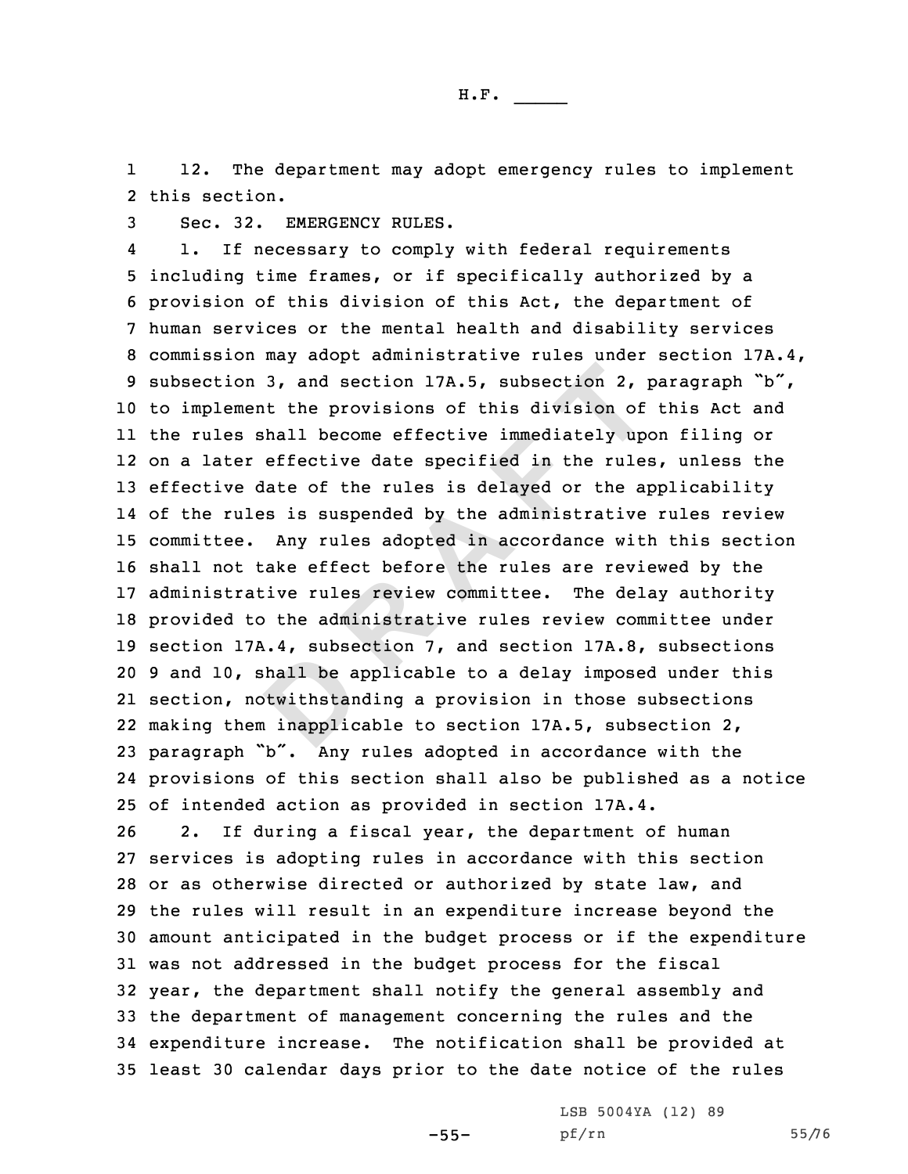1 12. The department may adopt emergency rules to implement 2 this section.

3 Sec. 32. EMERGENCY RULES.

shall be a<br>btwithstan<br>a inapplic on 3, and section 17A.5, subsection 2, 1<br>ment the provisions of this division of<br>s shall become effective immediately up<br>er effective date specified in the rule<br>e date of the rules is delayed or the aq<br>ules is suspended by 4 1. If necessary to comply with federal requirements including time frames, or if specifically authorized by <sup>a</sup> provision of this division of this Act, the department of human services or the mental health and disability services commission may adopt administrative rules under section 17A.4, subsection 3, and section 17A.5, subsection 2, paragraph "b", to implement the provisions of this division of this Act and the rules shall become effective immediately upon filing or on <sup>a</sup> later effective date specified in the rules, unless the effective date of the rules is delayed or the applicability of the rules is suspended by the administrative rules review committee. Any rules adopted in accordance with this section shall not take effect before the rules are reviewed by the administrative rules review committee. The delay authority provided to the administrative rules review committee under section 17A.4, subsection 7, and section 17A.8, subsections 9 and 10, shall be applicable to <sup>a</sup> delay imposed under this section, notwithstanding <sup>a</sup> provision in those subsections making them inapplicable to section 17A.5, subsection 2, paragraph "b". Any rules adopted in accordance with the provisions of this section shall also be published as <sup>a</sup> notice of intended action as provided in section 17A.4.

 2. If during <sup>a</sup> fiscal year, the department of human services is adopting rules in accordance with this section or as otherwise directed or authorized by state law, and the rules will result in an expenditure increase beyond the amount anticipated in the budget process or if the expenditure was not addressed in the budget process for the fiscal year, the department shall notify the general assembly and the department of management concerning the rules and the expenditure increase. The notification shall be provided at least 30 calendar days prior to the date notice of the rules

-55-

LSB 5004YA (12) 89 pf/rn 55/76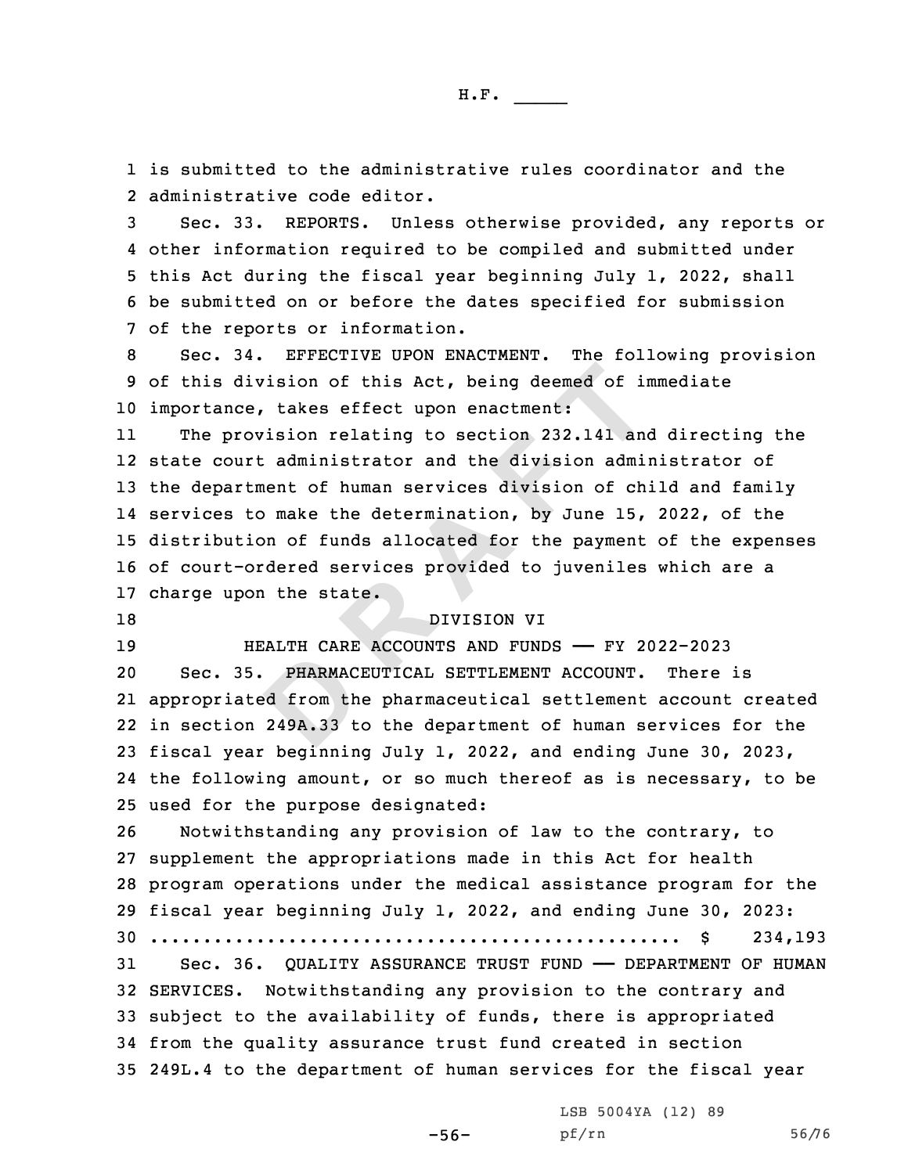1 is submitted to the administrative rules coordinator and the 2 administrative code editor.

 Sec. 33. REPORTS. Unless otherwise provided, any reports or other information required to be compiled and submitted under this Act during the fiscal year beginning July 1, 2022, shall be submitted on or before the dates specified for submission of the reports or information.

8 Sec. 34. EFFECTIVE UPON ENACTMENT. The following provision 9 of this division of this Act, being deemed of immediate 10 importance, takes effect upon enactment:

division of this Act, being deemed of in<br>ce, takes effect upon enactment:<br>rovision relating to section 232.141 and<br>urt administrator and the division adminitment of human services division of ch<br>to make the determination, 11 The provision relating to section 232.141 and directing the state court administrator and the division administrator of the department of human services division of child and family services to make the determination, by June 15, 2022, of the distribution of funds allocated for the payment of the expenses of court-ordered services provided to juveniles which are <sup>a</sup> charge upon the state.

18 DIVISION VI

19 HEALTH CARE ACCOUNTS AND FUNDS —— FY 2022-2023

PHARMAC<br>
ed from th<br>
249A.33 t Sec. 35. PHARMACEUTICAL SETTLEMENT ACCOUNT. There is appropriated from the pharmaceutical settlement account created in section 249A.33 to the department of human services for the fiscal year beginning July 1, 2022, and ending June 30, 2023, the following amount, or so much thereof as is necessary, to be used for the purpose designated:

 Notwithstanding any provision of law to the contrary, to supplement the appropriations made in this Act for health program operations under the medical assistance program for the fiscal year beginning July 1, 2022, and ending June 30, 2023: .................................................. \$ 234,193 Sec. 36. QUALITY ASSURANCE TRUST FUND —— DEPARTMENT OF HUMAN SERVICES. Notwithstanding any provision to the contrary and subject to the availability of funds, there is appropriated

34 from the quality assurance trust fund created in section 35 249L.4 to the department of human services for the fiscal year

LSB 5004YA (12) 89

-56-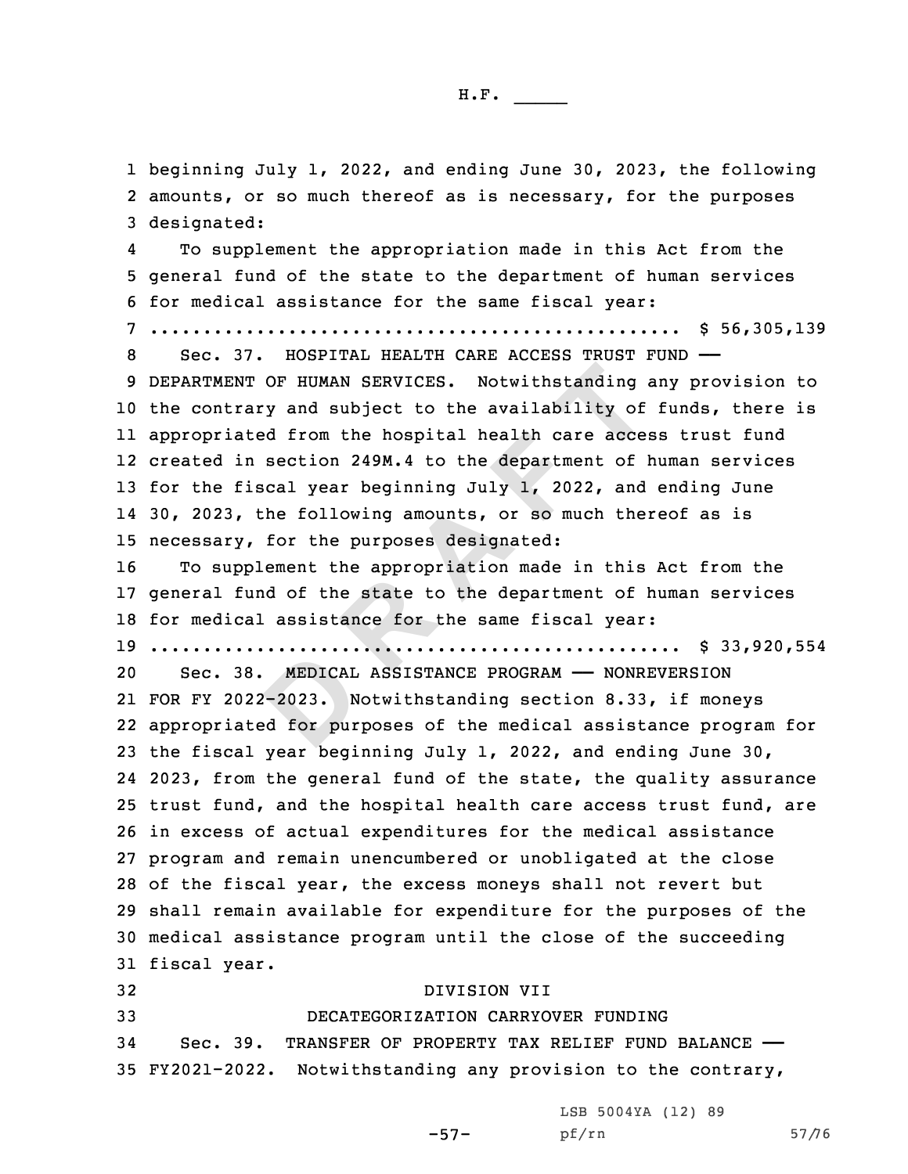1 beginning July 1, 2022, and ending June 30, 2023, the following 2 amounts, or so much thereof as is necessary, for the purposes 3 designated:

**MEDICAL**<br>--2023. N<br>ed for pur NT OF HUMAN SERVICES. Notwithstanding<br>rary and subject to the availability of<br>ated from the hospital health care acce-<br>in section 249M.4 to the department of  $\beta$ <br>fiscal year beginning July 1, 2022, and<br>, the following amo 4 To supplement the appropriation made in this Act from the general fund of the state to the department of human services for medical assistance for the same fiscal year: .................................................. \$ 56,305,139 Sec. 37. HOSPITAL HEALTH CARE ACCESS TRUST FUND —— DEPARTMENT OF HUMAN SERVICES. Notwithstanding any provision to the contrary and subject to the availability of funds, there is appropriated from the hospital health care access trust fund created in section 249M.4 to the department of human services 13 for the fiscal year beginning July 1, 2022, and ending June 30, 2023, the following amounts, or so much thereof as is necessary, for the purposes designated: To supplement the appropriation made in this Act from the general fund of the state to the department of human services for medical assistance for the same fiscal year: .................................................. \$ 33,920,554 Sec. 38. MEDICAL ASSISTANCE PROGRAM —— NONREVERSION FOR FY 2022-2023. Notwithstanding section 8.33, if moneys

 appropriated for purposes of the medical assistance program for the fiscal year beginning July 1, 2022, and ending June 30, 2023, from the general fund of the state, the quality assurance trust fund, and the hospital health care access trust fund, are in excess of actual expenditures for the medical assistance program and remain unencumbered or unobligated at the close of the fiscal year, the excess moneys shall not revert but shall remain available for expenditure for the purposes of the medical assistance program until the close of the succeeding fiscal year.

 DIVISION VII DECATEGORIZATION CARRYOVER FUNDING Sec. 39. TRANSFER OF PROPERTY TAX RELIEF FUND BALANCE —— FY2021-2022. Notwithstanding any provision to the contrary,

LSB 5004YA (12) 89

-57-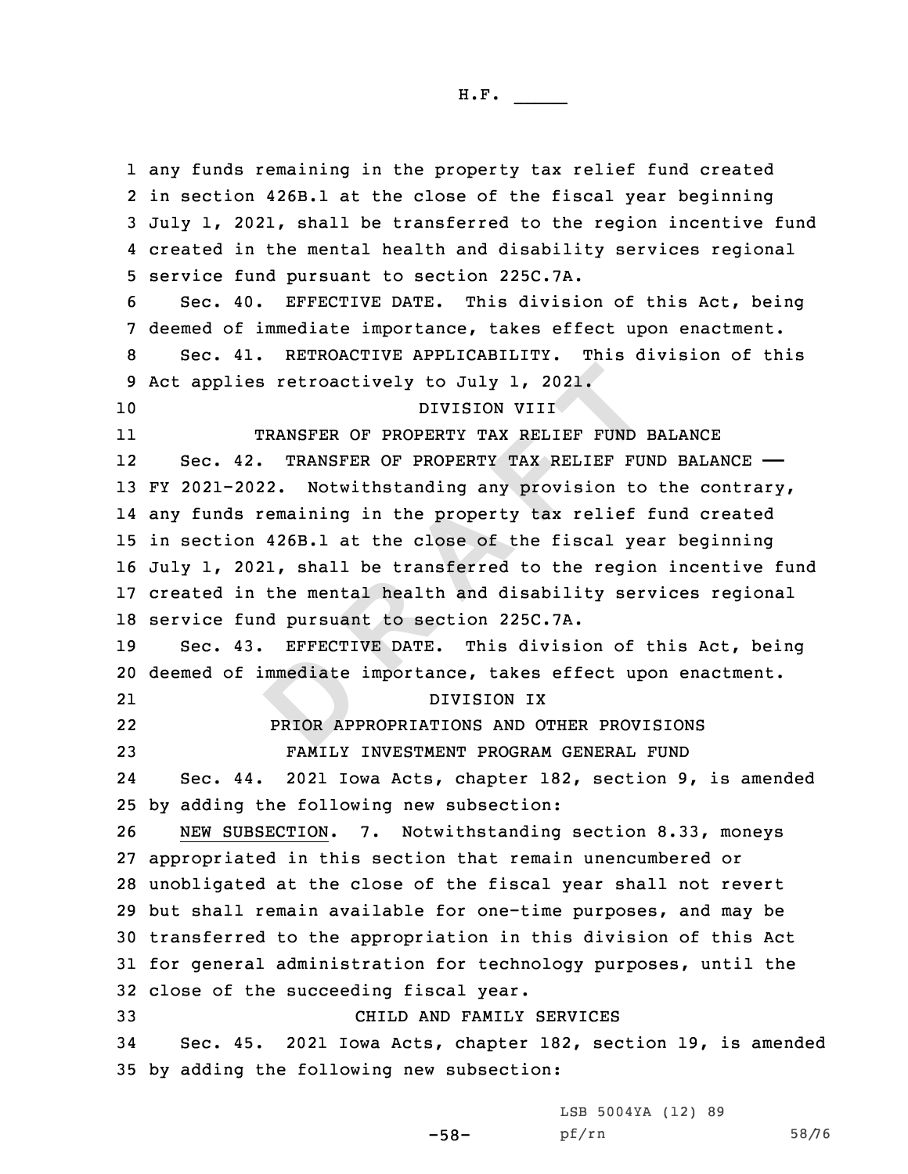mmediate<br>PRIOR APP **EXECUTE 10 THE SET OF PROPERTY TAX RELIEF FUND INTISION VIIT<br>
<b>RANSFER OF PROPERTY TAX RELIEF FUND 1**<br> **RANSFER OF PROPERTY TAX RELIEF FUND 1**<br> **RANSFER OF PROPERTY TAX RELIEF FUND**<br> **PAOPERTY TAX RELIEF FUND**<br> **REMALDER**  any funds remaining in the property tax relief fund created in section 426B.1 at the close of the fiscal year beginning July 1, 2021, shall be transferred to the region incentive fund created in the mental health and disability services regional service fund pursuant to section 225C.7A. Sec. 40. EFFECTIVE DATE. This division of this Act, being deemed of immediate importance, takes effect upon enactment. Sec. 41. RETROACTIVE APPLICABILITY. This division of this Act applies retroactively to July 1, 2021. DIVISION VIII 11 TRANSFER OF PROPERTY TAX RELIEF FUND BALANCE 12Sec. 42. TRANSFER OF PROPERTY TAX RELIEF FUND BALANCE - FY 2021-2022. Notwithstanding any provision to the contrary, any funds remaining in the property tax relief fund created in section 426B.1 at the close of the fiscal year beginning July 1, 2021, shall be transferred to the region incentive fund created in the mental health and disability services regional service fund pursuant to section 225C.7A. Sec. 43. EFFECTIVE DATE. This division of this Act, being deemed of immediate importance, takes effect upon enactment. 21 DIVISION IX 22 PRIOR APPROPRIATIONS AND OTHER PROVISIONS FAMILY INVESTMENT PROGRAM GENERAL FUND 24 Sec. 44. 2021 Iowa Acts, chapter 182, section 9, is amended by adding the following new subsection: NEW SUBSECTION. 7. Notwithstanding section 8.33, moneys appropriated in this section that remain unencumbered or unobligated at the close of the fiscal year shall not revert but shall remain available for one-time purposes, and may be transferred to the appropriation in this division of this Act for general administration for technology purposes, until the close of the succeeding fiscal year. CHILD AND FAMILY SERVICES Sec. 45. 2021 Iowa Acts, chapter 182, section 19, is amended by adding the following new subsection:

LSB 5004YA (12) 89

-58-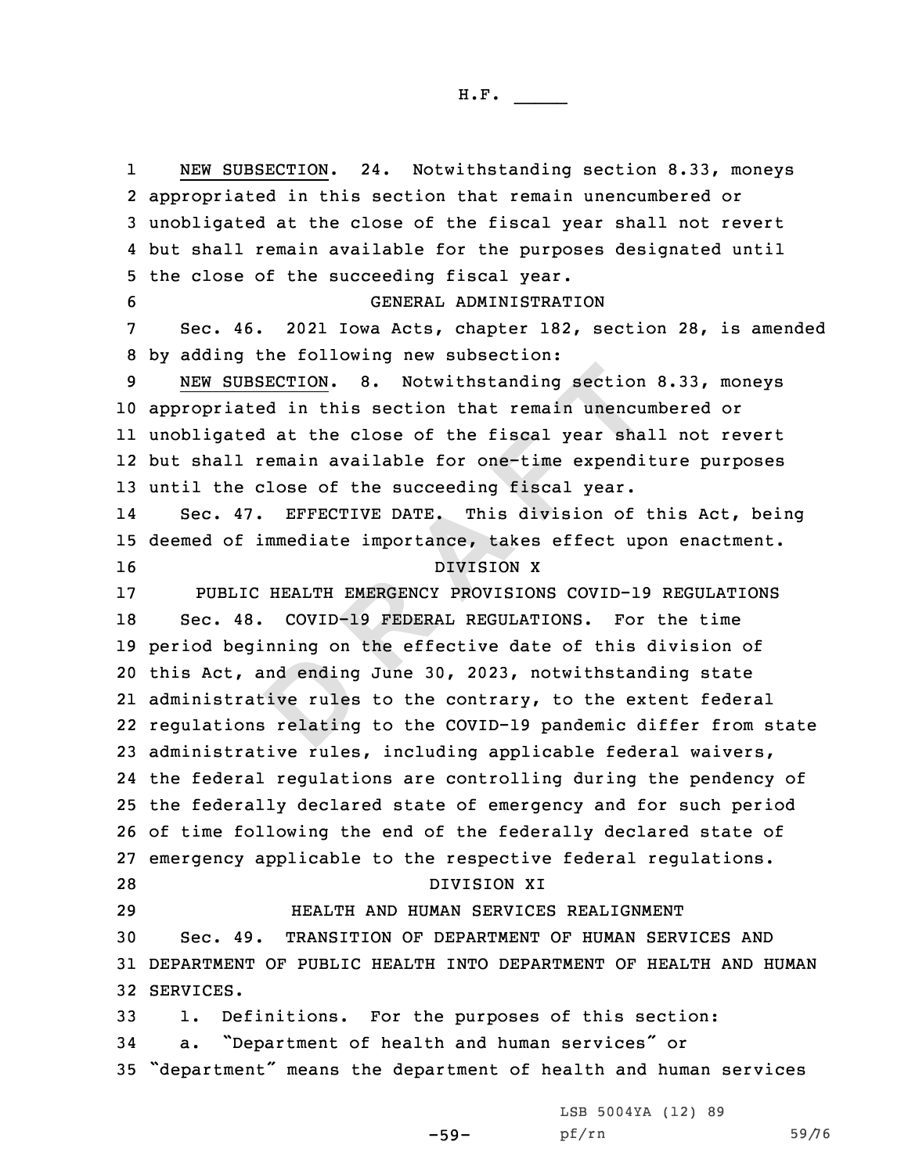and ending<br>Dive rules:<br>Brelating UBSECTION. 8. Notwithstanding section<br>ated in this section that remain unencured<br>at the close of the fiscal year shall<br>remain available for one-time expendi<br>e close of the succeeding fiscal year.<br>47. EFFECTIVE DATE. This d 1 NEW SUBSECTION. 24. Notwithstanding section 8.33, moneys appropriated in this section that remain unencumbered or unobligated at the close of the fiscal year shall not revert but shall remain available for the purposes designated until the close of the succeeding fiscal year. GENERAL ADMINISTRATION Sec. 46. 2021 Iowa Acts, chapter 182, section 28, is amended by adding the following new subsection: NEW SUBSECTION. 8. Notwithstanding section 8.33, moneys appropriated in this section that remain unencumbered or unobligated at the close of the fiscal year shall not revert but shall remain available for one-time expenditure purposes until the close of the succeeding fiscal year. 14 Sec. 47. EFFECTIVE DATE. This division of this Act, being deemed of immediate importance, takes effect upon enactment. DIVISION X PUBLIC HEALTH EMERGENCY PROVISIONS COVID-19 REGULATIONS Sec. 48. COVID-19 FEDERAL REGULATIONS. For the time period beginning on the effective date of this division of this Act, and ending June 30, 2023, notwithstanding state administrative rules to the contrary, to the extent federal regulations relating to the COVID-19 pandemic differ from state administrative rules, including applicable federal waivers, the federal regulations are controlling during the pendency of the federally declared state of emergency and for such period of time following the end of the federally declared state of emergency applicable to the respective federal regulations. DIVISION XI HEALTH AND HUMAN SERVICES REALIGNMENT Sec. 49. TRANSITION OF DEPARTMENT OF HUMAN SERVICES AND DEPARTMENT OF PUBLIC HEALTH INTO DEPARTMENT OF HEALTH AND HUMAN SERVICES. 1. Definitions. For the purposes of this section: a. "Department of health and human services" or "department" means the department of health and human services

LSB 5004YA (12) 89

-59-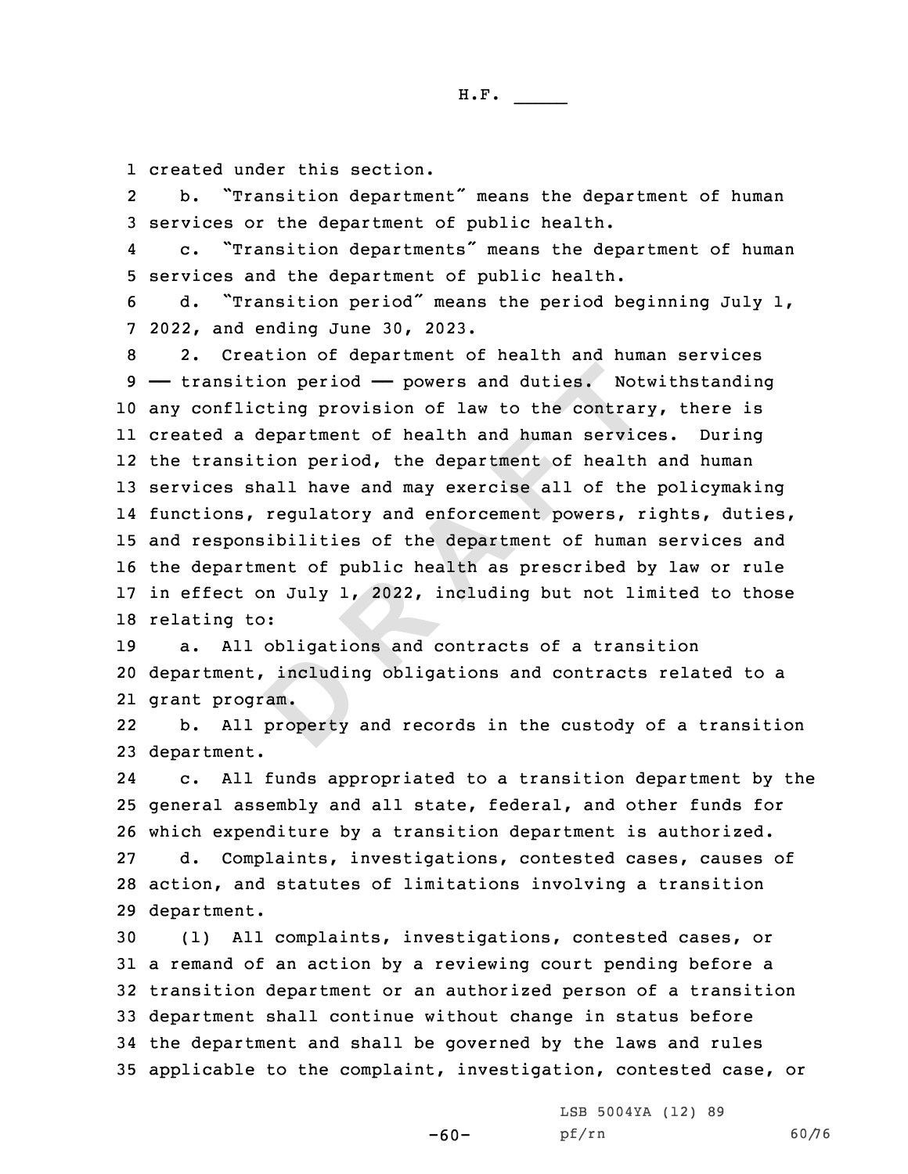1 created under this section.

2 b. "Transition department" means the department of human 3 services or the department of public health.

4 c. "Transition departments" means the department of human 5 services and the department of public health.

<sup>6</sup> d. "Transition period" means the period beginning July 1, 7 2022, and ending June 30, 2023.

ition period - powers and duties. Not<br>licting provision of law to the contrary<br>a department of health and human service<br>sition period, the department of health<br>shall have and may exercise all of the<br>s, regulatory and enfor 2. Creation of department of health and human services —— transition period —— powers and duties. Notwithstanding any conflicting provision of law to the contrary, there is created <sup>a</sup> department of health and human services. During the transition period, the department of health and human services shall have and may exercise all of the policymaking functions, regulatory and enforcement powers, rights, duties, and responsibilities of the department of human services and the department of public health as prescribed by law or rule in effect on July 1, 2022, including but not limited to those relating to:

includin<br>
am.<br>
property a. All obligations and contracts of <sup>a</sup> transition department, including obligations and contracts related to <sup>a</sup> grant program.

22 b. All property and records in the custody of <sup>a</sup> transition 23 department.

24 c. All funds appropriated to <sup>a</sup> transition department by the 25 general assembly and all state, federal, and other funds for 26 which expenditure by <sup>a</sup> transition department is authorized. 27 d. Complaints, investigations, contested cases, causes of

28 action, and statutes of limitations involving <sup>a</sup> transition 29 department.

 (1) All complaints, investigations, contested cases, or <sup>a</sup> remand of an action by <sup>a</sup> reviewing court pending before <sup>a</sup> transition department or an authorized person of <sup>a</sup> transition department shall continue without change in status before the department and shall be governed by the laws and rules applicable to the complaint, investigation, contested case, or

-60-

LSB 5004YA (12) 89 pf/rn 60/76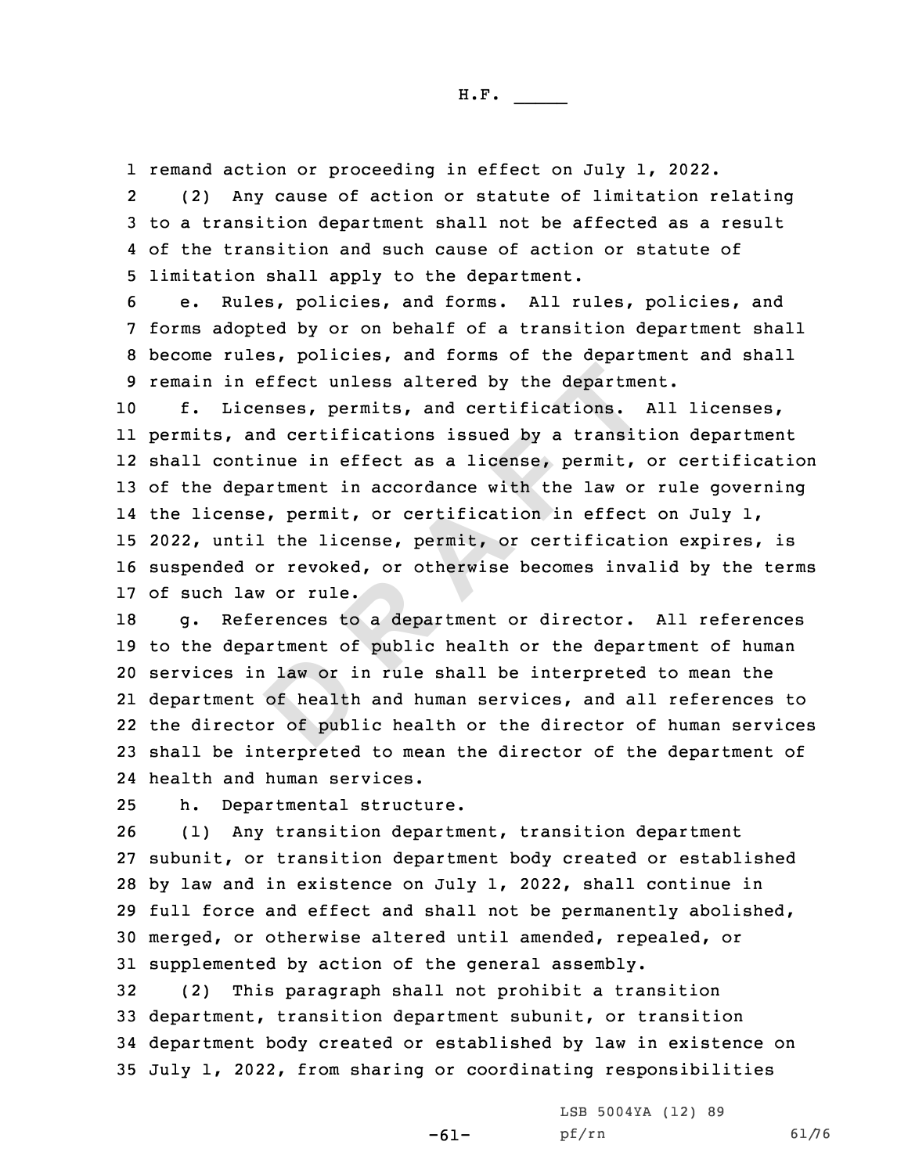1 remand action or proceeding in effect on July 1, 2022.

2 (2) Any cause of action or statute of limitation relating 3 to <sup>a</sup> transition department shall not be affected as <sup>a</sup> result 4 of the transition and such cause of action or statute of 5 limitation shall apply to the department.

 e. Rules, policies, and forms. All rules, policies, and forms adopted by or on behalf of <sup>a</sup> transition department shall become rules, policies, and forms of the department and shall remain in effect unless altered by the department.

n effect unless altered by the department<br>icenses, permits, and certifications. *i*<br>and certifications issued by a transit<br>ntinue in effect as a license, permit, e<br>partment in accordance with the law or<br>nse, permit, or cer f. Licenses, permits, and certifications. All licenses, permits, and certifications issued by <sup>a</sup> transition department shall continue in effect as <sup>a</sup> license, permit, or certification of the department in accordance with the law or rule governing the license, permit, or certification in effect on July 1, 2022, until the license, permit, or certification expires, is suspended or revoked, or otherwise becomes invalid by the terms of such law or rule.

a law or i<br>
of health<br>
br of publ g. References to <sup>a</sup> department or director. All references to the department of public health or the department of human services in law or in rule shall be interpreted to mean the department of health and human services, and all references to the director of public health or the director of human services shall be interpreted to mean the director of the department of health and human services.

25 h. Departmental structure.

 (1) Any transition department, transition department subunit, or transition department body created or established by law and in existence on July 1, 2022, shall continue in full force and effect and shall not be permanently abolished, merged, or otherwise altered until amended, repealed, or supplemented by action of the general assembly.

 (2) This paragraph shall not prohibit <sup>a</sup> transition department, transition department subunit, or transition department body created or established by law in existence on July 1, 2022, from sharing or coordinating responsibilities

-61-

LSB 5004YA (12) 89 pf/rn 61/76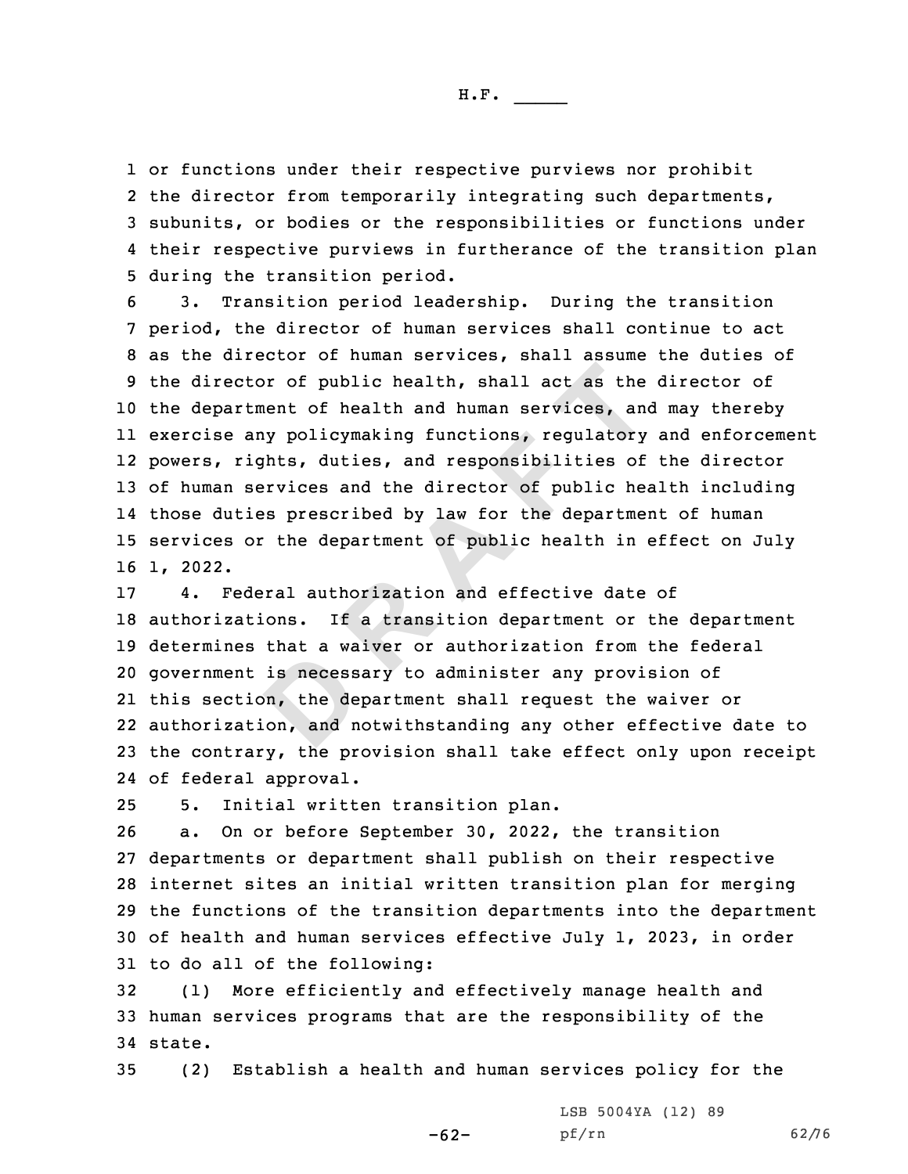or functions under their respective purviews nor prohibit 2 the director from temporarily integrating such departments, subunits, or bodies or the responsibilities or functions under their respective purviews in furtherance of the transition plan during the transition period.

ctor of public health, shall act as the<br>rtment of health and human services, and<br>any policymaking functions, regulatory<br>rights, duties, and responsibilities of<br>services and the director of public healt<br>ties prescribed by l 3. Transition period leadership. During the transition period, the director of human services shall continue to act as the director of human services, shall assume the duties of the director of public health, shall act as the director of the department of health and human services, and may thereby exercise any policymaking functions, regulatory and enforcement powers, rights, duties, and responsibilities of the director of human services and the director of public health including those duties prescribed by law for the department of human services or the department of public health in effect on July 16 1, 2022.

is necess<br>
bn, the de<br>
on, and n 4. Federal authorization and effective date of authorizations. If <sup>a</sup> transition department or the department determines that <sup>a</sup> waiver or authorization from the federal government is necessary to administer any provision of this section, the department shall request the waiver or authorization, and notwithstanding any other effective date to the contrary, the provision shall take effect only upon receipt of federal approval.

25 5. Initial written transition plan.

 a. On or before September 30, 2022, the transition departments or department shall publish on their respective internet sites an initial written transition plan for merging the functions of the transition departments into the department of health and human services effective July 1, 2023, in order to do all of the following:

32 (1) More efficiently and effectively manage health and 33 human services programs that are the responsibility of the 34 state.

35 (2) Establish <sup>a</sup> health and human services policy for the

-62-

LSB 5004YA (12) 89 pf/rn 62/76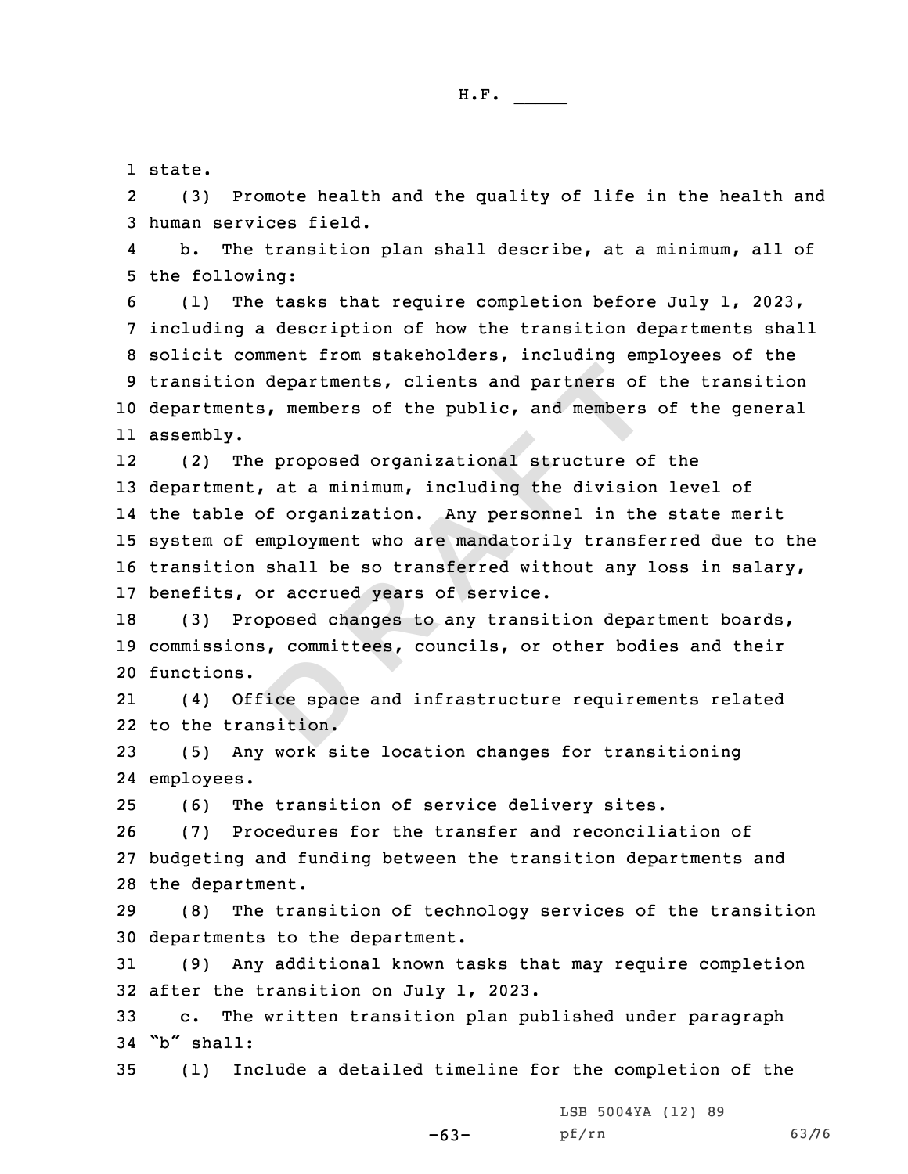1 state.

2 (3) Promote health and the quality of life in the health and 3 human services field.

4 b. The transition plan shall describe, at <sup>a</sup> minimum, all of 5 the following:

 (1) The tasks that require completion before July 1, 2023, including <sup>a</sup> description of how the transition departments shall solicit comment from stakeholders, including employees of the transition departments, clients and partners of the transition departments, members of the public, and members of the general assembly.

on departments, clients and partners of<br>
nts, members of the public, and members<br>
.<br>
The proposed organizational structure of<br>
nt, at a minimum, including the division<br>
e of organization. Any personnel in the<br>
f employment 12 (2) The proposed organizational structure of the department, at <sup>a</sup> minimum, including the division level of the table of organization. Any personnel in the state merit system of employment who are mandatorily transferred due to the transition shall be so transferred without any loss in salary, benefits, or accrued years of service.

18 (3) Proposed changes to any transition department boards, 19 commissions, committees, councils, or other bodies and their 20 functions.

ice space<br>
sition. 21 (4) Office space and infrastructure requirements related 22 to the transition.

23 (5) Any work site location changes for transitioning 24 employees.

25 (6) The transition of service delivery sites.

26 (7) Procedures for the transfer and reconciliation of 27 budgeting and funding between the transition departments and 28 the department.

29 (8) The transition of technology services of the transition 30 departments to the department.

31 (9) Any additional known tasks that may require completion 32 after the transition on July 1, 2023.

33 c. The written transition plan published under paragraph 34 "b" shall:

35 (1) Include <sup>a</sup> detailed timeline for the completion of the

LSB 5004YA (12) 89

-63-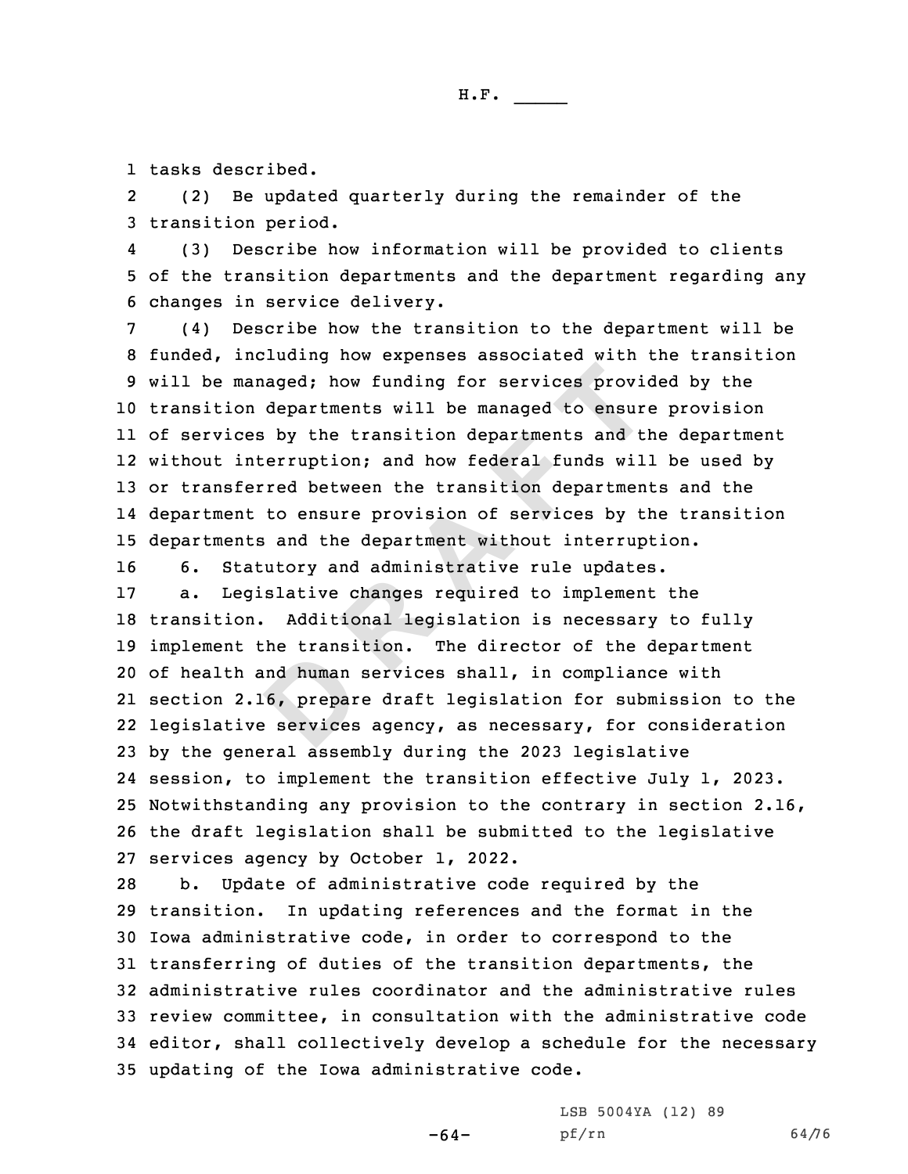1 tasks described.

2 (2) Be updated quarterly during the remainder of the 3 transition period.

4 (3) Describe how information will be provided to clients 5 of the transition departments and the department regarding any 6 changes in service delivery.

managed; how funding for services provion<br>on departments will be managed to ensur-<br>ces by the transition departments and ti<br>interruption; and how federal funds wil<br>ferred between the transition departmen<br>nt to ensure provi (4) Describe how the transition to the department will be funded, including how expenses associated with the transition will be managed; how funding for services provided by the transition departments will be managed to ensure provision of services by the transition departments and the department without interruption; and how federal funds will be used by or transferred between the transition departments and the department to ensure provision of services by the transition departments and the department without interruption.

16 6. Statutory and administrative rule updates.

nd human<br> **6, prepar**<br> **B** services a. Legislative changes required to implement the transition. Additional legislation is necessary to fully implement the transition. The director of the department of health and human services shall, in compliance with section 2.16, prepare draft legislation for submission to the legislative services agency, as necessary, for consideration by the general assembly during the 2023 legislative session, to implement the transition effective July 1, 2023. Notwithstanding any provision to the contrary in section 2.16, the draft legislation shall be submitted to the legislative services agency by October 1, 2022.

 b. Update of administrative code required by the transition. In updating references and the format in the Iowa administrative code, in order to correspond to the transferring of duties of the transition departments, the administrative rules coordinator and the administrative rules review committee, in consultation with the administrative code editor, shall collectively develop <sup>a</sup> schedule for the necessary updating of the Iowa administrative code.

-64-

LSB 5004YA (12) 89 pf/rn 64/76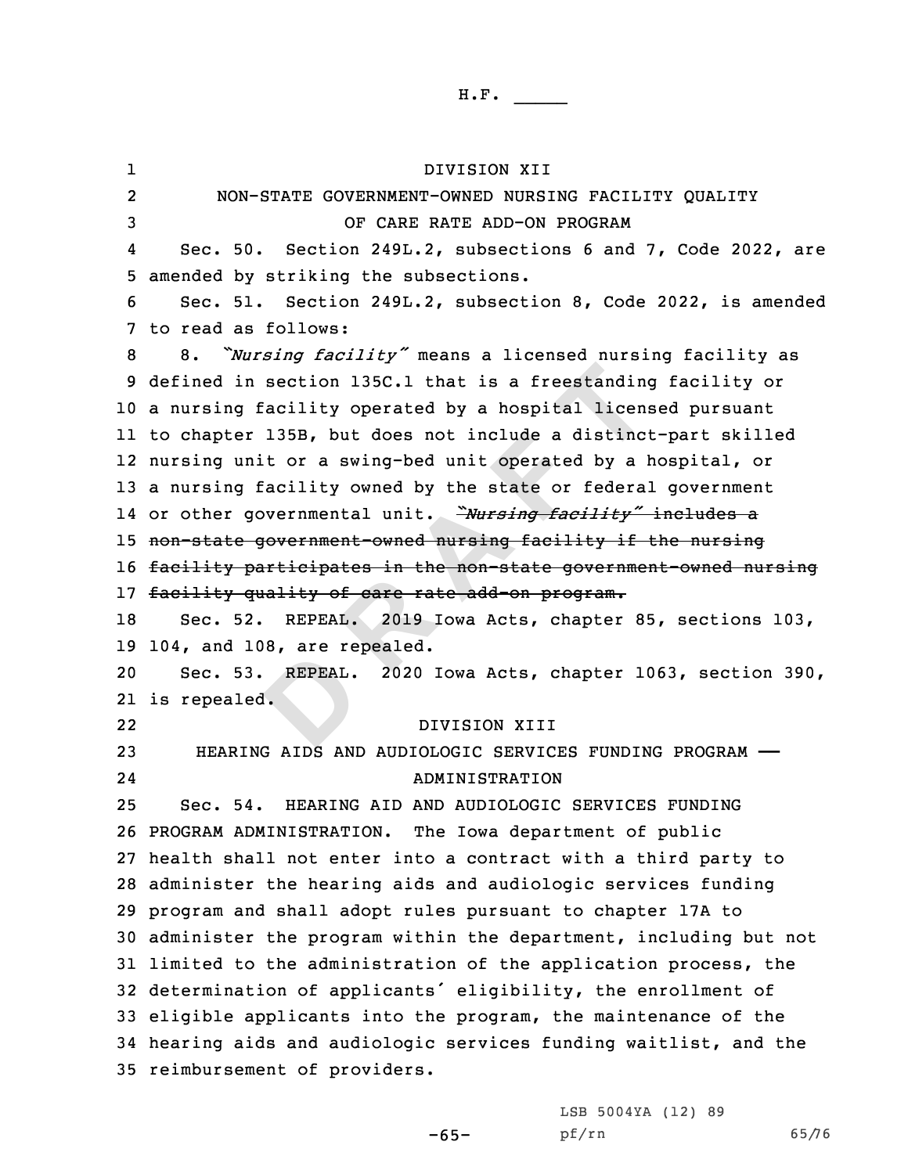REPEAL. in section 135C.1 that is a freestanding<br>g facility operated by a hospital licens<br>er 135B, but does not include a distinc<br>unit or a swing-bed unit operated by a 1<br>g facility owned by the state or federa<br>governmental unit. 1 DIVISION XII 2 NON-STATE GOVERNMENT-OWNED NURSING FACILITY QUALITY OF CARE RATE ADD-ON PROGRAM 4 Sec. 50. Section 249L.2, subsections 6 and 7, Code 2022, are amended by striking the subsections. Sec. 51. Section 249L.2, subsection 8, Code 2022, is amended to read as follows: 8. *"Nursing facility"* means <sup>a</sup> licensed nursing facility as defined in section 135C.1 that is <sup>a</sup> freestanding facility or <sup>a</sup> nursing facility operated by <sup>a</sup> hospital licensed pursuant to chapter 135B, but does not include <sup>a</sup> distinct-part skilled nursing unit or <sup>a</sup> swing-bed unit operated by <sup>a</sup> hospital, or <sup>a</sup> nursing facility owned by the state or federal government or other governmental unit. *"Nursing facility"* includes <sup>a</sup> non-state government-owned nursing facility if the nursing 16 facility participates in the non-state government-owned nursing facility quality of care rate add-on program. Sec. 52. REPEAL. 2019 Iowa Acts, chapter 85, sections 103, 104, and 108, are repealed. Sec. 53. REPEAL. 2020 Iowa Acts, chapter 1063, section 390, is repealed. 22 DIVISION XIII HEARING AIDS AND AUDIOLOGIC SERVICES FUNDING PROGRAM —— 24 ADMINISTRATION Sec. 54. HEARING AID AND AUDIOLOGIC SERVICES FUNDING PROGRAM ADMINISTRATION. The Iowa department of public health shall not enter into <sup>a</sup> contract with <sup>a</sup> third party to administer the hearing aids and audiologic services funding program and shall adopt rules pursuant to chapter 17A to administer the program within the department, including but not limited to the administration of the application process, the determination of applicants' eligibility, the enrollment of eligible applicants into the program, the maintenance of the hearing aids and audiologic services funding waitlist, and the reimbursement of providers.

LSB 5004YA (12) 89

-65-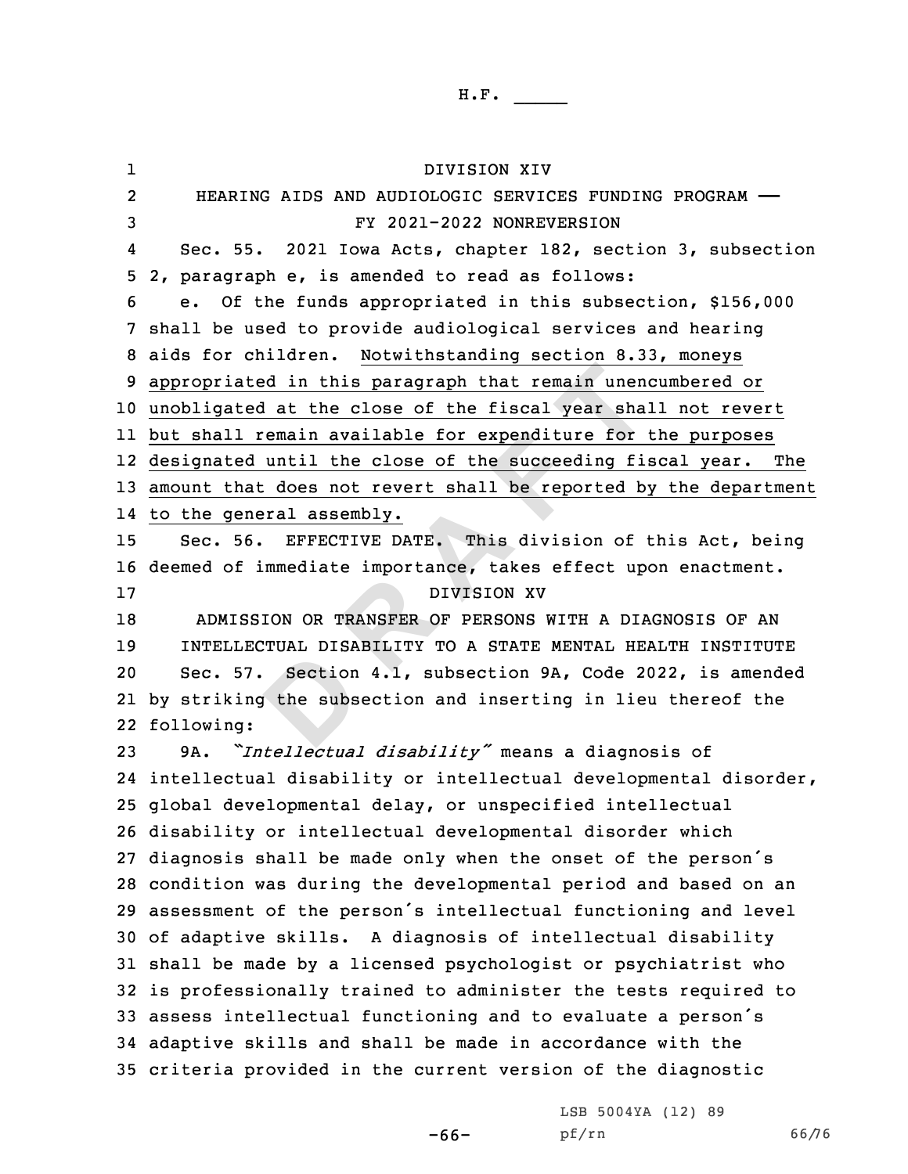Section<br>
y the subs ated in this paragraph that remain unent<br>
ted at the close of the fiscal year shal<br>
1 remain available for expenditure for<br>
ed until the close of the succeeding file<br>
hat does not revert shall be reported by<br>
eneral assemb 1 DIVISION XIV 2 HEARING AIDS AND AUDIOLOGIC SERVICES FUNDING PROGRAM —— FY 2021-2022 NONREVERSION 4 Sec. 55. 2021 Iowa Acts, chapter 182, section 3, subsection 2, paragraph e, is amended to read as follows: e. Of the funds appropriated in this subsection, \$156,000 shall be used to provide audiological services and hearing aids for children. Notwithstanding section 8.33, moneys appropriated in this paragraph that remain unencumbered or unobligated at the close of the fiscal year shall not revert but shall remain available for expenditure for the purposes designated until the close of the succeeding fiscal year. The amount that does not revert shall be reported by the department to the general assembly. 15 Sec. 56. EFFECTIVE DATE. This division of this Act, being deemed of immediate importance, takes effect upon enactment. DIVISION XV ADMISSION OR TRANSFER OF PERSONS WITH A DIAGNOSIS OF AN INTELLECTUAL DISABILITY TO A STATE MENTAL HEALTH INSTITUTE Sec. 57. Section 4.1, subsection 9A, Code 2022, is amended by striking the subsection and inserting in lieu thereof the following: 9A. *"Intellectual disability"* means <sup>a</sup> diagnosis of intellectual disability or intellectual developmental disorder, global developmental delay, or unspecified intellectual disability or intellectual developmental disorder which diagnosis shall be made only when the onset of the person's condition was during the developmental period and based on an assessment of the person's intellectual functioning and level of adaptive skills. <sup>A</sup> diagnosis of intellectual disability shall be made by <sup>a</sup> licensed psychologist or psychiatrist who is professionally trained to administer the tests required to assess intellectual functioning and to evaluate <sup>a</sup> person's adaptive skills and shall be made in accordance with the criteria provided in the current version of the diagnostic

> LSB 5004YA (12) 89 pf/rn 66/76

-66-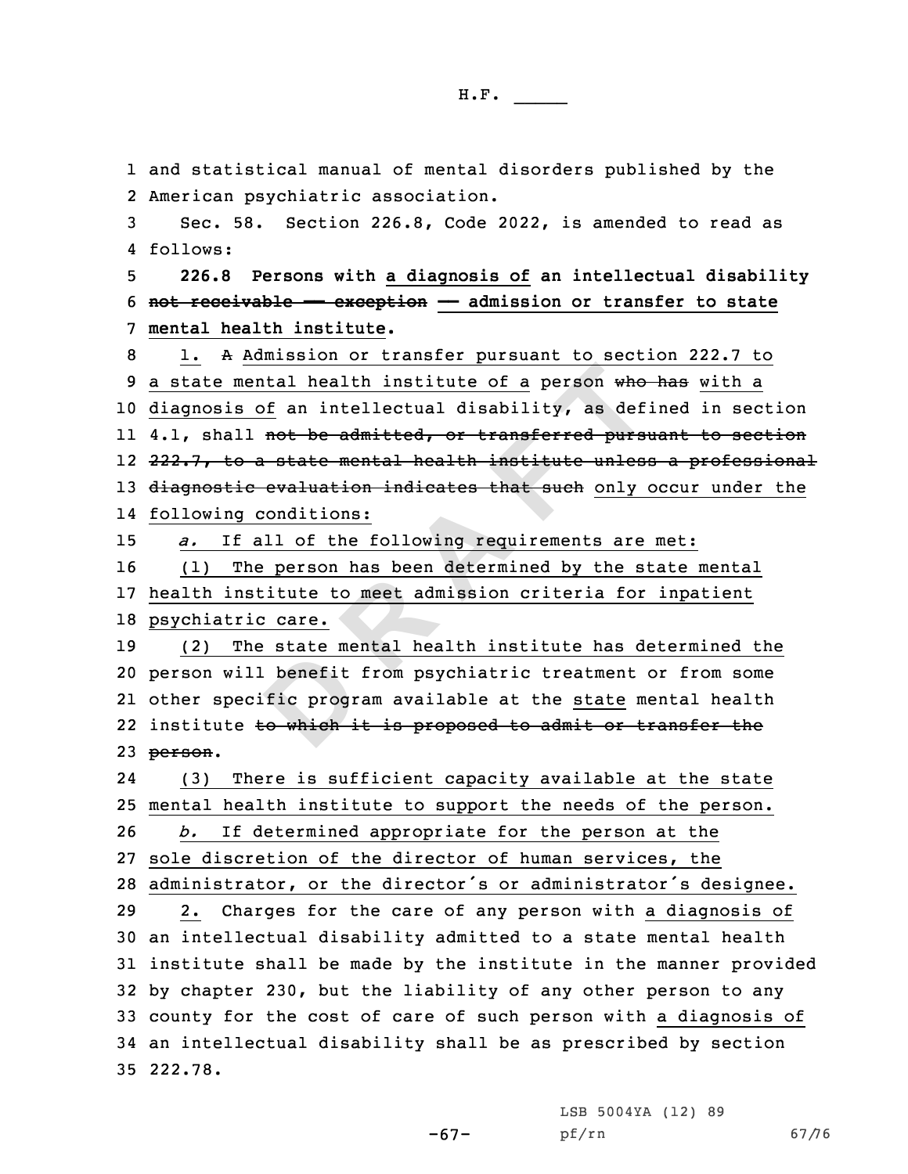**D <sup>R</sup> <sup>A</sup> <sup>F</sup> <sup>T</sup>** and statistical manual of mental disorders published by the American psychiatric association. Sec. 58. Section 226.8, Code 2022, is amended to read as 4 follows: **226.8 Persons with <sup>a</sup> diagnosis of an intellectual disability not receivable —— exception —— admission or transfer to state mental health institute.** 1. <sup>A</sup> Admission or transfer pursuant to section 222.7 to 9 a state mental health institute of a person who has with a diagnosis of an intellectual disability, as defined in section ll 4.1, shall <del>not be admitted, or transferred pursuant to section</del> 222.7, to <sup>a</sup> state mental health institute unless <sup>a</sup> professional 13 diagnostic evaluation indicates that such only occur under the following conditions: *a.* If all of the following requirements are met: (1) The person has been determined by the state mental health institute to meet admission criteria for inpatient psychiatric care. (2) The state mental health institute has determined the person will benefit from psychiatric treatment or from some other specific program available at the state mental health 22 institute <del>to which it is proposed to admit or transfer the</del> 23 person. 24 (3) There is sufficient capacity available at the state mental health institute to support the needs of the person. *b.* If determined appropriate for the person at the sole discretion of the director of human services, the administrator, or the director's or administrator's designee. 2. Charges for the care of any person with <sup>a</sup> diagnosis of an intellectual disability admitted to <sup>a</sup> state mental health institute shall be made by the institute in the manner provided by chapter 230, but the liability of any other person to any county for the cost of care of such person with <sup>a</sup> diagnosis of an intellectual disability shall be as prescribed by section 35 222.78.

LSB 5004YA (12) 89

pf/rn 67/76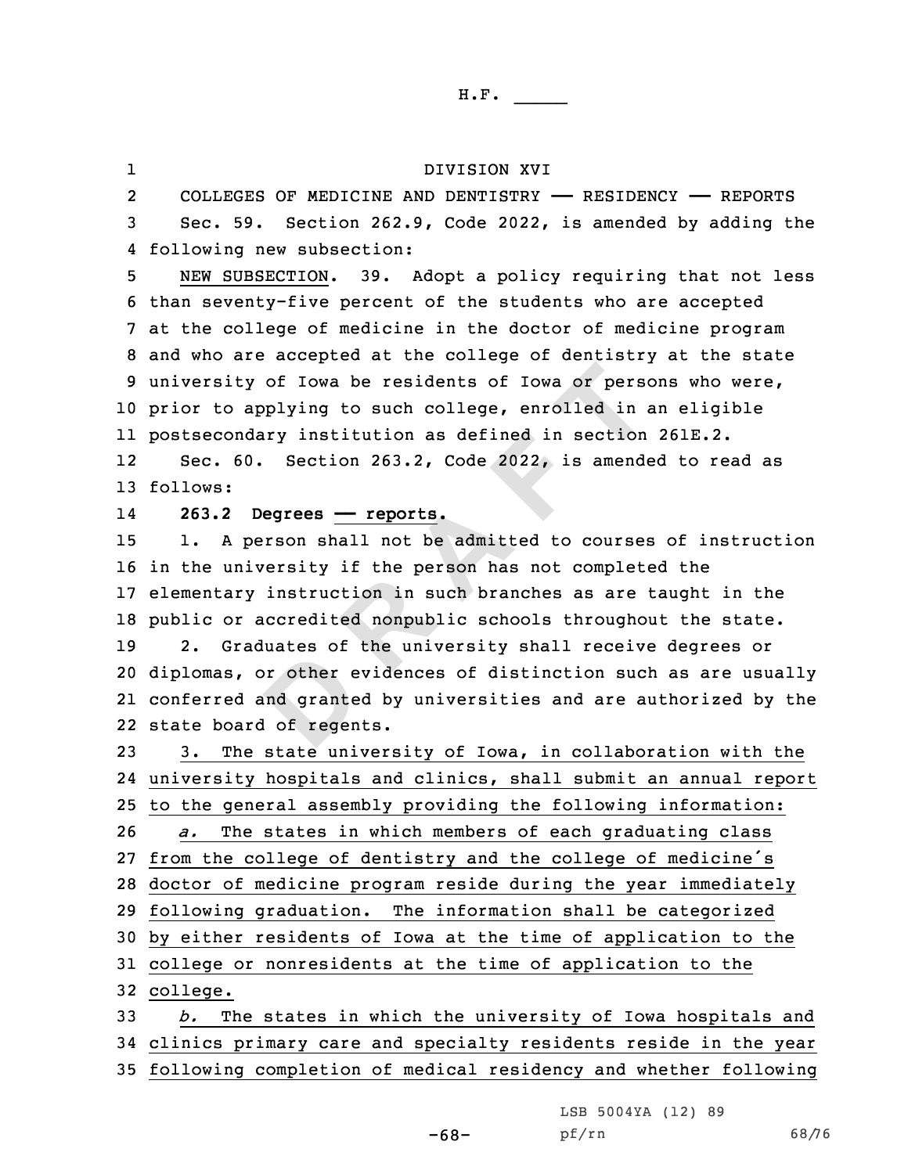## DIVISION XVI

2 COLLEGES OF MEDICINE AND DENTISTRY —— RESIDENCY —— REPORTS 3 Sec. 59. Section 262.9, Code 2022, is amended by adding the 4 following new subsection:

 NEW SUBSECTION. 39. Adopt <sup>a</sup> policy requiring that not less than seventy-five percent of the students who are accepted at the college of medicine in the doctor of medicine program and who are accepted at the college of dentistry at the state university of Iowa be residents of Iowa or persons who were, prior to applying to such college, enrolled in an eligible postsecondary institution as defined in section 261E.2.

12 Sec. 60. Section 263.2, Code 2022, is amended to read as 13 follows:

14

1

## **263.2 Degrees —— reports.**

br other e<br>
and grante<br> **d** of regen ty of Iowa be residents of Iowa or person applying to such college, enrolled in a<br>
mdary institution as defined in section<br>
60. Section 263.2, Code 2022, is amend<br>
Degrees <u>— reports</u>.<br>
person shall not be admitted to cour 1. <sup>A</sup> person shall not be admitted to courses of instruction in the university if the person has not completed the elementary instruction in such branches as are taught in the public or accredited nonpublic schools throughout the state. 2. Graduates of the university shall receive degrees or diplomas, or other evidences of distinction such as are usually conferred and granted by universities and are authorized by the state board of regents.

 3. The state university of Iowa, in collaboration with the university hospitals and clinics, shall submit an annual report to the general assembly providing the following information: *a.* The states in which members of each graduating class from the college of dentistry and the college of medicine's doctor of medicine program reside during the year immediately following graduation. The information shall be categorized by either residents of Iowa at the time of application to the college or nonresidents at the time of application to the 32 college. *b.* The states in which the university of Iowa hospitals and

34 clinics primary care and specialty residents reside in the year 35 following completion of medical residency and whether following

LSB 5004YA (12) 89

-68-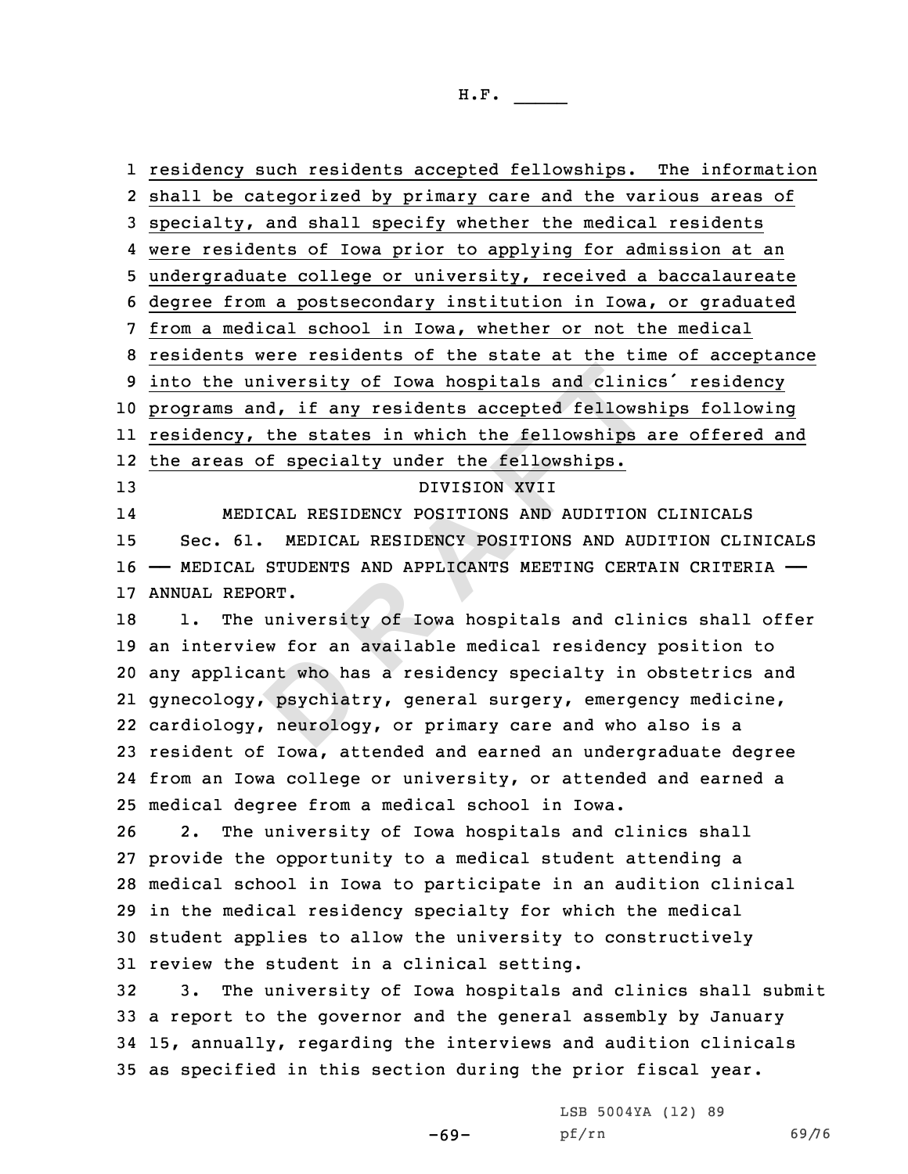w for an<br>
psychiat<br>
psychiat<br>
psychiat<br>
psychiat <u>university of Iowa hospitals and clinicand, if any residents accepted fellows<br>y, the states in which the fellowships<br>s of specialty under the fellowships.<br>DIVISION XVII<br>EDICAL RESIDENCY POSITIONS AND AUDITION<br>61. MEDICAL </u> residency such residents accepted fellowships. The information shall be categorized by primary care and the various areas of specialty, and shall specify whether the medical residents were residents of Iowa prior to applying for admission at an undergraduate college or university, received <sup>a</sup> baccalaureate degree from <sup>a</sup> postsecondary institution in Iowa, or graduated from <sup>a</sup> medical school in Iowa, whether or not the medical residents were residents of the state at the time of acceptance into the university of Iowa hospitals and clinics' residency programs and, if any residents accepted fellowships following residency, the states in which the fellowships are offered and the areas of specialty under the fellowships. DIVISION XVII 14 MEDICAL RESIDENCY POSITIONS AND AUDITION CLINICALS Sec. 61. MEDICAL RESIDENCY POSITIONS AND AUDITION CLINICALS —— MEDICAL STUDENTS AND APPLICANTS MEETING CERTAIN CRITERIA —— ANNUAL REPORT. 18 1. The university of Iowa hospitals and clinics shall offer an interview for an available medical residency position to any applicant who has <sup>a</sup> residency specialty in obstetrics and gynecology, psychiatry, general surgery, emergency medicine, cardiology, neurology, or primary care and who also is <sup>a</sup> resident of Iowa, attended and earned an undergraduate degree from an Iowa college or university, or attended and earned <sup>a</sup> medical degree from <sup>a</sup> medical school in Iowa. 2. The university of Iowa hospitals and clinics shall provide the opportunity to <sup>a</sup> medical student attending <sup>a</sup>

 medical school in Iowa to participate in an audition clinical in the medical residency specialty for which the medical student applies to allow the university to constructively review the student in <sup>a</sup> clinical setting.

 3. The university of Iowa hospitals and clinics shall submit <sup>a</sup> report to the governor and the general assembly by January 15, annually, regarding the interviews and audition clinicals as specified in this section during the prior fiscal year.

-69-

LSB 5004YA (12) 89 pf/rn 69/76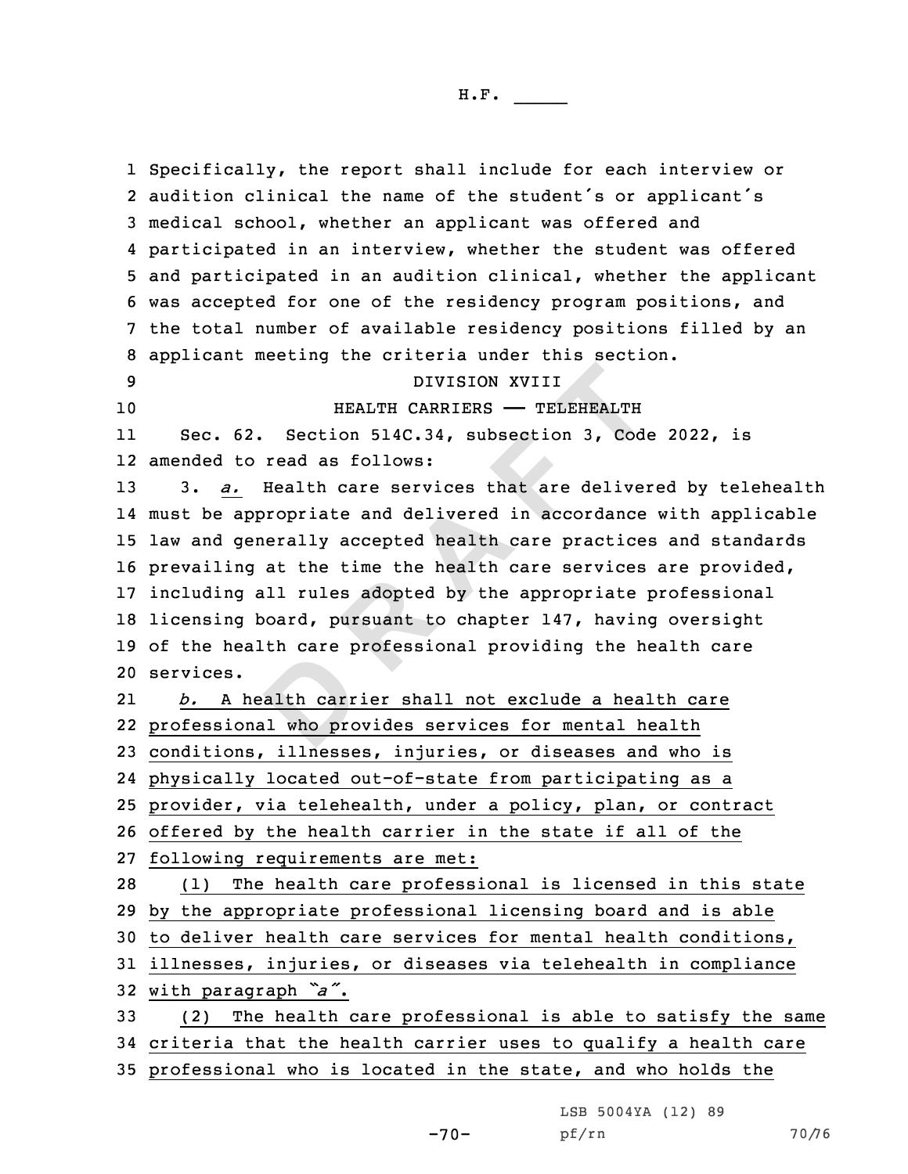alth carr<br>alth carr<br>al who pro DIVISION XVIII<br>
HEALTH CARRIERS — TELEHEALTH<br>
62. Section 514C.34, subsection 3, Code<br>
to read as follows:<br>
<u>Pealth care services</u> that are deliver<br>
appropriate and delivered in accordance<br>
generally accepted health care p Specifically, the report shall include for each interview or audition clinical the name of the student's or applicant's medical school, whether an applicant was offered and participated in an interview, whether the student was offered and participated in an audition clinical, whether the applicant was accepted for one of the residency program positions, and the total number of available residency positions filled by an applicant meeting the criteria under this section. DIVISION XVIII **HEALTH CARRIERS** — TELEHEALTH 11 Sec. 62. Section 514C.34, subsection 3, Code 2022, is amended to read as follows: 3. *a.* Health care services that are delivered by telehealth must be appropriate and delivered in accordance with applicable law and generally accepted health care practices and standards prevailing at the time the health care services are provided, including all rules adopted by the appropriate professional licensing board, pursuant to chapter 147, having oversight of the health care professional providing the health care services. 21 *b.* A health carrier shall not exclude <sup>a</sup> health care professional who provides services for mental health conditions, illnesses, injuries, or diseases and who is physically located out-of-state from participating as <sup>a</sup> provider, via telehealth, under <sup>a</sup> policy, plan, or contract offered by the health carrier in the state if all of the following requirements are met: (1) The health care professional is licensed in this state by the appropriate professional licensing board and is able to deliver health care services for mental health conditions, illnesses, injuries, or diseases via telehealth in compliance with paragraph *"a"*. (2) The health care professional is able to satisfy the same criteria that the health carrier uses to qualify <sup>a</sup> health care professional who is located in the state, and who holds the

LSB 5004YA (12) 89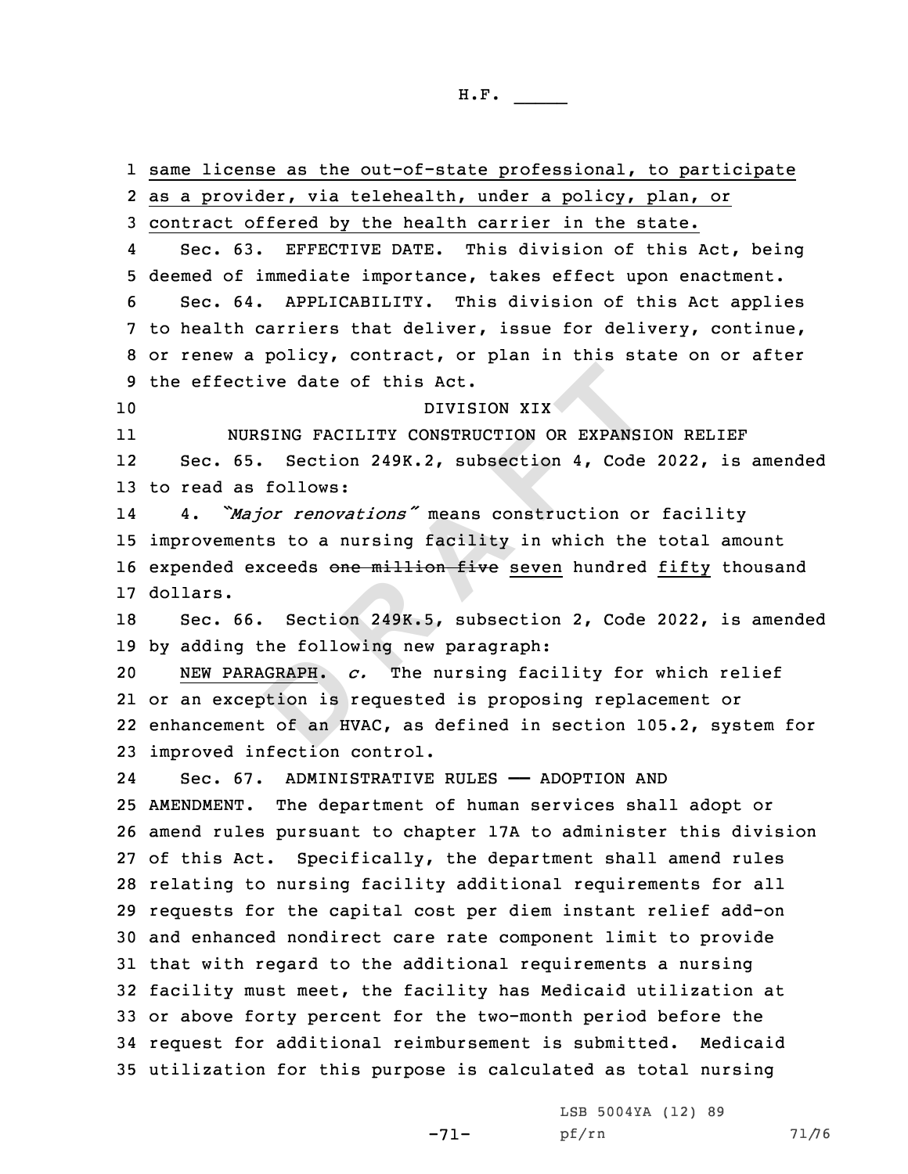**GRAPH.** c<br>btion is r<br>: of an HV ctive date of this Act.<br>
DIVISION XIX<br>
UURSING FACILITY CONSTRUCTION OR EXPANSI<br>
65. Section 249K.2, subsection 4, Code<br>
as follows:<br>
Major renovations" means construction or<br>
ents to a nursing facility in which the<br>
excee same license as the out-of-state professional, to participate as <sup>a</sup> provider, via telehealth, under <sup>a</sup> policy, plan, or contract offered by the health carrier in the state. 4 Sec. 63. EFFECTIVE DATE. This division of this Act, being deemed of immediate importance, takes effect upon enactment. Sec. 64. APPLICABILITY. This division of this Act applies to health carriers that deliver, issue for delivery, continue, or renew <sup>a</sup> policy, contract, or plan in this state on or after the effective date of this Act. DIVISION XIX 11 NURSING FACILITY CONSTRUCTION OR EXPANSION RELIEF 12 Sec. 65. Section 249K.2, subsection 4, Code 2022, is amended to read as follows: 14 4. *"Major renovations"* means construction or facility improvements to <sup>a</sup> nursing facility in which the total amount 16 expended exceeds one million five seven hundred fifty thousand 17 dollars. Sec. 66. Section 249K.5, subsection 2, Code 2022, is amended by adding the following new paragraph: NEW PARAGRAPH. *c.* The nursing facility for which relief or an exception is requested is proposing replacement or enhancement of an HVAC, as defined in section 105.2, system for improved infection control. 24Sec. 67. ADMINISTRATIVE RULES - ADOPTION AND AMENDMENT. The department of human services shall adopt or amend rules pursuant to chapter 17A to administer this division of this Act. Specifically, the department shall amend rules relating to nursing facility additional requirements for all requests for the capital cost per diem instant relief add-on and enhanced nondirect care rate component limit to provide that with regard to the additional requirements <sup>a</sup> nursing facility must meet, the facility has Medicaid utilization at or above forty percent for the two-month period before the request for additional reimbursement is submitted. Medicaid utilization for this purpose is calculated as total nursing

-71-

LSB 5004YA (12) 89 pf/rn 71/76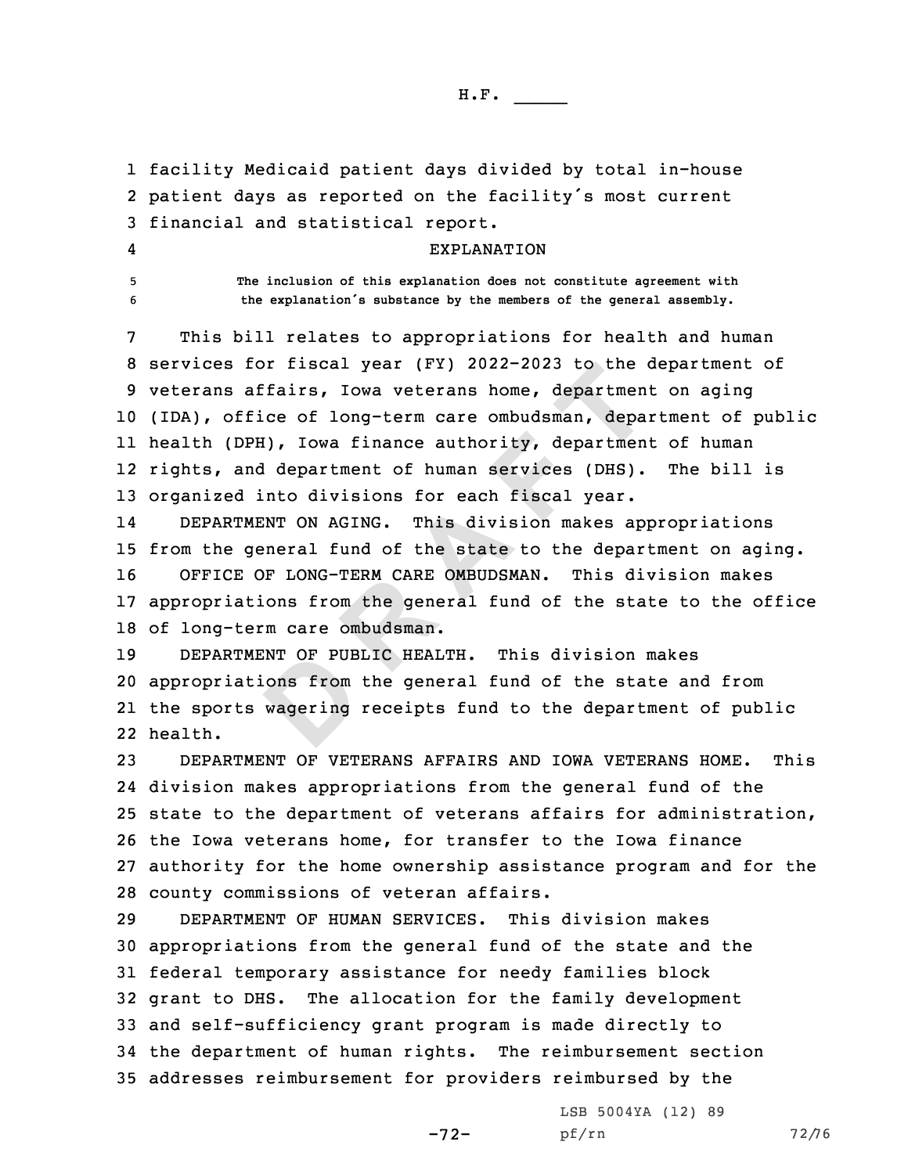H.F. \_\_\_\_\_

1 facility Medicaid patient days divided by total in-house 2 patient days as reported on the facility's most current 3 financial and statistical report.

## EXPLANATION

4

5 **The inclusion of this explanation does not constitute agreement with** <sup>6</sup> **the explanation's substance by the members of the general assembly.**

For fiscal year (FY) 2022-2023 to the confidents, Iowa veterans home, department<br>fice of long-term care ombudsman, department<br>DPH), Iowa finance authority, department<br>and department of human services (DHS).<br>d into division This bill relates to appropriations for health and human services for fiscal year (FY) 2022-2023 to the department of veterans affairs, Iowa veterans home, department on aging (IDA), office of long-term care ombudsman, department of public health (DPH), Iowa finance authority, department of human rights, and department of human services (DHS). The bill is organized into divisions for each fiscal year.

14 DEPARTMENT ON AGING. This division makes appropriations from the general fund of the state to the department on aging. OFFICE OF LONG-TERM CARE OMBUDSMAN. This division makes appropriations from the general fund of the state to the office of long-term care ombudsman.

INT OF PUB<br>.ons from<br>wagering 19 DEPARTMENT OF PUBLIC HEALTH. This division makes 20 appropriations from the general fund of the state and from 21 the sports wagering receipts fund to the department of public 22 health.

 DEPARTMENT OF VETERANS AFFAIRS AND IOWA VETERANS HOME. This division makes appropriations from the general fund of the state to the department of veterans affairs for administration, the Iowa veterans home, for transfer to the Iowa finance authority for the home ownership assistance program and for the county commissions of veteran affairs.

 DEPARTMENT OF HUMAN SERVICES. This division makes appropriations from the general fund of the state and the federal temporary assistance for needy families block grant to DHS. The allocation for the family development and self-sufficiency grant program is made directly to the department of human rights. The reimbursement section addresses reimbursement for providers reimbursed by the

-72-

LSB 5004YA (12) 89 pf/rn 72/76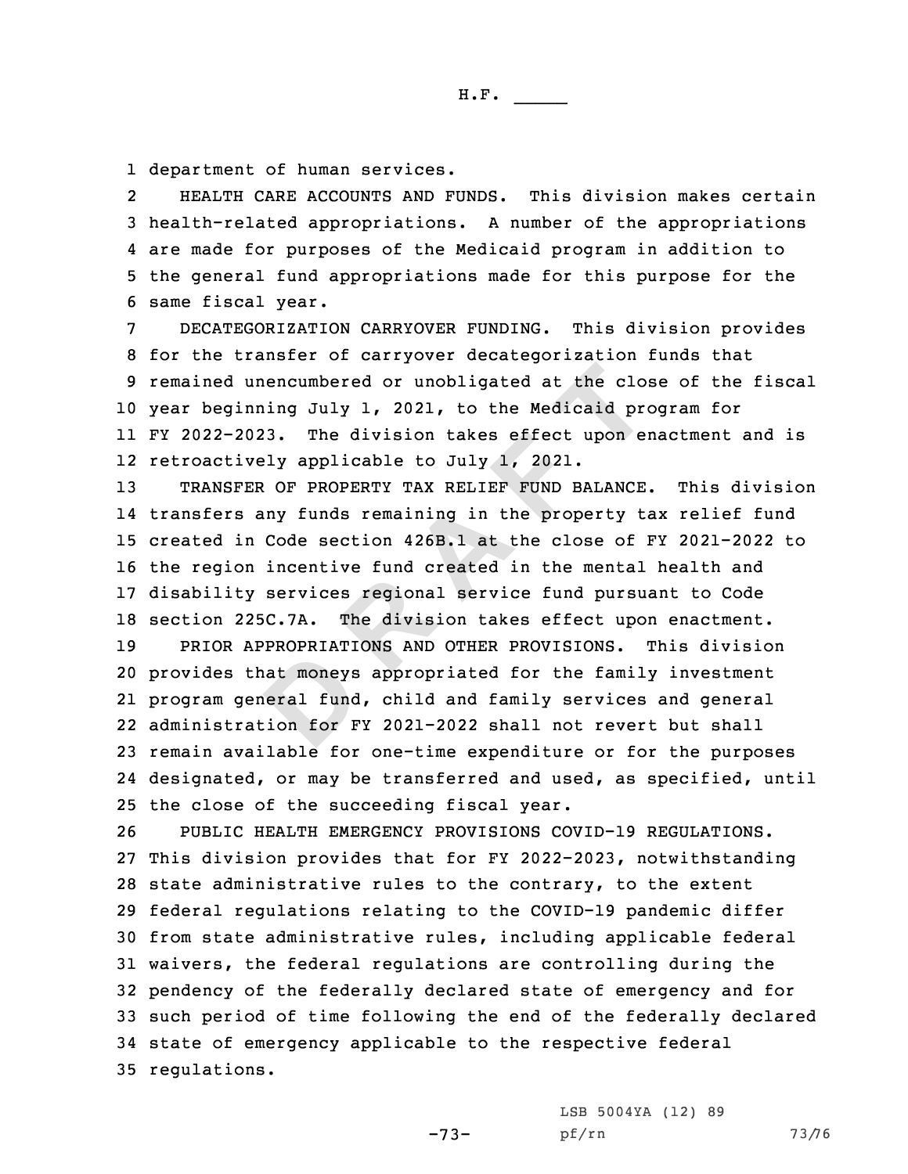1 department of human services.

2 HEALTH CARE ACCOUNTS AND FUNDS. This division makes certain health-related appropriations. <sup>A</sup> number of the appropriations are made for purposes of the Medicaid program in addition to the general fund appropriations made for this purpose for the same fiscal year.

H.F. \_\_\_\_\_

 DECATEGORIZATION CARRYOVER FUNDING. This division provides for the transfer of carryover decategorization funds that remained unencumbered or unobligated at the close of the fiscal year beginning July 1, 2021, to the Medicaid program for FY 2022-2023. The division takes effect upon enactment and is retroactively applicable to July 1, 2021.

unencumbered or unobligated at the closinning July 1, 2021, to the Medicaid proposition in the Medicaid proposition of the Medicaid proposition is any funds remaining in the property t.<br>FER OF PROPERTY TAX RELIEF FUND BALA TRANSFER OF PROPERTY TAX RELIEF FUND BALANCE. This division transfers any funds remaining in the property tax relief fund created in Code section 426B.1 at the close of FY 2021-2022 to the region incentive fund created in the mental health and disability services regional service fund pursuant to Code section 225C.7A. The division takes effect upon enactment.

**D** PRIOR APPROPRIATIONS AND OTHER PROVISIONS. This division provides that moneys appropriated for the family investment program general fund, child and family services and general administration for FY 2021-2022 shall not revert but shall remain available for one-time expenditure or for the purposes designated, or may be transferred and used, as specified, until the close of the succeeding fiscal year.

 PUBLIC HEALTH EMERGENCY PROVISIONS COVID-19 REGULATIONS. This division provides that for FY 2022-2023, notwithstanding state administrative rules to the contrary, to the extent federal regulations relating to the COVID-19 pandemic differ from state administrative rules, including applicable federal waivers, the federal regulations are controlling during the pendency of the federally declared state of emergency and for such period of time following the end of the federally declared state of emergency applicable to the respective federal regulations.

LSB 5004YA (12) 89

-73-

pf/rn 73/76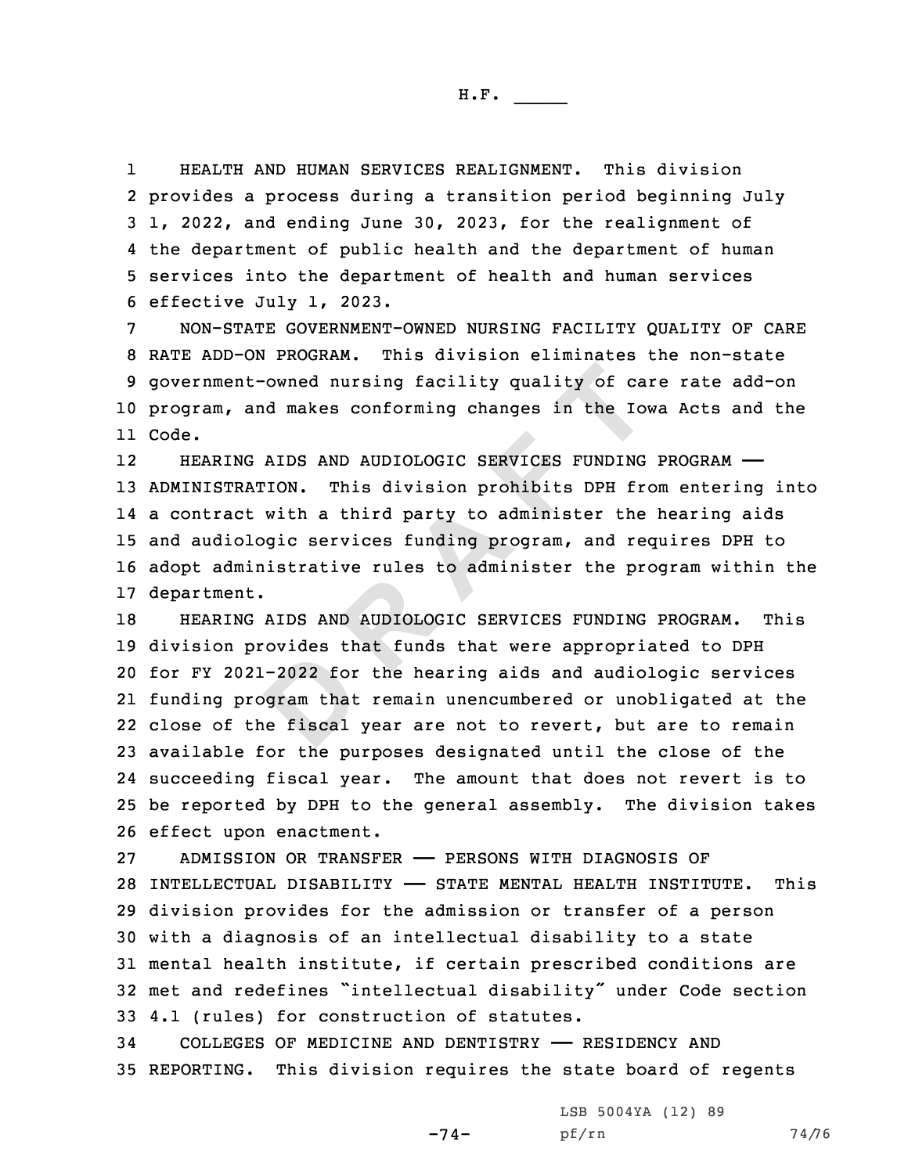1 HEALTH AND HUMAN SERVICES REALIGNMENT. This division provides <sup>a</sup> process during <sup>a</sup> transition period beginning July 1, 2022, and ending June 30, 2023, for the realignment of the department of public health and the department of human services into the department of health and human services effective July 1, 2023.

 NON-STATE GOVERNMENT-OWNED NURSING FACILITY QUALITY OF CARE RATE ADD-ON PROGRAM. This division eliminates the non-state government-owned nursing facility quality of care rate add-on program, and makes conforming changes in the Iowa Acts and the 11 Code.

nt-owned nursing facility quality of ca<br>and makes conforming changes in the Iov<br>NG AIDS AND AUDIOLOGIC SERVICES FUNDING<br>RATION. This division prohibits DPH from<br>the activity at third party to administer the<br>ologic services 12 HEARING AIDS AND AUDIOLOGIC SERVICES FUNDING PROGRAM —— ADMINISTRATION. This division prohibits DPH from entering into <sup>a</sup> contract with <sup>a</sup> third party to administer the hearing aids and audiologic services funding program, and requires DPH to adopt administrative rules to administer the program within the department.

-2022 for<br>Department<br>Department<br>Department<br>Department HEARING AIDS AND AUDIOLOGIC SERVICES FUNDING PROGRAM. This division provides that funds that were appropriated to DPH for FY 2021-2022 for the hearing aids and audiologic services funding program that remain unencumbered or unobligated at the close of the fiscal year are not to revert, but are to remain available for the purposes designated until the close of the succeeding fiscal year. The amount that does not revert is to be reported by DPH to the general assembly. The division takes effect upon enactment.

 ADMISSION OR TRANSFER —— PERSONS WITH DIAGNOSIS OF INTELLECTUAL DISABILITY —— STATE MENTAL HEALTH INSTITUTE. This division provides for the admission or transfer of <sup>a</sup> person with <sup>a</sup> diagnosis of an intellectual disability to <sup>a</sup> state mental health institute, if certain prescribed conditions are met and redefines "intellectual disability" under Code section 4.1 (rules) for construction of statutes.

34 COLLEGES OF MEDICINE AND DENTISTRY —— RESIDENCY AND 35 REPORTING. This division requires the state board of regents

-74-

LSB 5004YA (12) 89 pf/rn 74/76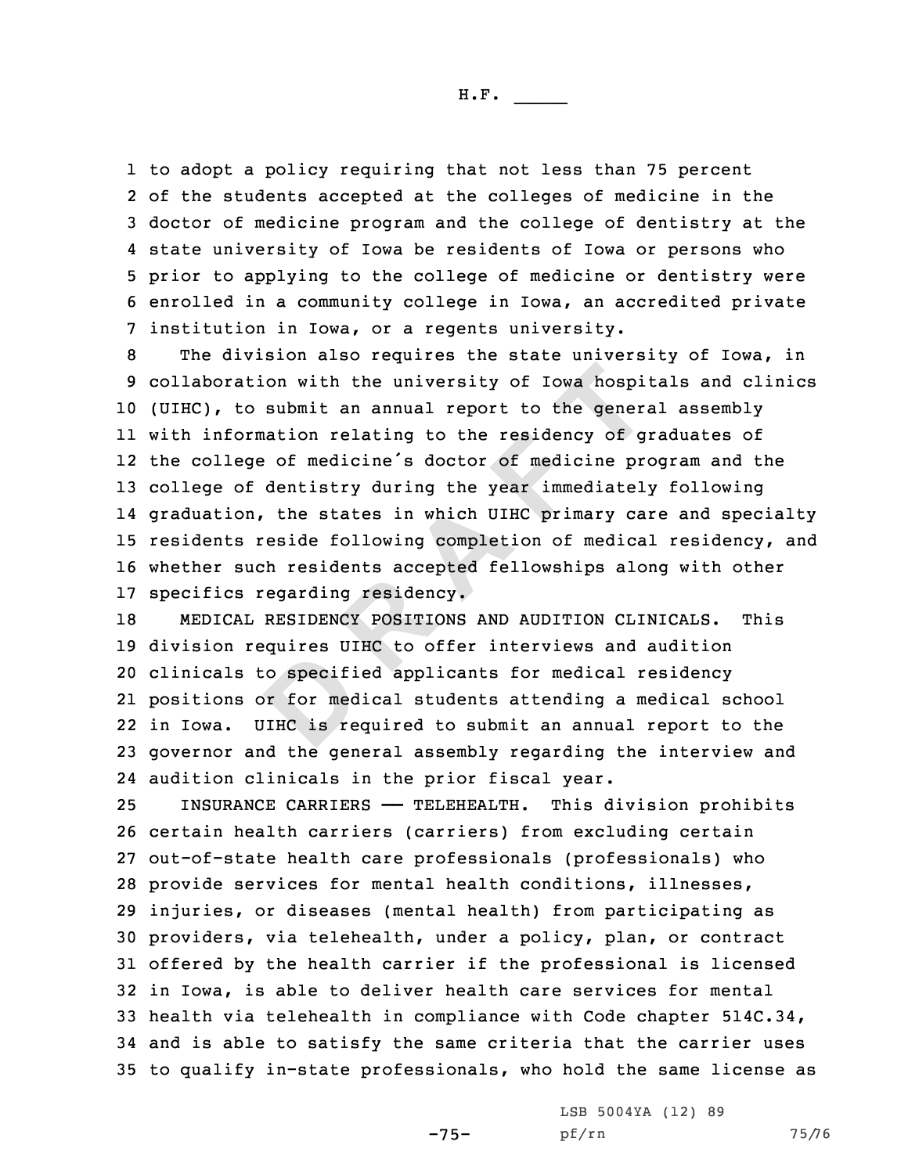H.F. \_\_\_\_\_

 to adopt <sup>a</sup> policy requiring that not less than 75 percent of the students accepted at the colleges of medicine in the doctor of medicine program and the college of dentistry at the state university of Iowa be residents of Iowa or persons who prior to applying to the college of medicine or dentistry were enrolled in <sup>a</sup> community college in Iowa, an accredited private institution in Iowa, or <sup>a</sup> regents university.

ation with the university of Iowa hospito<br>to submit an annual report to the generation<br>correction relating to the residency of giege of medicine is doctor of medicine prof<br>dentistry during the year immediatel:<br>On, the stat The division also requires the state university of Iowa, in collaboration with the university of Iowa hospitals and clinics (UIHC), to submit an annual report to the general assembly with information relating to the residency of graduates of the college of medicine's doctor of medicine program and the college of dentistry during the year immediately following graduation, the states in which UIHC primary care and specialty residents reside following completion of medical residency, and whether such residents accepted fellowships along with other specifics regarding residency.

Co specification of the median series of the median series of the series of the series of the series of the series of the series of the series of the series of the series of the series of the series of the series of the se MEDICAL RESIDENCY POSITIONS AND AUDITION CLINICALS. This division requires UIHC to offer interviews and audition clinicals to specified applicants for medical residency positions or for medical students attending <sup>a</sup> medical school in Iowa. UIHC is required to submit an annual report to the governor and the general assembly regarding the interview and audition clinicals in the prior fiscal year.

 INSURANCE CARRIERS —— TELEHEALTH. This division prohibits certain health carriers (carriers) from excluding certain out-of-state health care professionals (professionals) who provide services for mental health conditions, illnesses, injuries, or diseases (mental health) from participating as providers, via telehealth, under <sup>a</sup> policy, plan, or contract offered by the health carrier if the professional is licensed in Iowa, is able to deliver health care services for mental health via telehealth in compliance with Code chapter 514C.34, and is able to satisfy the same criteria that the carrier uses to qualify in-state professionals, who hold the same license as

-75-

LSB 5004YA (12) 89 pf/rn 75/76